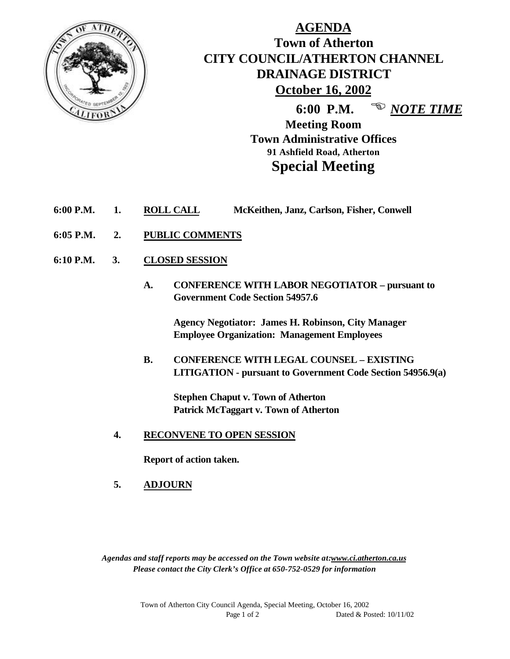

# **AGENDA Town of Atherton CITY COUNCIL/ATHERTON CHANNEL DRAINAGE DISTRICT October 16, 2002**

**6:00 P.M.** <sup>**E** *NOTE TIME*</sup>

**Meeting Room Town Administrative Offices 91 Ashfield Road, Atherton Special Meeting**

- **6:00 P.M. 1. ROLL CALL McKeithen, Janz, Carlson, Fisher, Conwell**
- **6:05 P.M. 2. PUBLIC COMMENTS**
- **6:10 P.M. 3. CLOSED SESSION**
	- **A. CONFERENCE WITH LABOR NEGOTIATOR pursuant to Government Code Section 54957.6**

**Agency Negotiator: James H. Robinson, City Manager Employee Organization: Management Employees**

**B. CONFERENCE WITH LEGAL COUNSEL – EXISTING LITIGATION - pursuant to Government Code Section 54956.9(a)**

**Stephen Chaput v. Town of Atherton Patrick McTaggart v. Town of Atherton**

**4. RECONVENE TO OPEN SESSION**

**Report of action taken.**

**5. ADJOURN**

*Agendas and staff reports may be accessed on the Town website at:www.ci.atherton.ca.us Please contact the City Clerk's Office at 650-752-0529 for information*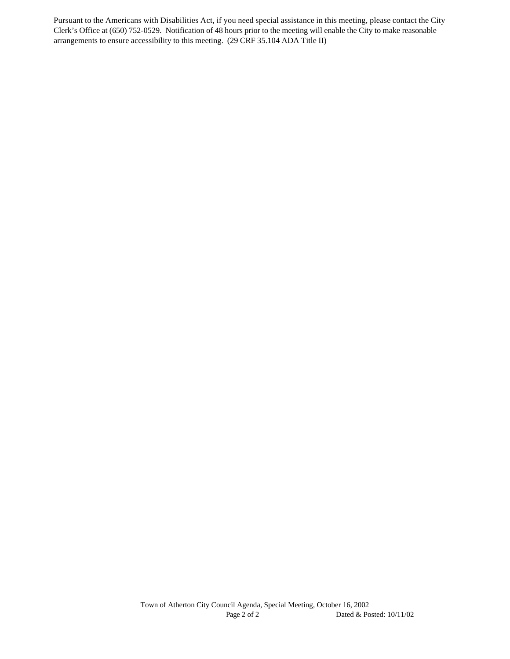Pursuant to the Americans with Disabilities Act, if you need special assistance in this meeting, please contact the City Clerk's Office at (650) 752-0529. Notification of 48 hours prior to the meeting will enable the City to make reasonable arrangements to ensure accessibility to this meeting. (29 CRF 35.104 ADA Title II)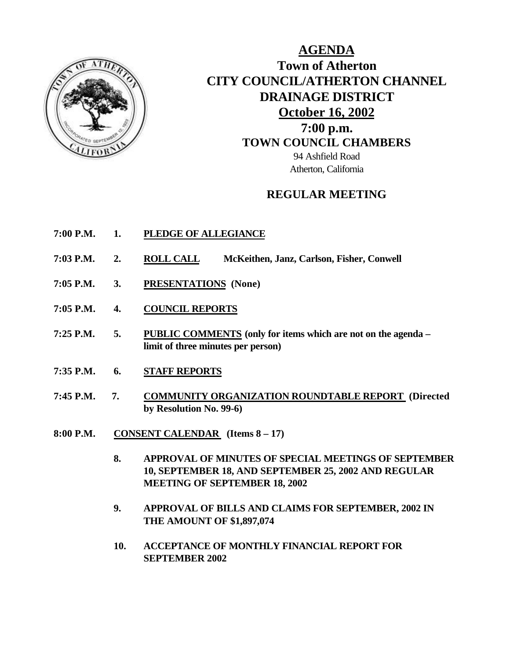

**AGENDA Town of Atherton CITY COUNCIL/ATHERTON CHANNEL DRAINAGE DISTRICT October 16, 2002 7:00 p.m. TOWN COUNCIL CHAMBERS** 94 Ashfield Road Atherton, California

### **REGULAR MEETING**

- **7:00 P.M. 1. PLEDGE OF ALLEGIANCE**
- **7:03 P.M. 2. ROLL CALL McKeithen, Janz, Carlson, Fisher, Conwell**
- **7:05 P.M. 3. PRESENTATIONS (None)**
- **7:05 P.M. 4. COUNCIL REPORTS**
- **7:25 P.M. 5. PUBLIC COMMENTS (only for items which are not on the agenda – limit of three minutes per person)**
- **7:35 P.M. 6. STAFF REPORTS**
- **7:45 P.M. 7. COMMUNITY ORGANIZATION ROUNDTABLE REPORT (Directed by Resolution No. 99-6)**
- **8:00 P.M. CONSENT CALENDAR (Items 8 17)**
	- **8. APPROVAL OF MINUTES OF SPECIAL MEETINGS OF SEPTEMBER 10, SEPTEMBER 18, AND SEPTEMBER 25, 2002 AND REGULAR MEETING OF SEPTEMBER 18, 2002**
	- **9. APPROVAL OF BILLS AND CLAIMS FOR SEPTEMBER, 2002 IN THE AMOUNT OF \$1,897,074**
	- **10. ACCEPTANCE OF MONTHLY FINANCIAL REPORT FOR SEPTEMBER 2002**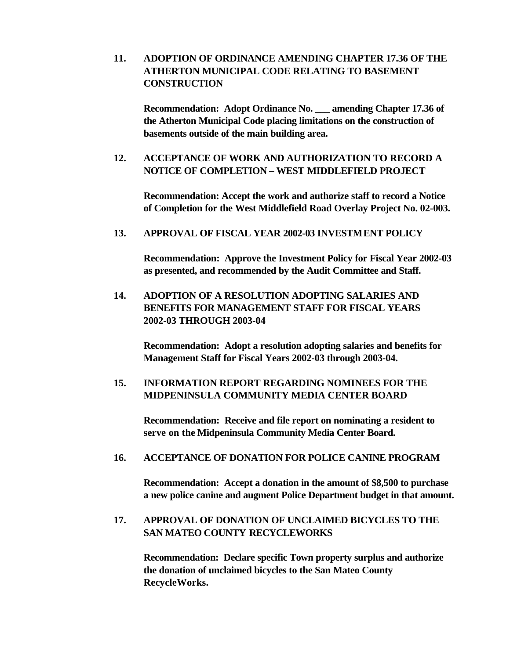### **11. ADOPTION OF ORDINANCE AMENDING CHAPTER 17.36 OF THE ATHERTON MUNICIPAL CODE RELATING TO BASEMENT CONSTRUCTION**

**Recommendation: Adopt Ordinance No. \_\_\_ amending Chapter 17.36 of the Atherton Municipal Code placing limitations on the construction of basements outside of the main building area.**

### **12. ACCEPTANCE OF WORK AND AUTHORIZATION TO RECORD A NOTICE OF COMPLETION – WEST MIDDLEFIELD PROJECT**

**Recommendation: Accept the work and authorize staff to record a Notice of Completion for the West Middlefield Road Overlay Project No. 02-003.**

**13. APPROVAL OF FISCAL YEAR 2002-03 INVESTMENT POLICY**

**Recommendation: Approve the Investment Policy for Fiscal Year 2002-03 as presented, and recommended by the Audit Committee and Staff.**

**14. ADOPTION OF A RESOLUTION ADOPTING SALARIES AND BENEFITS FOR MANAGEMENT STAFF FOR FISCAL YEARS 2002-03 THROUGH 2003-04**

**Recommendation: Adopt a resolution adopting salaries and benefits for Management Staff for Fiscal Years 2002-03 through 2003-04.**

### **15. INFORMATION REPORT REGARDING NOMINEES FOR THE MIDPENINSULA COMMUNITY MEDIA CENTER BOARD**

**Recommendation: Receive and file report on nominating a resident to serve on the Midpeninsula Community Media Center Board.**

#### **16. ACCEPTANCE OF DONATION FOR POLICE CANINE PROGRAM**

**Recommendation: Accept a donation in the amount of \$8,500 to purchase a new police canine and augment Police Department budget in that amount.**

### **17. APPROVAL OF DONATION OF UNCLAIMED BICYCLES TO THE SAN MATEO COUNTY RECYCLEWORKS**

**Recommendation: Declare specific Town property surplus and authorize the donation of unclaimed bicycles to the San Mateo County RecycleWorks.**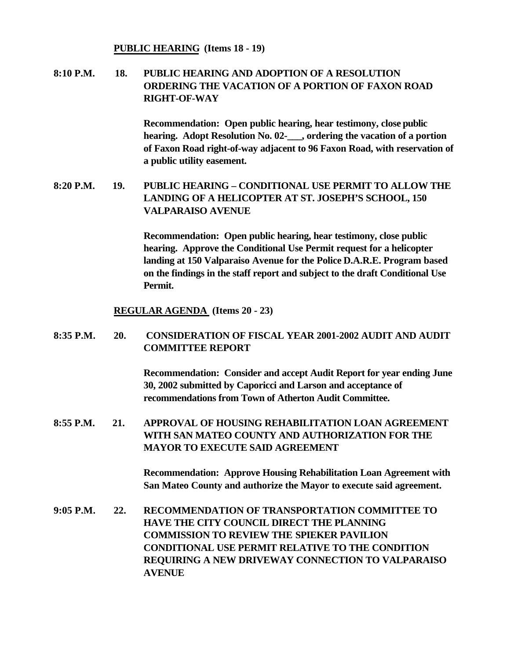#### **PUBLIC HEARING (Items 18 - 19)**

### **8:10 P.M. 18. PUBLIC HEARING AND ADOPTION OF A RESOLUTION ORDERING THE VACATION OF A PORTION OF FAXON ROAD RIGHT-OF-WAY**

**Recommendation: Open public hearing, hear testimony, close public hearing. Adopt Resolution No. 02-\_\_\_, ordering the vacation of a portion of Faxon Road right-of-way adjacent to 96 Faxon Road, with reservation of a public utility easement.**

### **8:20 P.M. 19. PUBLIC HEARING – CONDITIONAL USE PERMIT TO ALLOW THE LANDING OF A HELICOPTER AT ST. JOSEPH'S SCHOOL, 150 VALPARAISO AVENUE**

**Recommendation: Open public hearing, hear testimony, close public hearing. Approve the Conditional Use Permit request for a helicopter landing at 150 Valparaiso Avenue for the Police D.A.R.E. Program based on the findings in the staff report and subject to the draft Conditional Use Permit.**

#### **REGULAR AGENDA (Items 20 - 23)**

### **8:35 P.M. 20. CONSIDERATION OF FISCAL YEAR 2001-2002 AUDIT AND AUDIT COMMITTEE REPORT**

**Recommendation: Consider and accept Audit Report for year ending June 30, 2002 submitted by Caporicci and Larson and acceptance of recommendations from Town of Atherton Audit Committee.**

**8:55 P.M. 21. APPROVAL OF HOUSING REHABILITATION LOAN AGREEMENT WITH SAN MATEO COUNTY AND AUTHORIZATION FOR THE MAYOR TO EXECUTE SAID AGREEMENT** 

> **Recommendation: Approve Housing Rehabilitation Loan Agreement with San Mateo County and authorize the Mayor to execute said agreement.**

**9:05 P.M. 22. RECOMMENDATION OF TRANSPORTATION COMMITTEE TO HAVE THE CITY COUNCIL DIRECT THE PLANNING COMMISSION TO REVIEW THE SPIEKER PAVILION CONDITIONAL USE PERMIT RELATIVE TO THE CONDITION REQUIRING A NEW DRIVEWAY CONNECTION TO VALPARAISO AVENUE**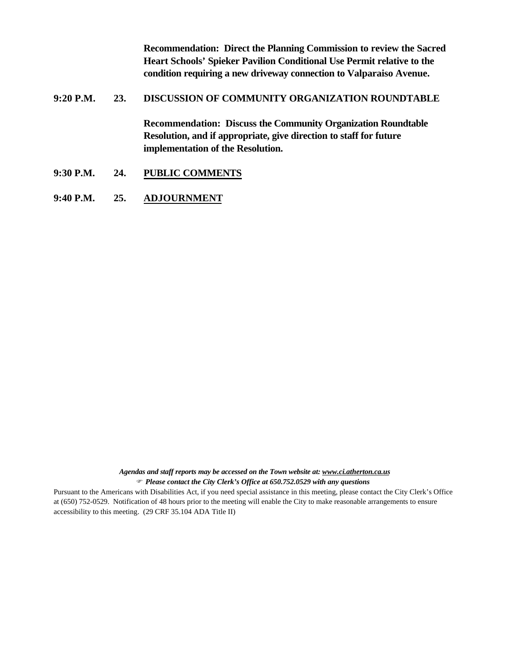**Recommendation: Direct the Planning Commission to review the Sacred Heart Schools' Spieker Pavilion Conditional Use Permit relative to the condition requiring a new driveway connection to Valparaiso Avenue.**

#### **9:20 P.M. 23. DISCUSSION OF COMMUNITY ORGANIZATION ROUNDTABLE**

**Recommendation: Discuss the Community Organization Roundtable Resolution, and if appropriate, give direction to staff for future implementation of the Resolution.**

- **9:30 P.M. 24. PUBLIC COMMENTS**
- **9:40 P.M. 25. ADJOURNMENT**

*Agendas and staff reports may be accessed on the Town website at: www.ci.atherton.ca.us* F *Please contact the City Clerk's Office at 650.752.0529 with any questions*

Pursuant to the Americans with Disabilities Act, if you need special assistance in this meeting, please contact the City Clerk's Office at (650) 752-0529. Notification of 48 hours prior to the meeting will enable the City to make reasonable arrangements to ensure accessibility to this meeting. (29 CRF 35.104 ADA Title II)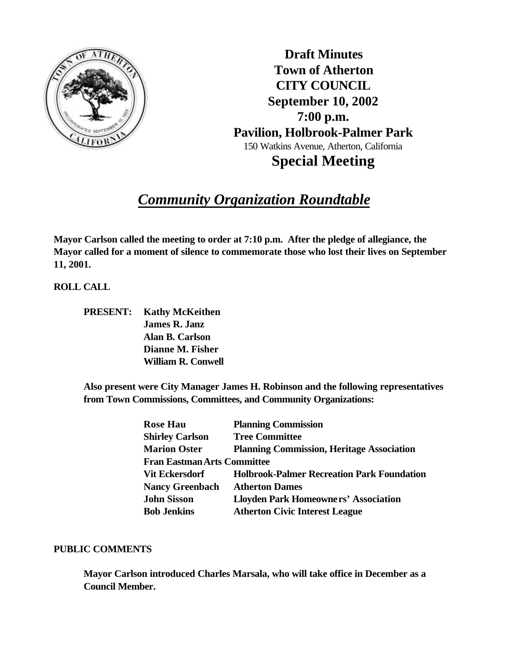

**Draft Minutes Town of Atherton CITY COUNCIL September 10, 2002 7:00 p.m. Pavilion, Holbrook-Palmer Park** 150 Watkins Avenue, Atherton, California **Special Meeting**

# *Community Organization Roundtable*

**Mayor Carlson called the meeting to order at 7:10 p.m. After the pledge of allegiance, the Mayor called for a moment of silence to commemorate those who lost their lives on September 11, 2001.**

**ROLL CALL**

| PRESENT: | <b>Kathy McKeithen</b>    |
|----------|---------------------------|
|          | <b>James R. Janz</b>      |
|          | Alan B. Carlson           |
|          | Dianne M. Fisher          |
|          | <b>William R. Conwell</b> |

**Also present were City Manager James H. Robinson and the following representatives from Town Commissions, Committees, and Community Organizations:**

| <b>Rose Hau</b>                    | <b>Planning Commission</b>                        |
|------------------------------------|---------------------------------------------------|
| <b>Shirley Carlson</b>             | <b>Tree Committee</b>                             |
| <b>Marion Oster</b>                | <b>Planning Commission, Heritage Association</b>  |
| <b>Fran Eastman Arts Committee</b> |                                                   |
| <b>Vit Eckersdorf</b>              | <b>Holbrook-Palmer Recreation Park Foundation</b> |
| <b>Nancy Greenbach</b>             | <b>Atherton Dames</b>                             |
| <b>John Sisson</b>                 | <b>Lloyden Park Homeowners' Association</b>       |
| <b>Bob Jenkins</b>                 | <b>Atherton Civic Interest League</b>             |

#### **PUBLIC COMMENTS**

**Mayor Carlson introduced Charles Marsala, who will take office in December as a Council Member.**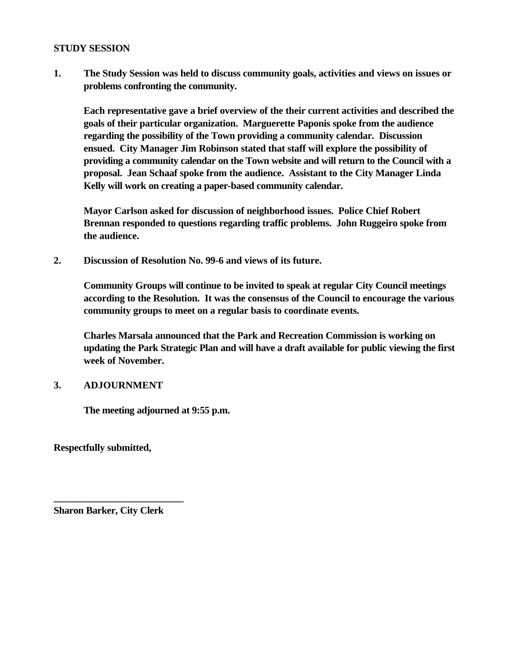#### **STUDY SESSION**

**1. The Study Session was held to discuss community goals, activities and views on issues or problems confronting the community.**

**Each representative gave a brief overview of the their current activities and described the goals of their particular organization. Marguerette Paponis spoke from the audience regarding the possibility of the Town providing a community calendar. Discussion ensued. City Manager Jim Robinson stated that staff will explore the possibility of providing a community calendar on the Town website and will return to the Council with a proposal. Jean Schaaf spoke from the audience. Assistant to the City Manager Linda Kelly will work on creating a paper-based community calendar.**

**Mayor Carlson asked for discussion of neighborhood issues. Police Chief Robert Brennan responded to questions regarding traffic problems. John Ruggeiro spoke from the audience.**

**2. Discussion of Resolution No. 99-6 and views of its future.**

**Community Groups will continue to be invited to speak at regular City Council meetings according to the Resolution. It was the consensus of the Council to encourage the various community groups to meet on a regular basis to coordinate events.**

**Charles Marsala announced that the Park and Recreation Commission is working on updating the Park Strategic Plan and will have a draft available for public viewing the first week of November.**

### **3. ADJOURNMENT**

**The meeting adjourned at 9:55 p.m.**

**Respectfully submitted,**

**Sharon Barker, City Clerk**

**\_\_\_\_\_\_\_\_\_\_\_\_\_\_\_\_\_\_\_\_\_\_\_\_\_\_**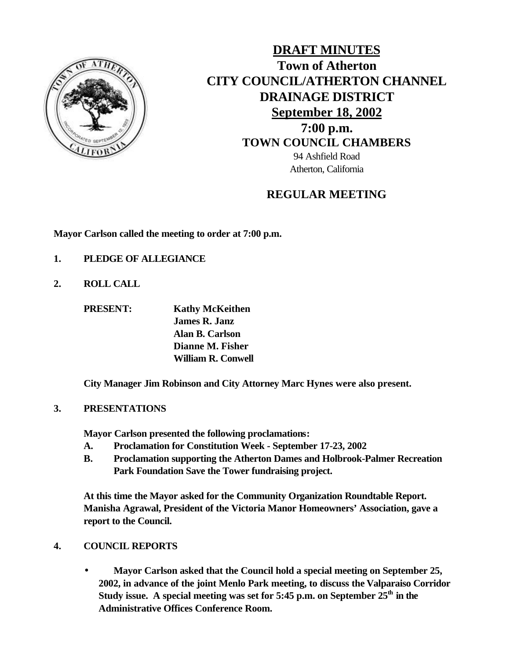

**DRAFT MINUTES Town of Atherton CITY COUNCIL/ATHERTON CHANNEL DRAINAGE DISTRICT September 18, 2002 7:00 p.m. TOWN COUNCIL CHAMBERS** 94 Ashfield Road Atherton, California

### **REGULAR MEETING**

**Mayor Carlson called the meeting to order at 7:00 p.m.**

- **1. PLEDGE OF ALLEGIANCE**
- **2. ROLL CALL**

**PRESENT: Kathy McKeithen**

**James R. Janz Alan B. Carlson Dianne M. Fisher William R. Conwell**

**City Manager Jim Robinson and City Attorney Marc Hynes were also present.**

### **3. PRESENTATIONS**

**Mayor Carlson presented the following proclamations:**

- **A. Proclamation for Constitution Week September 17-23, 2002**
- **B. Proclamation supporting the Atherton Dames and Holbrook-Palmer Recreation Park Foundation Save the Tower fundraising project.**

**At this time the Mayor asked for the Community Organization Roundtable Report. Manisha Agrawal, President of the Victoria Manor Homeowners' Association, gave a report to the Council.**

### **4. COUNCIL REPORTS**

• **Mayor Carlson asked that the Council hold a special meeting on September 25, 2002, in advance of the joint Menlo Park meeting, to discuss the Valparaiso Corridor Study issue. A special meeting was set for 5:45 p.m. on September 25th in the Administrative Offices Conference Room.**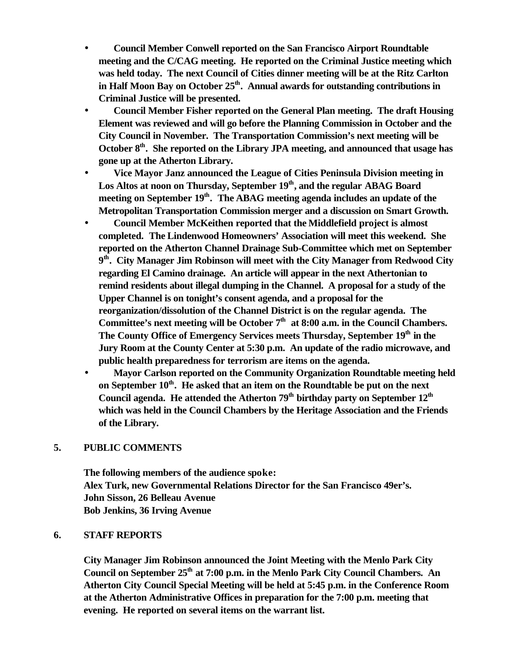- **Council Member Conwell reported on the San Francisco Airport Roundtable meeting and the C/CAG meeting. He reported on the Criminal Justice meeting which was held today. The next Council of Cities dinner meeting will be at the Ritz Carlton in Half Moon Bay on October 25th. Annual awards for outstanding contributions in Criminal Justice will be presented.**
- **Council Member Fisher reported on the General Plan meeting. The draft Housing Element was reviewed and will go before the Planning Commission in October and the City Council in November. The Transportation Commission's next meeting will be October 8th. She reported on the Library JPA meeting, and announced that usage has gone up at the Atherton Library.**
- **Vice Mayor Janz announced the League of Cities Peninsula Division meeting in Los Altos at noon on Thursday, September 19th, and the regular ABAG Board meeting on September 19th. The ABAG meeting agenda includes an update of the Metropolitan Transportation Commission merger and a discussion on Smart Growth.**
- **Council Member McKeithen reported that the Middlefield project is almost completed. The Lindenwood Homeowners' Association will meet this weekend. She reported on the Atherton Channel Drainage Sub-Committee which met on September 9 th. City Manager Jim Robinson will meet with the City Manager from Redwood City regarding El Camino drainage. An article will appear in the next Athertonian to remind residents about illegal dumping in the Channel. A proposal for a study of the Upper Channel is on tonight's consent agenda, and a proposal for the reorganization/dissolution of the Channel District is on the regular agenda. The Committee's next meeting will be October 7th at 8:00 a.m. in the Council Chambers. The County Office of Emergency Services meets Thursday, September 19th in the Jury Room at the County Center at 5:30 p.m. An update of the radio microwave, and public health preparedness for terrorism are items on the agenda.**
- **Mayor Carlson reported on the Community Organization Roundtable meeting held on September 10th. He asked that an item on the Roundtable be put on the next Council agenda. He attended the Atherton 79th birthday party on September 12th which was held in the Council Chambers by the Heritage Association and the Friends of the Library.**

#### **5. PUBLIC COMMENTS**

**The following members of the audience spoke: Alex Turk, new Governmental Relations Director for the San Francisco 49er's. John Sisson, 26 Belleau Avenue Bob Jenkins, 36 Irving Avenue**

#### **6. STAFF REPORTS**

**City Manager Jim Robinson announced the Joint Meeting with the Menlo Park City Council on September 25th at 7:00 p.m. in the Menlo Park City Council Chambers. An Atherton City Council Special Meeting will be held at 5:45 p.m. in the Conference Room at the Atherton Administrative Offices in preparation for the 7:00 p.m. meeting that evening. He reported on several items on the warrant list.**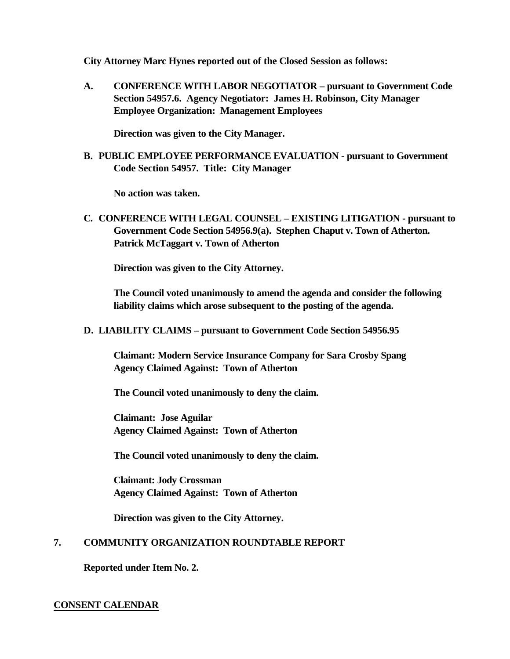**City Attorney Marc Hynes reported out of the Closed Session as follows:**

**A. CONFERENCE WITH LABOR NEGOTIATOR – pursuant to Government Code Section 54957.6. Agency Negotiator: James H. Robinson, City Manager Employee Organization: Management Employees**

**Direction was given to the City Manager.**

**B. PUBLIC EMPLOYEE PERFORMANCE EVALUATION - pursuant to Government Code Section 54957. Title: City Manager**

**No action was taken.**

**C. CONFERENCE WITH LEGAL COUNSEL – EXISTING LITIGATION - pursuant to Government Code Section 54956.9(a). Stephen Chaput v. Town of Atherton. Patrick McTaggart v. Town of Atherton**

**Direction was given to the City Attorney.**

**The Council voted unanimously to amend the agenda and consider the following liability claims which arose subsequent to the posting of the agenda.**

**D. LIABILITY CLAIMS – pursuant to Government Code Section 54956.95**

**Claimant: Modern Service Insurance Company for Sara Crosby Spang Agency Claimed Against: Town of Atherton**

**The Council voted unanimously to deny the claim.**

**Claimant: Jose Aguilar Agency Claimed Against: Town of Atherton**

**The Council voted unanimously to deny the claim.**

**Claimant: Jody Crossman Agency Claimed Against: Town of Atherton**

**Direction was given to the City Attorney.**

### **7. COMMUNITY ORGANIZATION ROUNDTABLE REPORT**

**Reported under Item No. 2.**

#### **CONSENT CALENDAR**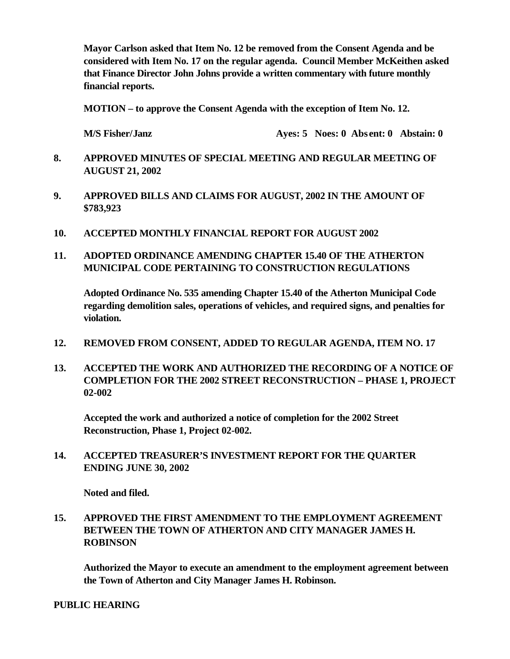**Mayor Carlson asked that Item No. 12 be removed from the Consent Agenda and be considered with Item No. 17 on the regular agenda. Council Member McKeithen asked that Finance Director John Johns provide a written commentary with future monthly financial reports.**

**MOTION – to approve the Consent Agenda with the exception of Item No. 12.**

**M/S Fisher/Janz Ayes: 5 Noes: 0 Abs ent: 0 Abstain: 0**

- **8. APPROVED MINUTES OF SPECIAL MEETING AND REGULAR MEETING OF AUGUST 21, 2002**
- **9. APPROVED BILLS AND CLAIMS FOR AUGUST, 2002 IN THE AMOUNT OF \$783,923**
- **10. ACCEPTED MONTHLY FINANCIAL REPORT FOR AUGUST 2002**
- **11. ADOPTED ORDINANCE AMENDING CHAPTER 15.40 OF THE ATHERTON MUNICIPAL CODE PERTAINING TO CONSTRUCTION REGULATIONS**

**Adopted Ordinance No. 535 amending Chapter 15.40 of the Atherton Municipal Code regarding demolition sales, operations of vehicles, and required signs, and penalties for violation.**

- **12. REMOVED FROM CONSENT, ADDED TO REGULAR AGENDA, ITEM NO. 17**
- **13. ACCEPTED THE WORK AND AUTHORIZED THE RECORDING OF A NOTICE OF COMPLETION FOR THE 2002 STREET RECONSTRUCTION – PHASE 1, PROJECT 02-002**

**Accepted the work and authorized a notice of completion for the 2002 Street Reconstruction, Phase 1, Project 02-002.**

**14. ACCEPTED TREASURER'S INVESTMENT REPORT FOR THE QUARTER ENDING JUNE 30, 2002**

**Noted and filed.**

**15. APPROVED THE FIRST AMENDMENT TO THE EMPLOYMENT AGREEMENT BETWEEN THE TOWN OF ATHERTON AND CITY MANAGER JAMES H. ROBINSON**

**Authorized the Mayor to execute an amendment to the employment agreement between the Town of Atherton and City Manager James H. Robinson.**

**PUBLIC HEARING**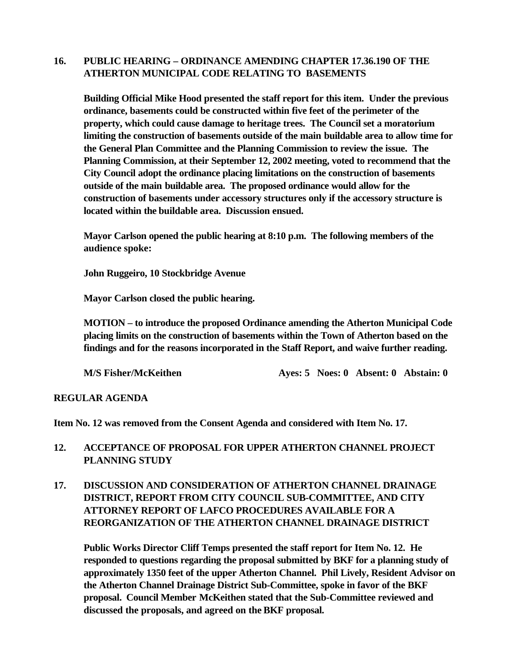### **16. PUBLIC HEARING – ORDINANCE AMENDING CHAPTER 17.36.190 OF THE ATHERTON MUNICIPAL CODE RELATING TO BASEMENTS**

**Building Official Mike Hood presented the staff report for this item. Under the previous ordinance, basements could be constructed within five feet of the perimeter of the property, which could cause damage to heritage trees. The Council set a moratorium limiting the construction of basements outside of the main buildable area to allow time for the General Plan Committee and the Planning Commission to review the issue. The Planning Commission, at their September 12, 2002 meeting, voted to recommend that the City Council adopt the ordinance placing limitations on the construction of basements outside of the main buildable area. The proposed ordinance would allow for the construction of basements under accessory structures only if the accessory structure is located within the buildable area. Discussion ensued.**

**Mayor Carlson opened the public hearing at 8:10 p.m. The following members of the audience spoke:**

**John Ruggeiro, 10 Stockbridge Avenue**

**Mayor Carlson closed the public hearing.**

**MOTION – to introduce the proposed Ordinance amending the Atherton Municipal Code placing limits on the construction of basements within the Town of Atherton based on the findings and for the reasons incorporated in the Staff Report, and waive further reading.**

**M/S Fisher/McKeithen Ayes: 5 Noes: 0 Absent: 0 Abstain: 0** 

### **REGULAR AGENDA**

**Item No. 12 was removed from the Consent Agenda and considered with Item No. 17.**

### **12. ACCEPTANCE OF PROPOSAL FOR UPPER ATHERTON CHANNEL PROJECT PLANNING STUDY**

### **17. DISCUSSION AND CONSIDERATION OF ATHERTON CHANNEL DRAINAGE DISTRICT, REPORT FROM CITY COUNCIL SUB-COMMITTEE, AND CITY ATTORNEY REPORT OF LAFCO PROCEDURES AVAILABLE FOR A REORGANIZATION OF THE ATHERTON CHANNEL DRAINAGE DISTRICT**

**Public Works Director Cliff Temps presented the staff report for Item No. 12. He responded to questions regarding the proposal submitted by BKF for a planning study of approximately 1350 feet of the upper Atherton Channel. Phil Lively, Resident Advisor on the Atherton Channel Drainage District Sub-Committee, spoke in favor of the BKF proposal. Council Member McKeithen stated that the Sub-Committee reviewed and discussed the proposals, and agreed on the BKF proposal.**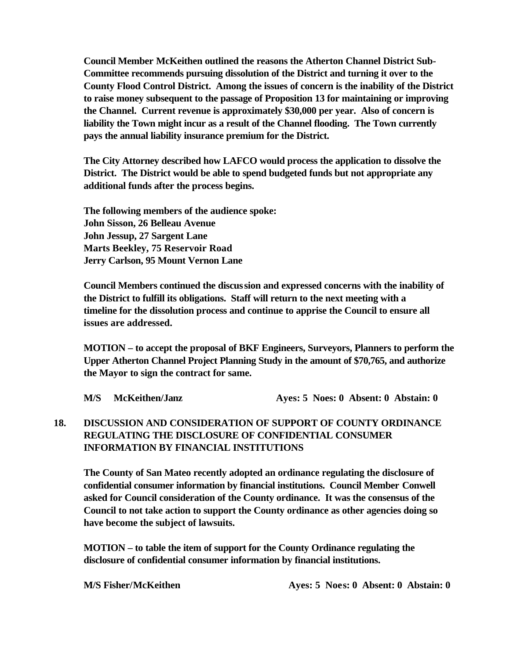**Council Member McKeithen outlined the reasons the Atherton Channel District Sub-Committee recommends pursuing dissolution of the District and turning it over to the County Flood Control District. Among the issues of concern is the inability of the District to raise money subsequent to the passage of Proposition 13 for maintaining or improving the Channel. Current revenue is approximately \$30,000 per year. Also of concern is liability the Town might incur as a result of the Channel flooding. The Town currently pays the annual liability insurance premium for the District.**

**The City Attorney described how LAFCO would process the application to dissolve the District. The District would be able to spend budgeted funds but not appropriate any additional funds after the process begins.**

**The following members of the audience spoke: John Sisson, 26 Belleau Avenue John Jessup, 27 Sargent Lane Marts Beekley, 75 Reservoir Road Jerry Carlson, 95 Mount Vernon Lane**

**Council Members continued the discussion and expressed concerns with the inability of the District to fulfill its obligations. Staff will return to the next meeting with a timeline for the dissolution process and continue to apprise the Council to ensure all issues are addressed.**

**MOTION – to accept the proposal of BKF Engineers, Surveyors, Planners to perform the Upper Atherton Channel Project Planning Study in the amount of \$70,765, and authorize the Mayor to sign the contract for same.**

**M/S McKeithen/Janz Ayes: 5 Noes: 0 Absent: 0 Abstain: 0** 

### **18. DISCUSSION AND CONSIDERATION OF SUPPORT OF COUNTY ORDINANCE REGULATING THE DISCLOSURE OF CONFIDENTIAL CONSUMER INFORMATION BY FINANCIAL INSTITUTIONS**

**The County of San Mateo recently adopted an ordinance regulating the disclosure of confidential consumer information by financial institutions. Council Member Conwell asked for Council consideration of the County ordinance. It was the consensus of the Council to not take action to support the County ordinance as other agencies doing so have become the subject of lawsuits.**

**MOTION – to table the item of support for the County Ordinance regulating the disclosure of confidential consumer information by financial institutions.**

**M/S Fisher/McKeithen Ayes: 5 Noes: 0 Absent: 0 Abstain: 0**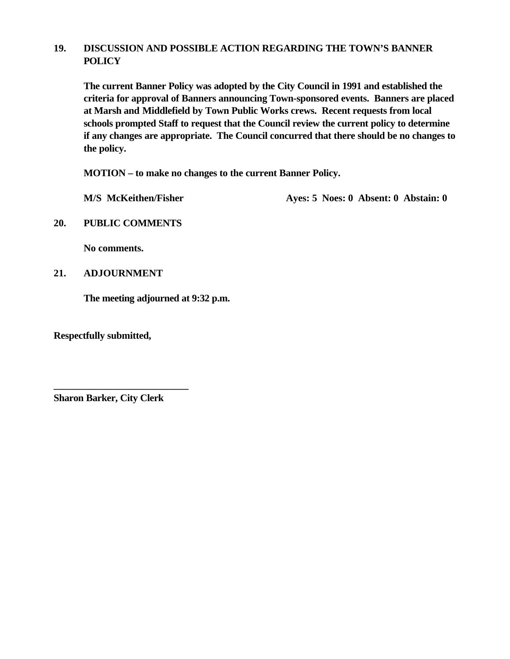### **19. DISCUSSION AND POSSIBLE ACTION REGARDING THE TOWN'S BANNER POLICY**

**The current Banner Policy was adopted by the City Council in 1991 and established the criteria for approval of Banners announcing Town-sponsored events. Banners are placed at Marsh and Middlefield by Town Public Works crews. Recent requests from local schools prompted Staff to request that the Council review the current policy to determine if any changes are appropriate. The Council concurred that there should be no changes to the policy.**

**MOTION – to make no changes to the current Banner Policy.**

M/S McKeithen/Fisher Ayes: 5 Noes: 0 Absent: 0 Abstain: 0

**20. PUBLIC COMMENTS**

**No comments.**

**21. ADJOURNMENT**

**The meeting adjourned at 9:32 p.m.**

**Respectfully submitted,**

**Sharon Barker, City Clerk**

**\_\_\_\_\_\_\_\_\_\_\_\_\_\_\_\_\_\_\_\_\_\_\_\_\_\_\_**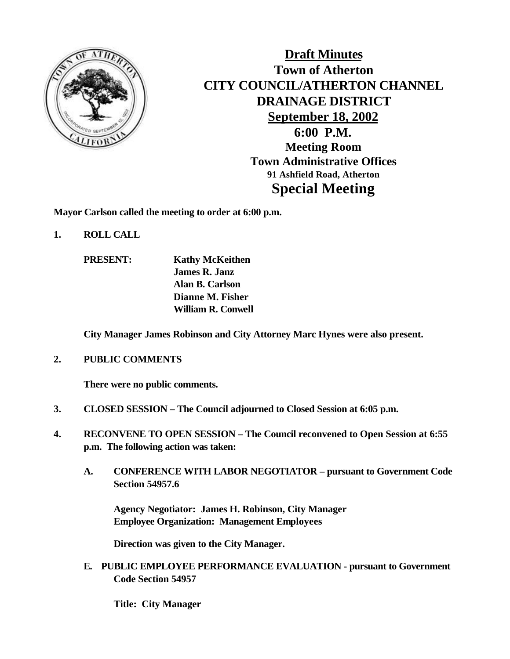

**Draft Minutes Town of Atherton CITY COUNCIL/ATHERTON CHANNEL DRAINAGE DISTRICT September 18, 2002 6:00 P.M. Meeting Room Town Administrative Offices 91 Ashfield Road, Atherton Special Meeting**

**Mayor Carlson called the meeting to order at 6:00 p.m.**

- **1. ROLL CALL**
	- **PRESENT: Kathy McKeithen James R. Janz Alan B. Carlson Dianne M. Fisher William R. Conwell**

**City Manager James Robinson and City Attorney Marc Hynes were also present.**

**2. PUBLIC COMMENTS**

**There were no public comments.**

- **3. CLOSED SESSION The Council adjourned to Closed Session at 6:05 p.m.**
- **4. RECONVENE TO OPEN SESSION The Council reconvened to Open Session at 6:55 p.m. The following action was taken:**
	- **A. CONFERENCE WITH LABOR NEGOTIATOR pursuant to Government Code Section 54957.6**

**Agency Negotiator: James H. Robinson, City Manager Employee Organization: Management Employees**

**Direction was given to the City Manager.**

**E. PUBLIC EMPLOYEE PERFORMANCE EVALUATION - pursuant to Government Code Section 54957**

**Title: City Manager**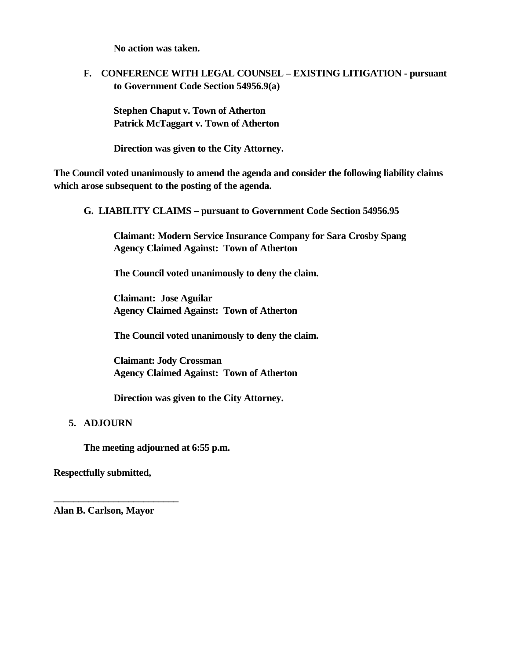**No action was taken.**

**F. CONFERENCE WITH LEGAL COUNSEL – EXISTING LITIGATION - pursuant to Government Code Section 54956.9(a)**

**Stephen Chaput v. Town of Atherton Patrick McTaggart v. Town of Atherton**

**Direction was given to the City Attorney.**

**The Council voted unanimously to amend the agenda and consider the following liability claims which arose subsequent to the posting of the agenda.**

**G. LIABILITY CLAIMS – pursuant to Government Code Section 54956.95**

**Claimant: Modern Service Insurance Company for Sara Crosby Spang Agency Claimed Against: Town of Atherton**

**The Council voted unanimously to deny the claim.**

**Claimant: Jose Aguilar Agency Claimed Against: Town of Atherton**

**The Council voted unanimously to deny the claim.**

**Claimant: Jody Crossman Agency Claimed Against: Town of Atherton**

**Direction was given to the City Attorney.**

### **5. ADJOURN**

**The meeting adjourned at 6:55 p.m.**

**Respectfully submitted,**

**Alan B. Carlson, Mayor**

**\_\_\_\_\_\_\_\_\_\_\_\_\_\_\_\_\_\_\_\_\_\_\_\_\_**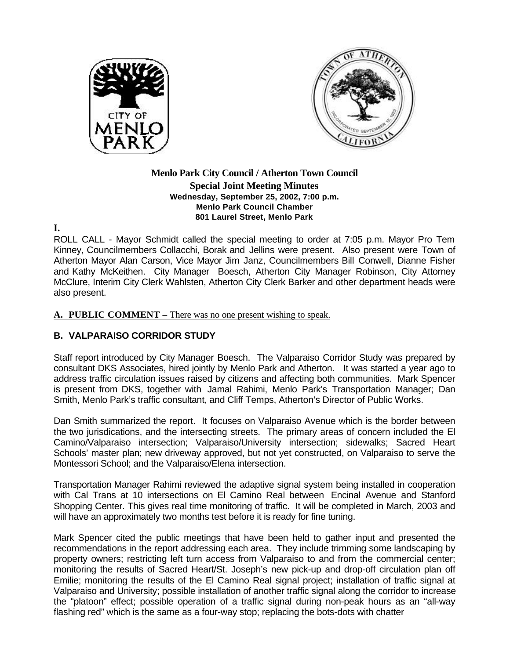



#### **Menlo Park City Council / Atherton Town Council Special Joint Meeting Minutes Wednesday, September 25, 2002, 7:00 p.m. Menlo Park Council Chamber 801 Laurel Street, Menlo Park**

**I.**

ROLL CALL - Mayor Schmidt called the special meeting to order at 7:05 p.m. Mayor Pro Tem Kinney, Councilmembers Collacchi, Borak and Jellins were present. Also present were Town of Atherton Mayor Alan Carson, Vice Mayor Jim Janz, Councilmembers Bill Conwell, Dianne Fisher and Kathy McKeithen. City Manager Boesch, Atherton City Manager Robinson, City Attorney McClure, Interim City Clerk Wahlsten, Atherton City Clerk Barker and other department heads were also present.

#### **A. PUBLIC COMMENT –** There was no one present wishing to speak.

### **B. VALPARAISO CORRIDOR STUDY**

Staff report introduced by City Manager Boesch. The Valparaiso Corridor Study was prepared by consultant DKS Associates, hired jointly by Menlo Park and Atherton. It was started a year ago to address traffic circulation issues raised by citizens and affecting both communities. Mark Spencer is present from DKS, together with Jamal Rahimi, Menlo Park's Transportation Manager; Dan Smith, Menlo Park's traffic consultant, and Cliff Temps, Atherton's Director of Public Works.

Dan Smith summarized the report. It focuses on Valparaiso Avenue which is the border between the two jurisdications, and the intersecting streets. The primary areas of concern included the El Camino/Valparaiso intersection; Valparaiso/University intersection; sidewalks; Sacred Heart Schools' master plan; new driveway approved, but not yet constructed, on Valparaiso to serve the Montessori School; and the Valparaiso/Elena intersection.

Transportation Manager Rahimi reviewed the adaptive signal system being installed in cooperation with Cal Trans at 10 intersections on El Camino Real between Encinal Avenue and Stanford Shopping Center. This gives real time monitoring of traffic. It will be completed in March, 2003 and will have an approximately two months test before it is ready for fine tuning.

Mark Spencer cited the public meetings that have been held to gather input and presented the recommendations in the report addressing each area. They include trimming some landscaping by property owners; restricting left turn access from Valparaiso to and from the commercial center; monitoring the results of Sacred Heart/St. Joseph's new pick-up and drop-off circulation plan off Emilie; monitoring the results of the El Camino Real signal project; installation of traffic signal at Valparaiso and University; possible installation of another traffic signal along the corridor to increase the "platoon" effect; possible operation of a traffic signal during non-peak hours as an "all-way flashing red" which is the same as a four-way stop; replacing the bots-dots with chatter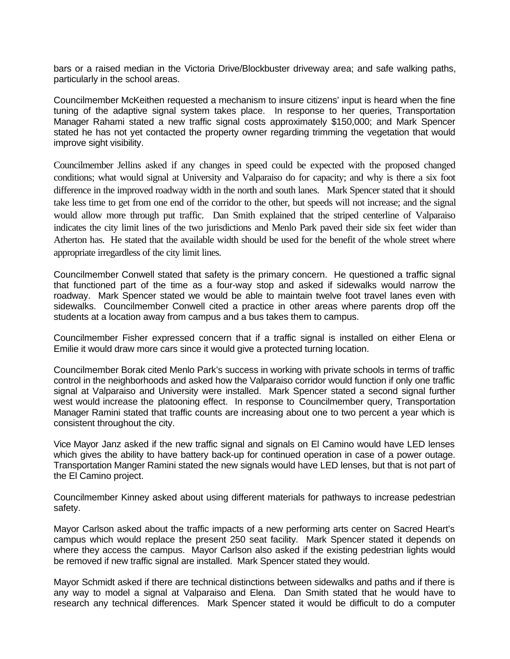bars or a raised median in the Victoria Drive/Blockbuster driveway area; and safe walking paths, particularly in the school areas.

Councilmember McKeithen requested a mechanism to insure citizens' input is heard when the fine tuning of the adaptive signal system takes place. In response to her queries, Transportation Manager Rahami stated a new traffic signal costs approximately \$150,000; and Mark Spencer stated he has not yet contacted the property owner regarding trimming the vegetation that would improve sight visibility.

Councilmember Jellins asked if any changes in speed could be expected with the proposed changed conditions; what would signal at University and Valparaiso do for capacity; and why is there a six foot difference in the improved roadway width in the north and south lanes. Mark Spencer stated that it should take less time to get from one end of the corridor to the other, but speeds will not increase; and the signal would allow more through put traffic. Dan Smith explained that the striped centerline of Valparaiso indicates the city limit lines of the two jurisdictions and Menlo Park paved their side six feet wider than Atherton has. He stated that the available width should be used for the benefit of the whole street where appropriate irregardless of the city limit lines.

Councilmember Conwell stated that safety is the primary concern. He questioned a traffic signal that functioned part of the time as a four-way stop and asked if sidewalks would narrow the roadway. Mark Spencer stated we would be able to maintain twelve foot travel lanes even with sidewalks. Councilmember Conwell cited a practice in other areas where parents drop off the students at a location away from campus and a bus takes them to campus.

Councilmember Fisher expressed concern that if a traffic signal is installed on either Elena or Emilie it would draw more cars since it would give a protected turning location.

Councilmember Borak cited Menlo Park's success in working with private schools in terms of traffic control in the neighborhoods and asked how the Valparaiso corridor would function if only one traffic signal at Valparaiso and University were installed. Mark Spencer stated a second signal further west would increase the platooning effect. In response to Councilmember query, Transportation Manager Ramini stated that traffic counts are increasing about one to two percent a year which is consistent throughout the city.

Vice Mayor Janz asked if the new traffic signal and signals on El Camino would have LED lenses which gives the ability to have battery back-up for continued operation in case of a power outage. Transportation Manger Ramini stated the new signals would have LED lenses, but that is not part of the El Camino project.

Councilmember Kinney asked about using different materials for pathways to increase pedestrian safety.

Mayor Carlson asked about the traffic impacts of a new performing arts center on Sacred Heart's campus which would replace the present 250 seat facility. Mark Spencer stated it depends on where they access the campus. Mayor Carlson also asked if the existing pedestrian lights would be removed if new traffic signal are installed. Mark Spencer stated they would.

Mayor Schmidt asked if there are technical distinctions between sidewalks and paths and if there is any way to model a signal at Valparaiso and Elena. Dan Smith stated that he would have to research any technical differences. Mark Spencer stated it would be difficult to do a computer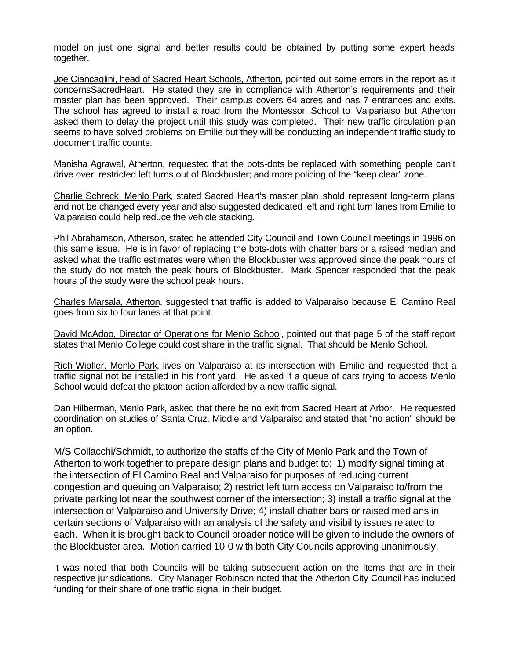model on just one signal and better results could be obtained by putting some expert heads together.

Joe Ciancaglini, head of Sacred Heart Schools, Atherton, pointed out some errors in the report as it concernsSacredHeart. He stated they are in compliance with Atherton's requirements and their master plan has been approved. Their campus covers 64 acres and has 7 entrances and exits. The school has agreed to install a road from the Montessori School to Valpariaiso but Atherton asked them to delay the project until this study was completed. Their new traffic circulation plan seems to have solved problems on Emilie but they will be conducting an independent traffic study to document traffic counts.

Manisha Agrawal, Atherton, requested that the bots-dots be replaced with something people can't drive over; restricted left turns out of Blockbuster; and more policing of the "keep clear" zone.

Charlie Schreck, Menlo Park, stated Sacred Heart's master plan shold represent long-term plans and not be changed every year and also suggested dedicated left and right turn lanes from Emilie to Valparaiso could help reduce the vehicle stacking.

Phil Abrahamson, Atherson, stated he attended City Council and Town Council meetings in 1996 on this same issue. He is in favor of replacing the bots-dots with chatter bars or a raised median and asked what the traffic estimates were when the Blockbuster was approved since the peak hours of the study do not match the peak hours of Blockbuster. Mark Spencer responded that the peak hours of the study were the school peak hours.

Charles Marsala, Atherton, suggested that traffic is added to Valparaiso because El Camino Real goes from six to four lanes at that point.

David McAdoo, Director of Operations for Menlo School, pointed out that page 5 of the staff report states that Menlo College could cost share in the traffic signal. That should be Menlo School.

Rich Wipfler, Menlo Park, lives on Valparaiso at its intersection with Emilie and requested that a traffic signal not be installed in his front yard. He asked if a queue of cars trying to access Menlo School would defeat the platoon action afforded by a new traffic signal.

Dan Hilberman, Menlo Park, asked that there be no exit from Sacred Heart at Arbor. He requested coordination on studies of Santa Cruz, Middle and Valparaiso and stated that "no action" should be an option.

M/S Collacchi/Schmidt, to authorize the staffs of the City of Menlo Park and the Town of Atherton to work together to prepare design plans and budget to: 1) modify signal timing at the intersection of El Camino Real and Valparaiso for purposes of reducing current congestion and queuing on Valparaiso; 2) restrict left turn access on Valparaiso to/from the private parking lot near the southwest corner of the intersection; 3) install a traffic signal at the intersection of Valparaiso and University Drive; 4) install chatter bars or raised medians in certain sections of Valparaiso with an analysis of the safety and visibility issues related to each. When it is brought back to Council broader notice will be given to include the owners of the Blockbuster area. Motion carried 10-0 with both City Councils approving unanimously.

It was noted that both Councils will be taking subsequent action on the items that are in their respective jurisdications. City Manager Robinson noted that the Atherton City Council has included funding for their share of one traffic signal in their budget.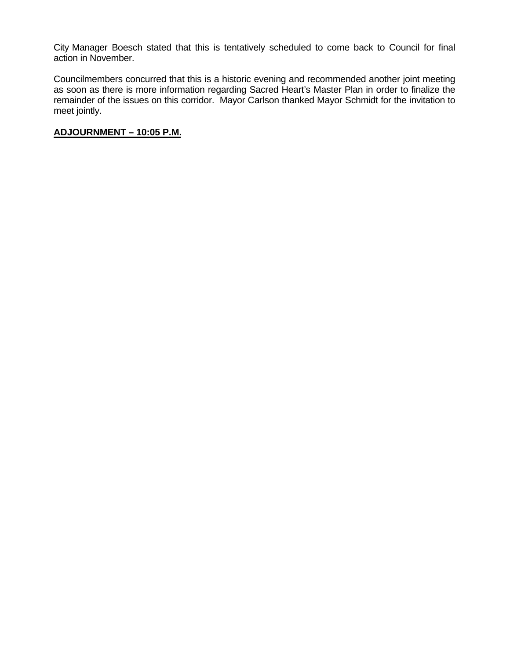City Manager Boesch stated that this is tentatively scheduled to come back to Council for final action in November.

Councilmembers concurred that this is a historic evening and recommended another joint meeting as soon as there is more information regarding Sacred Heart's Master Plan in order to finalize the remainder of the issues on this corridor. Mayor Carlson thanked Mayor Schmidt for the invitation to meet jointly.

#### **ADJOURNMENT – 10:05 P.M.**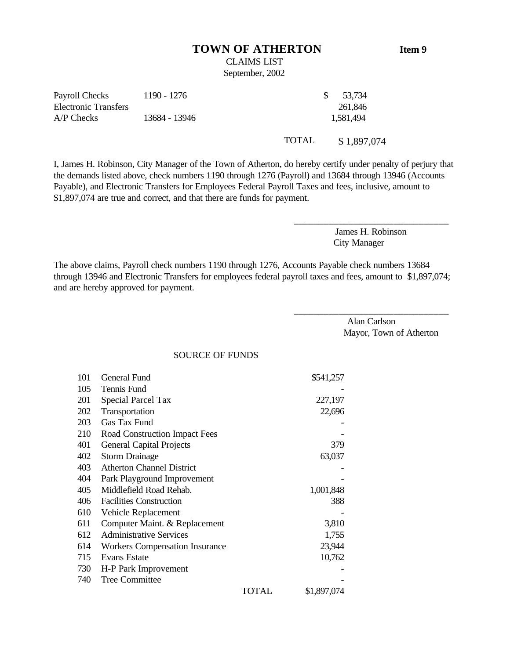#### **TOWN OF ATHERTON Item 9**

### CLAIMS LIST September, 2002

| Payroll Checks       | 1190 - 1276   | 53,734    |
|----------------------|---------------|-----------|
| Electronic Transfers |               | 261,846   |
| $AP$ Checks          | 13684 - 13946 | 1.581.494 |
|                      |               |           |

I, James H. Robinson, City Manager of the Town of Atherton, do hereby certify under penalty of perjury that the demands listed above, check numbers 1190 through 1276 (Payroll) and 13684 through 13946 (Accounts Payable), and Electronic Transfers for Employees Federal Payroll Taxes and fees, inclusive, amount to \$1,897,074 are true and correct, and that there are funds for payment.

> James H. Robinson City Manager

\_\_\_\_\_\_\_\_\_\_\_\_\_\_\_\_\_\_\_\_\_\_\_\_\_\_\_\_\_\_\_

\_\_\_\_\_\_\_\_\_\_\_\_\_\_\_\_\_\_\_\_\_\_\_\_\_\_\_\_\_\_\_

TOTAL \$ 1,897,074

The above claims, Payroll check numbers 1190 through 1276, Accounts Payable check numbers 13684 through 13946 and Electronic Transfers for employees federal payroll taxes and fees, amount to \$1,897,074; and are hereby approved for payment.

> Alan Carlson Mayor, Town of Atherton

SOURCE OF FUNDS

| 101 | General Fund                          |       | \$541,257   |
|-----|---------------------------------------|-------|-------------|
| 105 | Tennis Fund                           |       |             |
| 201 | Special Parcel Tax                    |       | 227,197     |
| 202 | Transportation                        |       | 22,696      |
| 203 | Gas Tax Fund                          |       |             |
| 210 | Road Construction Impact Fees         |       |             |
| 401 | <b>General Capital Projects</b>       |       | 379         |
| 402 | <b>Storm Drainage</b>                 |       | 63,037      |
| 403 | <b>Atherton Channel District</b>      |       |             |
| 404 | Park Playground Improvement           |       |             |
| 405 | Middlefield Road Rehab.               |       | 1,001,848   |
| 406 | <b>Facilities Construction</b>        |       | 388         |
| 610 | Vehicle Replacement                   |       |             |
| 611 | Computer Maint. & Replacement         |       | 3,810       |
| 612 | <b>Administrative Services</b>        |       | 1,755       |
| 614 | <b>Workers Compensation Insurance</b> |       | 23,944      |
| 715 | Evans Estate                          |       | 10,762      |
| 730 | H-P Park Improvement                  |       |             |
| 740 | Tree Committee                        |       |             |
|     |                                       | TOTAL | \$1,897,074 |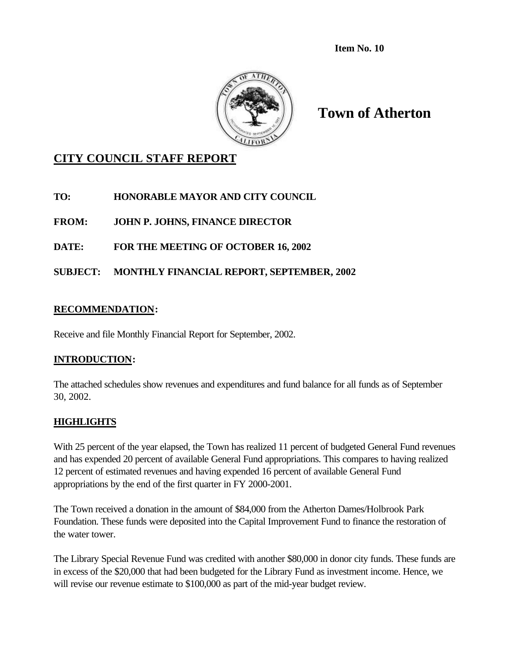**Item No. 10**



**Town of Atherton**

## **CITY COUNCIL STAFF REPORT**

**TO: HONORABLE MAYOR AND CITY COUNCIL**

**FROM: JOHN P. JOHNS, FINANCE DIRECTOR**

**DATE: FOR THE MEETING OF OCTOBER 16, 2002**

**SUBJECT: MONTHLY FINANCIAL REPORT, SEPTEMBER, 2002**

### **RECOMMENDATION:**

Receive and file Monthly Financial Report for September, 2002.

### **INTRODUCTION:**

The attached schedules show revenues and expenditures and fund balance for all funds as of September 30, 2002.

### **HIGHLIGHTS**

With 25 percent of the year elapsed, the Town has realized 11 percent of budgeted General Fund revenues and has expended 20 percent of available General Fund appropriations. This compares to having realized 12 percent of estimated revenues and having expended 16 percent of available General Fund appropriations by the end of the first quarter in FY 2000-2001.

The Town received a donation in the amount of \$84,000 from the Atherton Dames/Holbrook Park Foundation. These funds were deposited into the Capital Improvement Fund to finance the restoration of the water tower.

The Library Special Revenue Fund was credited with another \$80,000 in donor city funds. These funds are in excess of the \$20,000 that had been budgeted for the Library Fund as investment income. Hence, we will revise our revenue estimate to \$100,000 as part of the mid-year budget review.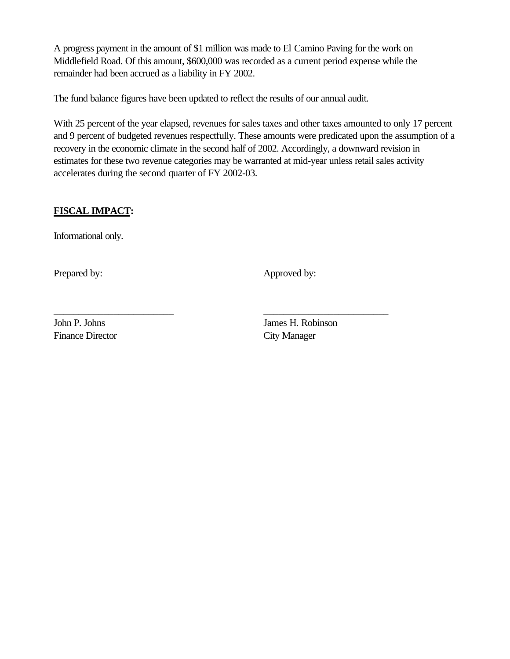A progress payment in the amount of \$1 million was made to El Camino Paving for the work on Middlefield Road. Of this amount, \$600,000 was recorded as a current period expense while the remainder had been accrued as a liability in FY 2002.

The fund balance figures have been updated to reflect the results of our annual audit.

\_\_\_\_\_\_\_\_\_\_\_\_\_\_\_\_\_\_\_\_\_\_\_\_ \_\_\_\_\_\_\_\_\_\_\_\_\_\_\_\_\_\_\_\_\_\_\_\_\_

With 25 percent of the year elapsed, revenues for sales taxes and other taxes amounted to only 17 percent and 9 percent of budgeted revenues respectfully. These amounts were predicated upon the assumption of a recovery in the economic climate in the second half of 2002. Accordingly, a downward revision in estimates for these two revenue categories may be warranted at mid-year unless retail sales activity accelerates during the second quarter of FY 2002-03.

### **FISCAL IMPACT:**

Informational only.

Prepared by: Approved by:

Finance Director City Manager

John P. Johns James H. Robinson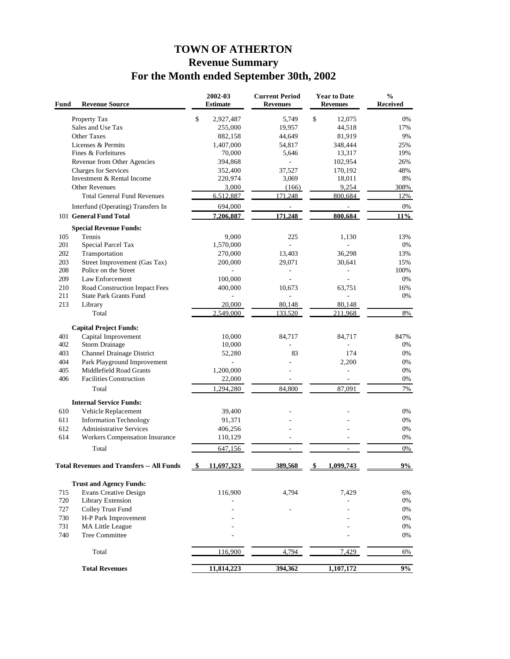# **TOWN OF ATHERTON Revenue Summary For the Month ended September 30th, 2002**

| Fund | <b>Revenue Source</b>                            | 2002-03<br><b>Estimate</b> | <b>Current Period</b><br><b>Revenues</b> | <b>Year to Date</b><br><b>Revenues</b> | $\frac{0}{0}$<br><b>Received</b> |
|------|--------------------------------------------------|----------------------------|------------------------------------------|----------------------------------------|----------------------------------|
|      | Property Tax                                     | \$<br>2,927,487            | 5,749                                    | \$<br>12.075                           | 0%                               |
|      | Sales and Use Tax                                | 255,000                    | 19,957                                   | 44,518                                 | 17%                              |
|      | Other Taxes                                      | 882,158                    | 44,649                                   | 81,919                                 | 9%                               |
|      | Licenses & Permits                               | 1,407,000                  | 54,817                                   | 348,444                                | 25%                              |
|      | Fines & Forfeitures                              | 70,000                     | 5,646                                    | 13,317                                 | 19%                              |
|      | Revenue from Other Agencies                      | 394,868                    |                                          | 102,954                                | 26%                              |
|      | Charges for Services                             | 352,400                    | 37,527                                   | 170,192                                | 48%                              |
|      | Investment & Rental Income                       | 220,974                    | 3,069                                    | 18,011                                 | 8%                               |
|      | <b>Other Revenues</b>                            | 3,000                      | (166)                                    | 9,254                                  | 308%                             |
|      | <b>Total General Fund Revenues</b>               | 6,512,887                  | 171,248                                  | 800,684                                | 12%                              |
|      | Interfund (Operating) Transfers In               | 694,000                    | $\overline{\phantom{a}}$                 |                                        | 0%                               |
|      | 101 General Fund Total                           | 7,206,887                  | 171.248                                  | 800,684                                | 11%                              |
|      | <b>Special Revenue Funds:</b>                    |                            |                                          |                                        |                                  |
| 105  | Tennis                                           | 9,000                      | 225                                      | 1,130                                  | 13%                              |
| 201  | Special Parcel Tax                               | 1,570,000                  | L.                                       |                                        | $0\%$                            |
| 202  | Transportation                                   | 270,000                    | 13,403                                   | 36,298                                 | 13%                              |
| 203  | Street Improvement (Gas Tax)                     | 200,000                    | 29,071                                   | 30,641                                 | 15%                              |
| 208  | Police on the Street                             |                            | $\blacksquare$                           | $\blacksquare$                         | 100%                             |
| 209  | Law Enforcement                                  | 100,000                    |                                          |                                        | 0%                               |
| 210  | Road Construction Impact Fees                    | 400,000                    | 10,673                                   | 63,751                                 | 16%                              |
| 211  | <b>State Park Grants Fund</b>                    |                            |                                          | ä,                                     | 0%                               |
| 213  | Library                                          | 20,000                     | 80,148                                   | 80,148                                 |                                  |
|      | Total                                            | 2.549,000                  | 133,520                                  | 211,968                                | 8%                               |
|      | <b>Capital Project Funds:</b>                    |                            |                                          |                                        |                                  |
| 401  | Capital Improvement                              | 10,000                     | 84,717                                   | 84,717                                 | 847%                             |
| 402  | <b>Storm Drainage</b>                            | 10,000                     |                                          |                                        | 0%                               |
| 403  | Channel Drainage District                        | 52,280                     | 83                                       | 174                                    | 0%                               |
| 404  | Park Playground Improvement                      |                            |                                          | 2,200                                  | 0%                               |
| 405  | Middlefield Road Grants                          | 1,200,000                  |                                          | $\overline{\phantom{a}}$               | 0%                               |
| 406  | <b>Facilities Construction</b>                   | 22,000                     |                                          |                                        | 0%                               |
|      |                                                  |                            |                                          |                                        |                                  |
|      | Total                                            | 1,294,280                  | 84,800                                   | 87,091                                 | 7%                               |
|      | <b>Internal Service Funds:</b>                   |                            |                                          |                                        |                                  |
| 610  | Vehicle Replacement                              | 39,400                     |                                          |                                        | 0%                               |
| 611  | <b>Information Technology</b>                    | 91,371                     |                                          |                                        | 0%                               |
| 612  | <b>Administrative Services</b>                   | 406,256                    |                                          |                                        | 0%                               |
| 614  | Workers Compensation Insurance                   | 110,129                    |                                          |                                        | 0%                               |
|      | Total                                            | 647,156                    | $\overline{a}$                           |                                        | 0%                               |
|      | <b>Total Revenues and Transfers -- All Funds</b> | 11.697.323                 | 389.568                                  | \$<br>1.099.743                        | 9%                               |
|      |                                                  |                            |                                          |                                        |                                  |
|      | <b>Trust and Agency Funds:</b>                   |                            |                                          |                                        |                                  |
| 715  | <b>Evans Creative Design</b>                     | 116,900                    | 4,794                                    | 7,429                                  | 6%                               |
| 720  | Library Extension                                |                            |                                          |                                        | 0%                               |
| 727  | Colley Trust Fund                                |                            |                                          |                                        | 0%                               |
| 730  | H-P Park Improvement                             |                            |                                          |                                        | 0%                               |
| 731  | MA Little League                                 |                            |                                          |                                        | 0%                               |
| 740  | Tree Committee                                   |                            |                                          |                                        | 0%                               |
|      | Total                                            | 116,900                    | 4,794                                    | 7,429                                  | 6%                               |
|      | <b>Total Revenues</b>                            | 11,814,223                 | 394,362                                  | 1,107,172                              | 9%                               |
|      |                                                  |                            |                                          |                                        |                                  |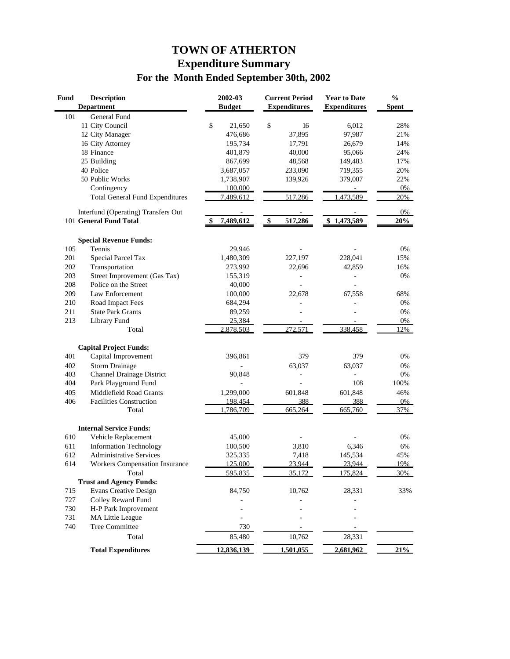# **TOWN OF ATHERTON Expenditure Summary For the Month Ended September 30th, 2002**

| <b>Fund</b> | <b>Description</b><br><b>Department</b> | 2002-03<br><b>Budget</b> |               | <b>Current Period</b><br><b>Expenditures</b> | <b>Year to Date</b><br><b>Expenditures</b> | $\frac{0}{0}$<br><b>Spent</b> |
|-------------|-----------------------------------------|--------------------------|---------------|----------------------------------------------|--------------------------------------------|-------------------------------|
| 101         | General Fund                            |                          |               |                                              |                                            |                               |
|             | 11 City Council                         | \$<br>21,650             | \$            | 16                                           | 6,012                                      | 28%                           |
|             | 12 City Manager                         | 476,686                  |               | 37,895                                       | 97,987                                     | 21%                           |
|             | 16 City Attorney                        | 195,734                  |               | 17,791                                       | 26,679                                     | 14%                           |
|             | 18 Finance                              | 401,879                  |               | 40,000                                       | 95,066                                     | 24%                           |
|             | 25 Building                             | 867,699                  |               | 48,568                                       | 149,483                                    | 17%                           |
|             | 40 Police                               | 3,687,057                |               | 233,090                                      | 719,355                                    | 20%                           |
|             | 50 Public Works                         | 1,738,907                |               | 139,926                                      | 379,007                                    | 22%                           |
|             | Contingency                             | 100,000                  |               |                                              |                                            | 0%                            |
|             | <b>Total General Fund Expenditures</b>  | 7,489,612                |               | 517.286                                      | 473,589                                    | 20%                           |
|             | Interfund (Operating) Transfers Out     |                          |               |                                              |                                            | 0%                            |
|             | 101 General Fund Total                  | 7,489,612                | $\frac{1}{2}$ | 517,286                                      | \$1,473,589                                | 20%                           |
|             | <b>Special Revenue Funds:</b>           |                          |               |                                              |                                            |                               |
| 105         | Tennis                                  | 29,946                   |               |                                              |                                            | 0%                            |
| 201         | Special Parcel Tax                      | 1,480,309                |               | 227,197                                      | 228,041                                    | 15%                           |
| 202         | Transportation                          | 273,992                  |               | 22,696                                       | 42,859                                     | 16%                           |
| 203         | Street Improvement (Gas Tax)            | 155,319                  |               |                                              |                                            | 0%                            |
| 208         | Police on the Street                    | 40,000                   |               |                                              |                                            |                               |
| 209         | Law Enforcement                         | 100,000                  |               | 22,678                                       | 67,558                                     | 68%                           |
| 210         | Road Impact Fees                        | 684,294                  |               |                                              |                                            | 0%                            |
| 211         | <b>State Park Grants</b>                | 89,259                   |               |                                              |                                            | 0%                            |
| 213         | Library Fund                            | 25,384                   |               |                                              |                                            | 0%                            |
|             | Total                                   | 2,878,503                |               | 272,571                                      | 338,458                                    | 12%                           |
|             | <b>Capital Project Funds:</b>           |                          |               |                                              |                                            |                               |
| 401         | Capital Improvement                     | 396,861                  |               | 379                                          | 379                                        | 0%                            |
| 402         | <b>Storm Drainage</b>                   |                          |               | 63,037                                       | 63,037                                     | 0%                            |
| 403         | <b>Channel Drainage District</b>        | 90,848                   |               |                                              |                                            | 0%                            |
| 404         | Park Playground Fund                    |                          |               |                                              | 108                                        | 100%                          |
| 405         | Middlefield Road Grants                 | 1,299,000                |               | 601,848                                      | 601,848                                    | 46%                           |
| 406         | <b>Facilities Construction</b>          | 198,454                  |               | 388                                          | 388                                        | 0%                            |
|             | Total                                   | 1,786,709                |               | 665,264                                      | 665,760                                    | 37%                           |
|             | <b>Internal Service Funds:</b>          |                          |               |                                              |                                            |                               |
| 610         | Vehicle Replacement                     | 45,000                   |               |                                              |                                            | 0%                            |
| 611         | <b>Information Technology</b>           | 100,500                  |               | 3,810                                        | 6,346                                      | 6%                            |
| 612         | Administrative Services                 | 325,335                  |               | 7,418                                        | 145,534                                    | 45%                           |
| 614         | Workers Compensation Insurance          | 125,000                  |               | 23.944                                       | 23.944                                     | 19%                           |
|             | Total                                   | 595,835                  |               | 35,172                                       | 175,824                                    | 30%                           |
|             | <b>Trust and Agency Funds:</b>          |                          |               |                                              |                                            |                               |
| 715         | <b>Evans Creative Design</b>            | 84,750                   |               | 10,762                                       | 28,331                                     | 33%                           |
| 727         | Colley Reward Fund                      |                          |               |                                              |                                            |                               |
| 730         | H-P Park Improvement                    |                          |               |                                              |                                            |                               |
| 731         | MA Little League                        |                          |               |                                              |                                            |                               |
| 740         | <b>Tree Committee</b>                   | 730                      |               |                                              |                                            |                               |
|             | Total                                   | 85,480                   |               | 10,762                                       | 28,331                                     |                               |
|             | <b>Total Expenditures</b>               | 12,836,139               |               | 1,501,055                                    | 2,681,962                                  | 21%                           |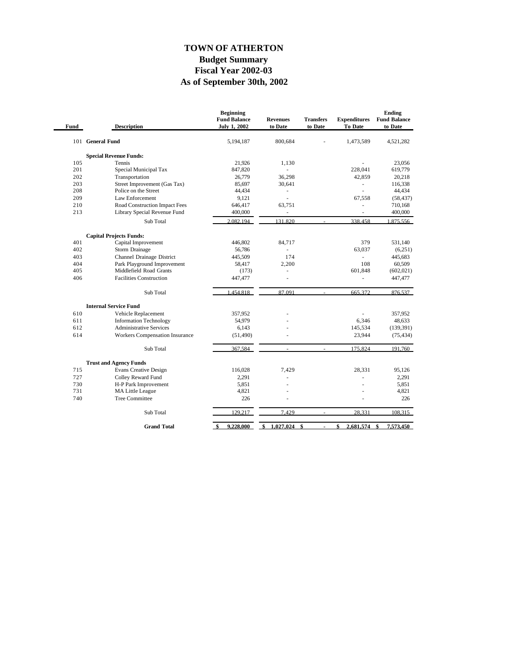### **As of September 30th, 2002 Fiscal Year 2002-03 Budget Summary TOWN OF ATHERTON**

| 101 General Fund<br>800,684<br>5,194,187<br>1,473,589<br>4,521,282<br><b>Special Revenue Funds:</b><br>105<br>Tennis<br>21,926<br>23,056<br>1.130<br>201<br>Special Municipal Tax<br>847,820<br>228,041<br>619,779<br>L.<br>202<br>36,298<br>42,859<br>Transportation<br>26,779<br>20,218<br>Street Improvement (Gas Tax)<br>85,697<br>116,338<br>203<br>30,641<br>$\sim$<br>Police on the Street<br>44,434<br>208<br>44,434<br>÷,<br>÷,<br>209<br>Law Enforcement<br>9,121<br>67,558<br>÷<br>210<br>Road Construction Impact Fees<br>646,417<br>710,168<br>63,751<br>ä,<br>Library Special Revenue Fund<br>400,000<br>213<br>400,000<br>$\overline{\phantom{m}}$<br>÷,<br>2.082.194<br>131.820<br>338,458<br>Sub Total<br><b>Capital Projects Funds:</b><br>401<br>446,802<br>379<br>531,140<br>Capital Improvement<br>84,717<br>402<br>Storm Drainage<br>56,786<br>63,037<br>(6,251)<br>403<br>Channel Drainage District<br>174<br>445,683<br>445,509<br>ä,<br>404<br>Park Playground Improvement<br>58,417<br>108<br>60,509<br>2,200<br>405<br>Middlefield Road Grants<br>601.848<br>(173)<br>(602, 021)<br>406<br><b>Facilities Construction</b><br>447,477<br>447,477<br>$\overline{\phantom{a}}$<br>ä,<br>1.454.818<br>87.091<br>Sub Total<br>665.372<br><b>Internal Service Fund</b><br>610<br>Vehicle Replacement<br>357,952<br>357,952<br><b>Information Technology</b><br>54,979<br>6,346<br>48,633<br>611<br><b>Administrative Services</b><br>612<br>6,143<br>145,534<br>(139, 391)<br>614<br><b>Workers Compensation Insurance</b><br>23,944<br>(51, 490)<br>Sub Total<br>367,584<br>175,824<br><b>Trust and Agency Funds</b><br>715<br><b>Evans Creative Design</b><br>116,028<br>7,429<br>28,331<br>95,126<br>2,291<br>727<br>Colley Reward Fund<br>2,291<br>ä,<br>730<br>H-P Park Improvement<br>5,851<br>5,851<br>731<br>MA Little League<br>4,821<br>4,821<br><b>Tree Committee</b><br>226<br>226<br>740<br>129,217<br>Sub Total<br>7,429<br>28,331<br>$\omega$<br>9,228,000<br><b>Grand Total</b><br>1.027.024<br>\$<br>\$<br>2.681.574<br>7.573.450<br>-\$<br>\$<br>\$ | Fund | <b>Description</b> | <b>Beginning</b><br><b>Fund Balance</b><br><b>July 1, 2002</b> | <b>Revenues</b><br>to Date | <b>Transfers</b><br>to Date | <b>Expenditures</b><br>To Date | Ending<br><b>Fund Balance</b><br>to Date |
|--------------------------------------------------------------------------------------------------------------------------------------------------------------------------------------------------------------------------------------------------------------------------------------------------------------------------------------------------------------------------------------------------------------------------------------------------------------------------------------------------------------------------------------------------------------------------------------------------------------------------------------------------------------------------------------------------------------------------------------------------------------------------------------------------------------------------------------------------------------------------------------------------------------------------------------------------------------------------------------------------------------------------------------------------------------------------------------------------------------------------------------------------------------------------------------------------------------------------------------------------------------------------------------------------------------------------------------------------------------------------------------------------------------------------------------------------------------------------------------------------------------------------------------------------------------------------------------------------------------------------------------------------------------------------------------------------------------------------------------------------------------------------------------------------------------------------------------------------------------------------------------------------------------------------------------------------------------------------------------------------------------------------------------------------------------------------------------------|------|--------------------|----------------------------------------------------------------|----------------------------|-----------------------------|--------------------------------|------------------------------------------|
|                                                                                                                                                                                                                                                                                                                                                                                                                                                                                                                                                                                                                                                                                                                                                                                                                                                                                                                                                                                                                                                                                                                                                                                                                                                                                                                                                                                                                                                                                                                                                                                                                                                                                                                                                                                                                                                                                                                                                                                                                                                                                            |      |                    |                                                                |                            |                             |                                |                                          |
|                                                                                                                                                                                                                                                                                                                                                                                                                                                                                                                                                                                                                                                                                                                                                                                                                                                                                                                                                                                                                                                                                                                                                                                                                                                                                                                                                                                                                                                                                                                                                                                                                                                                                                                                                                                                                                                                                                                                                                                                                                                                                            |      |                    |                                                                |                            |                             |                                |                                          |
|                                                                                                                                                                                                                                                                                                                                                                                                                                                                                                                                                                                                                                                                                                                                                                                                                                                                                                                                                                                                                                                                                                                                                                                                                                                                                                                                                                                                                                                                                                                                                                                                                                                                                                                                                                                                                                                                                                                                                                                                                                                                                            |      |                    |                                                                |                            |                             |                                |                                          |
|                                                                                                                                                                                                                                                                                                                                                                                                                                                                                                                                                                                                                                                                                                                                                                                                                                                                                                                                                                                                                                                                                                                                                                                                                                                                                                                                                                                                                                                                                                                                                                                                                                                                                                                                                                                                                                                                                                                                                                                                                                                                                            |      |                    |                                                                |                            |                             |                                |                                          |
|                                                                                                                                                                                                                                                                                                                                                                                                                                                                                                                                                                                                                                                                                                                                                                                                                                                                                                                                                                                                                                                                                                                                                                                                                                                                                                                                                                                                                                                                                                                                                                                                                                                                                                                                                                                                                                                                                                                                                                                                                                                                                            |      |                    |                                                                |                            |                             |                                |                                          |
|                                                                                                                                                                                                                                                                                                                                                                                                                                                                                                                                                                                                                                                                                                                                                                                                                                                                                                                                                                                                                                                                                                                                                                                                                                                                                                                                                                                                                                                                                                                                                                                                                                                                                                                                                                                                                                                                                                                                                                                                                                                                                            |      |                    |                                                                |                            |                             |                                |                                          |
|                                                                                                                                                                                                                                                                                                                                                                                                                                                                                                                                                                                                                                                                                                                                                                                                                                                                                                                                                                                                                                                                                                                                                                                                                                                                                                                                                                                                                                                                                                                                                                                                                                                                                                                                                                                                                                                                                                                                                                                                                                                                                            |      |                    |                                                                |                            |                             |                                |                                          |
|                                                                                                                                                                                                                                                                                                                                                                                                                                                                                                                                                                                                                                                                                                                                                                                                                                                                                                                                                                                                                                                                                                                                                                                                                                                                                                                                                                                                                                                                                                                                                                                                                                                                                                                                                                                                                                                                                                                                                                                                                                                                                            |      |                    |                                                                |                            |                             |                                | (58, 437)                                |
|                                                                                                                                                                                                                                                                                                                                                                                                                                                                                                                                                                                                                                                                                                                                                                                                                                                                                                                                                                                                                                                                                                                                                                                                                                                                                                                                                                                                                                                                                                                                                                                                                                                                                                                                                                                                                                                                                                                                                                                                                                                                                            |      |                    |                                                                |                            |                             |                                |                                          |
|                                                                                                                                                                                                                                                                                                                                                                                                                                                                                                                                                                                                                                                                                                                                                                                                                                                                                                                                                                                                                                                                                                                                                                                                                                                                                                                                                                                                                                                                                                                                                                                                                                                                                                                                                                                                                                                                                                                                                                                                                                                                                            |      |                    |                                                                |                            |                             |                                |                                          |
|                                                                                                                                                                                                                                                                                                                                                                                                                                                                                                                                                                                                                                                                                                                                                                                                                                                                                                                                                                                                                                                                                                                                                                                                                                                                                                                                                                                                                                                                                                                                                                                                                                                                                                                                                                                                                                                                                                                                                                                                                                                                                            |      |                    |                                                                |                            |                             |                                | 1.875.556                                |
|                                                                                                                                                                                                                                                                                                                                                                                                                                                                                                                                                                                                                                                                                                                                                                                                                                                                                                                                                                                                                                                                                                                                                                                                                                                                                                                                                                                                                                                                                                                                                                                                                                                                                                                                                                                                                                                                                                                                                                                                                                                                                            |      |                    |                                                                |                            |                             |                                |                                          |
|                                                                                                                                                                                                                                                                                                                                                                                                                                                                                                                                                                                                                                                                                                                                                                                                                                                                                                                                                                                                                                                                                                                                                                                                                                                                                                                                                                                                                                                                                                                                                                                                                                                                                                                                                                                                                                                                                                                                                                                                                                                                                            |      |                    |                                                                |                            |                             |                                |                                          |
|                                                                                                                                                                                                                                                                                                                                                                                                                                                                                                                                                                                                                                                                                                                                                                                                                                                                                                                                                                                                                                                                                                                                                                                                                                                                                                                                                                                                                                                                                                                                                                                                                                                                                                                                                                                                                                                                                                                                                                                                                                                                                            |      |                    |                                                                |                            |                             |                                |                                          |
|                                                                                                                                                                                                                                                                                                                                                                                                                                                                                                                                                                                                                                                                                                                                                                                                                                                                                                                                                                                                                                                                                                                                                                                                                                                                                                                                                                                                                                                                                                                                                                                                                                                                                                                                                                                                                                                                                                                                                                                                                                                                                            |      |                    |                                                                |                            |                             |                                |                                          |
|                                                                                                                                                                                                                                                                                                                                                                                                                                                                                                                                                                                                                                                                                                                                                                                                                                                                                                                                                                                                                                                                                                                                                                                                                                                                                                                                                                                                                                                                                                                                                                                                                                                                                                                                                                                                                                                                                                                                                                                                                                                                                            |      |                    |                                                                |                            |                             |                                |                                          |
|                                                                                                                                                                                                                                                                                                                                                                                                                                                                                                                                                                                                                                                                                                                                                                                                                                                                                                                                                                                                                                                                                                                                                                                                                                                                                                                                                                                                                                                                                                                                                                                                                                                                                                                                                                                                                                                                                                                                                                                                                                                                                            |      |                    |                                                                |                            |                             |                                |                                          |
|                                                                                                                                                                                                                                                                                                                                                                                                                                                                                                                                                                                                                                                                                                                                                                                                                                                                                                                                                                                                                                                                                                                                                                                                                                                                                                                                                                                                                                                                                                                                                                                                                                                                                                                                                                                                                                                                                                                                                                                                                                                                                            |      |                    |                                                                |                            |                             |                                |                                          |
|                                                                                                                                                                                                                                                                                                                                                                                                                                                                                                                                                                                                                                                                                                                                                                                                                                                                                                                                                                                                                                                                                                                                                                                                                                                                                                                                                                                                                                                                                                                                                                                                                                                                                                                                                                                                                                                                                                                                                                                                                                                                                            |      |                    |                                                                |                            |                             |                                | 876.537                                  |
|                                                                                                                                                                                                                                                                                                                                                                                                                                                                                                                                                                                                                                                                                                                                                                                                                                                                                                                                                                                                                                                                                                                                                                                                                                                                                                                                                                                                                                                                                                                                                                                                                                                                                                                                                                                                                                                                                                                                                                                                                                                                                            |      |                    |                                                                |                            |                             |                                |                                          |
|                                                                                                                                                                                                                                                                                                                                                                                                                                                                                                                                                                                                                                                                                                                                                                                                                                                                                                                                                                                                                                                                                                                                                                                                                                                                                                                                                                                                                                                                                                                                                                                                                                                                                                                                                                                                                                                                                                                                                                                                                                                                                            |      |                    |                                                                |                            |                             |                                |                                          |
|                                                                                                                                                                                                                                                                                                                                                                                                                                                                                                                                                                                                                                                                                                                                                                                                                                                                                                                                                                                                                                                                                                                                                                                                                                                                                                                                                                                                                                                                                                                                                                                                                                                                                                                                                                                                                                                                                                                                                                                                                                                                                            |      |                    |                                                                |                            |                             |                                |                                          |
|                                                                                                                                                                                                                                                                                                                                                                                                                                                                                                                                                                                                                                                                                                                                                                                                                                                                                                                                                                                                                                                                                                                                                                                                                                                                                                                                                                                                                                                                                                                                                                                                                                                                                                                                                                                                                                                                                                                                                                                                                                                                                            |      |                    |                                                                |                            |                             |                                |                                          |
|                                                                                                                                                                                                                                                                                                                                                                                                                                                                                                                                                                                                                                                                                                                                                                                                                                                                                                                                                                                                                                                                                                                                                                                                                                                                                                                                                                                                                                                                                                                                                                                                                                                                                                                                                                                                                                                                                                                                                                                                                                                                                            |      |                    |                                                                |                            |                             |                                | (75, 434)                                |
|                                                                                                                                                                                                                                                                                                                                                                                                                                                                                                                                                                                                                                                                                                                                                                                                                                                                                                                                                                                                                                                                                                                                                                                                                                                                                                                                                                                                                                                                                                                                                                                                                                                                                                                                                                                                                                                                                                                                                                                                                                                                                            |      |                    |                                                                |                            |                             |                                | 191,760                                  |
|                                                                                                                                                                                                                                                                                                                                                                                                                                                                                                                                                                                                                                                                                                                                                                                                                                                                                                                                                                                                                                                                                                                                                                                                                                                                                                                                                                                                                                                                                                                                                                                                                                                                                                                                                                                                                                                                                                                                                                                                                                                                                            |      |                    |                                                                |                            |                             |                                |                                          |
|                                                                                                                                                                                                                                                                                                                                                                                                                                                                                                                                                                                                                                                                                                                                                                                                                                                                                                                                                                                                                                                                                                                                                                                                                                                                                                                                                                                                                                                                                                                                                                                                                                                                                                                                                                                                                                                                                                                                                                                                                                                                                            |      |                    |                                                                |                            |                             |                                |                                          |
|                                                                                                                                                                                                                                                                                                                                                                                                                                                                                                                                                                                                                                                                                                                                                                                                                                                                                                                                                                                                                                                                                                                                                                                                                                                                                                                                                                                                                                                                                                                                                                                                                                                                                                                                                                                                                                                                                                                                                                                                                                                                                            |      |                    |                                                                |                            |                             |                                |                                          |
|                                                                                                                                                                                                                                                                                                                                                                                                                                                                                                                                                                                                                                                                                                                                                                                                                                                                                                                                                                                                                                                                                                                                                                                                                                                                                                                                                                                                                                                                                                                                                                                                                                                                                                                                                                                                                                                                                                                                                                                                                                                                                            |      |                    |                                                                |                            |                             |                                |                                          |
|                                                                                                                                                                                                                                                                                                                                                                                                                                                                                                                                                                                                                                                                                                                                                                                                                                                                                                                                                                                                                                                                                                                                                                                                                                                                                                                                                                                                                                                                                                                                                                                                                                                                                                                                                                                                                                                                                                                                                                                                                                                                                            |      |                    |                                                                |                            |                             |                                |                                          |
|                                                                                                                                                                                                                                                                                                                                                                                                                                                                                                                                                                                                                                                                                                                                                                                                                                                                                                                                                                                                                                                                                                                                                                                                                                                                                                                                                                                                                                                                                                                                                                                                                                                                                                                                                                                                                                                                                                                                                                                                                                                                                            |      |                    |                                                                |                            |                             |                                |                                          |
|                                                                                                                                                                                                                                                                                                                                                                                                                                                                                                                                                                                                                                                                                                                                                                                                                                                                                                                                                                                                                                                                                                                                                                                                                                                                                                                                                                                                                                                                                                                                                                                                                                                                                                                                                                                                                                                                                                                                                                                                                                                                                            |      |                    |                                                                |                            |                             |                                | 108,315                                  |
|                                                                                                                                                                                                                                                                                                                                                                                                                                                                                                                                                                                                                                                                                                                                                                                                                                                                                                                                                                                                                                                                                                                                                                                                                                                                                                                                                                                                                                                                                                                                                                                                                                                                                                                                                                                                                                                                                                                                                                                                                                                                                            |      |                    |                                                                |                            |                             |                                |                                          |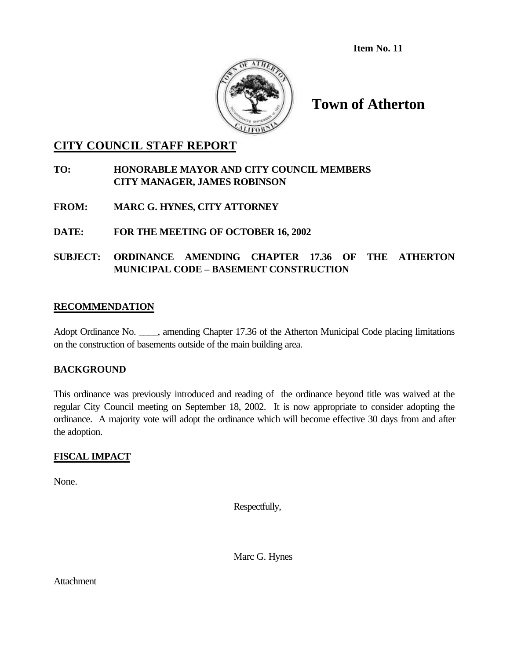**Item No. 11**



**Town of Atherton**

### **CITY COUNCIL STAFF REPORT**

### **TO: HONORABLE MAYOR AND CITY COUNCIL MEMBERS CITY MANAGER, JAMES ROBINSON**

- **FROM: MARC G. HYNES, CITY ATTORNEY**
- **DATE: FOR THE MEETING OF OCTOBER 16, 2002**

### **SUBJECT: ORDINANCE AMENDING CHAPTER 17.36 OF THE ATHERTON MUNICIPAL CODE – BASEMENT CONSTRUCTION**

### **RECOMMENDATION**

Adopt Ordinance No. \_\_\_\_, amending Chapter 17.36 of the Atherton Municipal Code placing limitations on the construction of basements outside of the main building area.

### **BACKGROUND**

This ordinance was previously introduced and reading of the ordinance beyond title was waived at the regular City Council meeting on September 18, 2002. It is now appropriate to consider adopting the ordinance. A majority vote will adopt the ordinance which will become effective 30 days from and after the adoption.

### **FISCAL IMPACT**

None.

Respectfully,

Marc G. Hynes

**Attachment**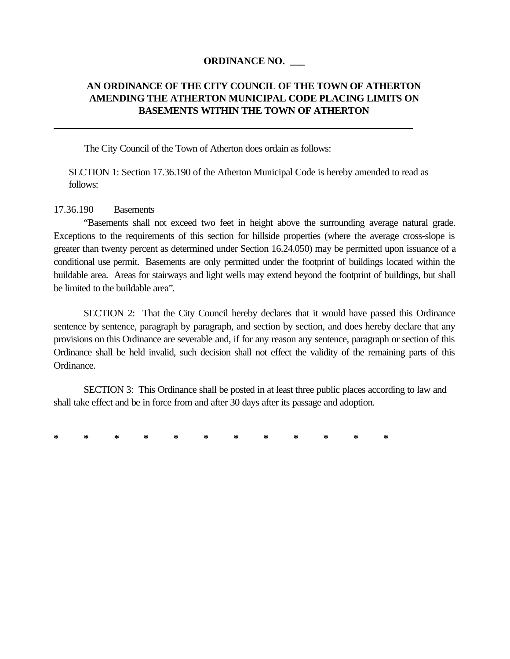#### **ORDINANCE NO. \_\_\_**

### **AN ORDINANCE OF THE CITY COUNCIL OF THE TOWN OF ATHERTON AMENDING THE ATHERTON MUNICIPAL CODE PLACING LIMITS ON BASEMENTS WITHIN THE TOWN OF ATHERTON**

The City Council of the Town of Atherton does ordain as follows:

SECTION 1: Section 17.36.190 of the Atherton Municipal Code is hereby amended to read as follows:

#### 17.36.190 Basements

"Basements shall not exceed two feet in height above the surrounding average natural grade. Exceptions to the requirements of this section for hillside properties (where the average cross-slope is greater than twenty percent as determined under Section 16.24.050) may be permitted upon issuance of a conditional use permit. Basements are only permitted under the footprint of buildings located within the buildable area. Areas for stairways and light wells may extend beyond the footprint of buildings, but shall be limited to the buildable area".

SECTION 2: That the City Council hereby declares that it would have passed this Ordinance sentence by sentence, paragraph by paragraph, and section by section, and does hereby declare that any provisions on this Ordinance are severable and, if for any reason any sentence, paragraph or section of this Ordinance shall be held invalid, such decision shall not effect the validity of the remaining parts of this Ordinance.

SECTION 3: This Ordinance shall be posted in at least three public places according to law and shall take effect and be in force from and after 30 days after its passage and adoption.

**\* \* \* \* \* \* \* \* \* \* \* \***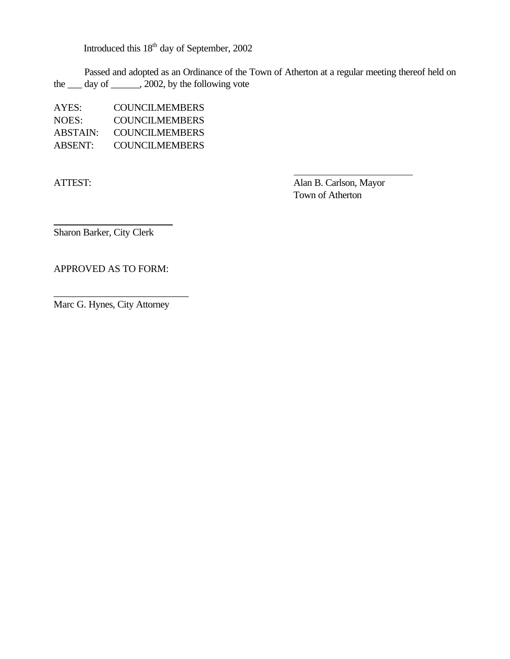Introduced this 18th day of September, 2002

Passed and adopted as an Ordinance of the Town of Atherton at a regular meeting thereof held on the  $\frac{1}{2002}$ , by the following vote

| AYES:    | COUNCILMEMBERS        |
|----------|-----------------------|
| NOES:    | COUNCILMEMBERS        |
| ABSTAIN: | COUNCILMEMBERS        |
| ABSENT:  | <b>COUNCILMEMBERS</b> |

 $\overline{a}$ 

ATTEST: Alan B. Carlson, Mayor Town of Atherton

 $\overline{a}$ 

Sharon Barker, City Clerk

APPROVED AS TO FORM:

Marc G. Hynes, City Attorney

\_\_\_\_\_\_\_\_\_\_\_\_\_\_\_\_\_\_\_\_\_\_\_\_\_\_\_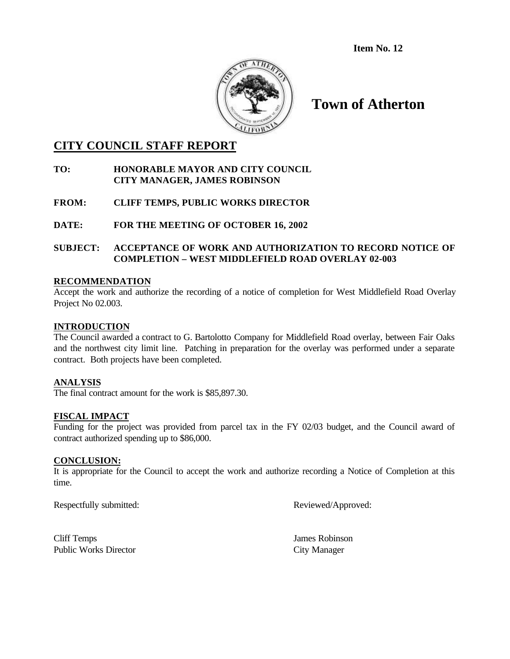**Item No. 12**



# **Town of Atherton**

### **CITY COUNCIL STAFF REPORT**

#### **TO: HONORABLE MAYOR AND CITY COUNCIL CITY MANAGER, JAMES ROBINSON**

**FROM: CLIFF TEMPS, PUBLIC WORKS DIRECTOR**

**DATE: FOR THE MEETING OF OCTOBER 16, 2002**

**SUBJECT: ACCEPTANCE OF WORK AND AUTHORIZATION TO RECORD NOTICE OF COMPLETION – WEST MIDDLEFIELD ROAD OVERLAY 02-003**

#### **RECOMMENDATION**

Accept the work and authorize the recording of a notice of completion for West Middlefield Road Overlay Project No 02.003.

#### **INTRODUCTION**

The Council awarded a contract to G. Bartolotto Company for Middlefield Road overlay, between Fair Oaks and the northwest city limit line. Patching in preparation for the overlay was performed under a separate contract. Both projects have been completed.

#### **ANALYSIS**

The final contract amount for the work is \$85,897.30.

#### **FISCAL IMPACT**

Funding for the project was provided from parcel tax in the FY 02/03 budget, and the Council award of contract authorized spending up to \$86,000.

#### **CONCLUSION:**

It is appropriate for the Council to accept the work and authorize recording a Notice of Completion at this time.

Respectfully submitted: Reviewed/Approved:

Cliff Temps James Robinson Public Works Director City Manager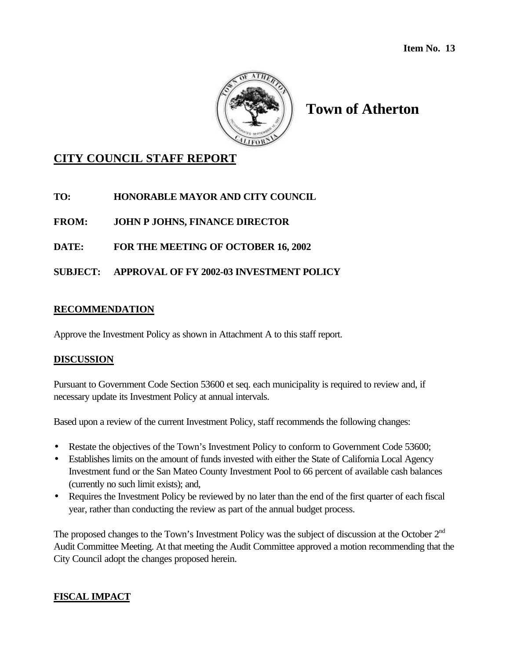

# **Town of Atherton**

## **CITY COUNCIL STAFF REPORT**

**TO: HONORABLE MAYOR AND CITY COUNCIL**

**FROM: JOHN P JOHNS, FINANCE DIRECTOR**

**DATE: FOR THE MEETING OF OCTOBER 16, 2002**

**SUBJECT: APPROVAL OF FY 2002-03 INVESTMENT POLICY**

### **RECOMMENDATION**

Approve the Investment Policy as shown in Attachment A to this staff report.

### **DISCUSSION**

Pursuant to Government Code Section 53600 et seq. each municipality is required to review and, if necessary update its Investment Policy at annual intervals.

Based upon a review of the current Investment Policy, staff recommends the following changes:

- Restate the objectives of the Town's Investment Policy to conform to Government Code 53600;
- Establishes limits on the amount of funds invested with either the State of California Local Agency Investment fund or the San Mateo County Investment Pool to 66 percent of available cash balances (currently no such limit exists); and,
- Requires the Investment Policy be reviewed by no later than the end of the first quarter of each fiscal year, rather than conducting the review as part of the annual budget process.

The proposed changes to the Town's Investment Policy was the subject of discussion at the October 2<sup>nd</sup> Audit Committee Meeting. At that meeting the Audit Committee approved a motion recommending that the City Council adopt the changes proposed herein.

### **FISCAL IMPACT**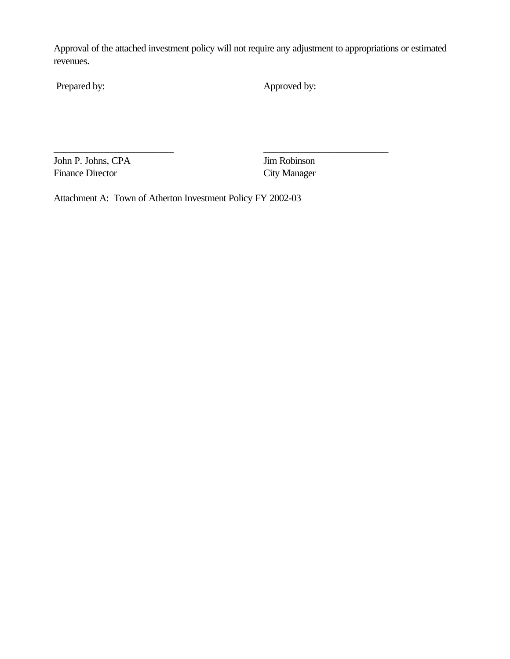Approval of the attached investment policy will not require any adjustment to appropriations or estimated revenues.

\_\_\_\_\_\_\_\_\_\_\_\_\_\_\_\_\_\_\_\_\_\_\_\_ \_\_\_\_\_\_\_\_\_\_\_\_\_\_\_\_\_\_\_\_\_\_\_\_\_

Prepared by: Approved by:

John P. Johns, CPA Jim Robinson Finance Director City Manager

Attachment A: Town of Atherton Investment Policy FY 2002-03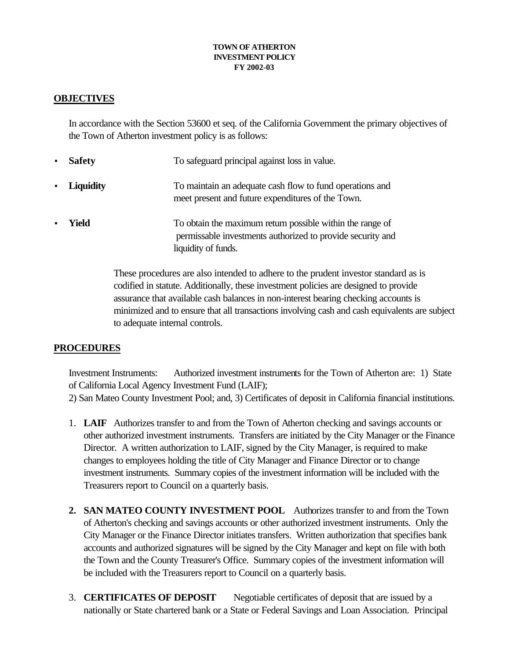#### **TOWN OF ATHERTON INVESTMENT POLICY FY 2002-03**

### **OBJECTIVES**

In accordance with the Section 53600 et seq. of the California Government the primary objectives of the Town of Atherton investment policy is as follows:

- **Safety** To safeguard principal against loss in value.
- **Liquidity** To maintain an adequate cash flow to fund operations and meet present and future expenditures of the Town.
- **Field** To obtain the maximum return possible within the range of permissable investments authorized to provide security and liquidity of funds.

These procedures are also intended to adhere to the prudent investor standard as is codified in statute. Additionally, these investment policies are designed to provide assurance that available cash balances in non-interest bearing checking accounts is minimized and to ensure that all transactions involving cash and cash equivalents are subject to adequate internal controls.

### **PROCEDURES**

Investment Instruments: Authorized investment instruments for the Town of Atherton are: 1) State of California Local Agency Investment Fund (LAIF); 2) San Mateo County Investment Pool; and, 3) Certificates of deposit in California financial institutions.

- 1. **LAIF** Authorizes transfer to and from the Town of Atherton checking and savings accounts or other authorized investment instruments. Transfers are initiated by the City Manager or the Finance Director. A written authorization to LAIF, signed by the City Manager, is required to make changes to employees holding the title of City Manager and Finance Director or to change investment instruments. Summary copies of the investment information will be included with the Treasurers report to Council on a quarterly basis.
- **2. SAN MATEO COUNTY INVESTMENT POOL** Authorizes transfer to and from the Town of Atherton's checking and savings accounts or other authorized investment instruments. Only the City Manager or the Finance Director initiates transfers. Written authorization that specifies bank accounts and authorized signatures will be signed by the City Manager and kept on file with both the Town and the County Treasurer's Office. Summary copies of the investment information will be included with the Treasurers report to Council on a quarterly basis.
- 3. **CERTIFICATES OF DEPOSIT** Negotiable certificates of deposit that are issued by a nationally or State chartered bank or a State or Federal Savings and Loan Association. Principal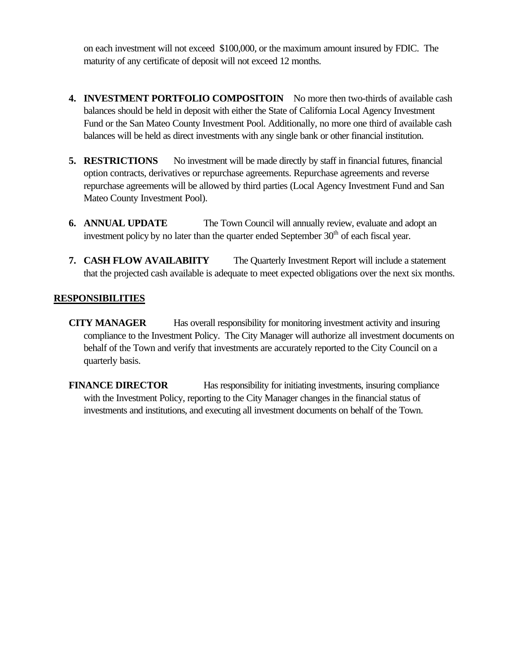on each investment will not exceed \$100,000, or the maximum amount insured by FDIC. The maturity of any certificate of deposit will not exceed 12 months.

- **4. INVESTMENT PORTFOLIO COMPOSITOIN** No more then two-thirds of available cash balances should be held in deposit with either the State of California Local Agency Investment Fund or the San Mateo County Investment Pool. Additionally, no more one third of available cash balances will be held as direct investments with any single bank or other financial institution.
- **5. RESTRICTIONS** No investment will be made directly by staff in financial futures, financial option contracts, derivatives or repurchase agreements. Repurchase agreements and reverse repurchase agreements will be allowed by third parties (Local Agency Investment Fund and San Mateo County Investment Pool).
- **6. ANNUAL UPDATE** The Town Council will annually review, evaluate and adopt an investment policy by no later than the quarter ended September  $30<sup>th</sup>$  of each fiscal year.
- **7. CASH FLOW AVAILABIITY** The Quarterly Investment Report will include a statement that the projected cash available is adequate to meet expected obligations over the next six months.

### **RESPONSIBILITIES**

**CITY MANAGER** Has overall responsibility for monitoring investment activity and insuring compliance to the Investment Policy. The City Manager will authorize all investment documents on behalf of the Town and verify that investments are accurately reported to the City Council on a quarterly basis.

**FINANCE DIRECTOR** Has responsibility for initiating investments, insuring compliance with the Investment Policy, reporting to the City Manager changes in the financial status of investments and institutions, and executing all investment documents on behalf of the Town.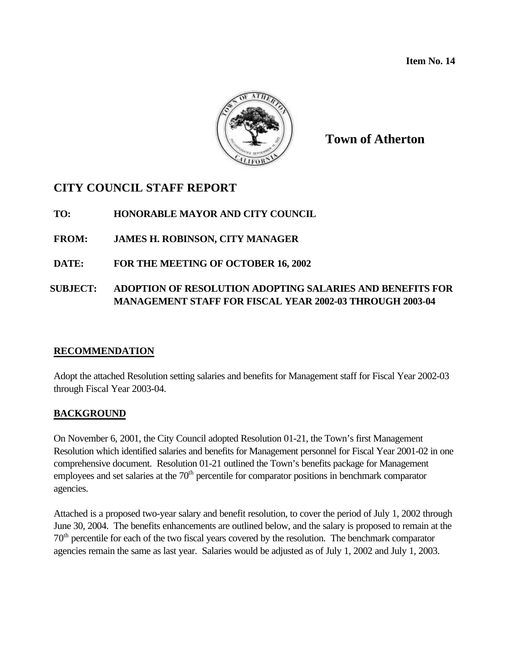**Item No. 14**



**Town of Atherton**

# **CITY COUNCIL STAFF REPORT**

**TO: HONORABLE MAYOR AND CITY COUNCIL**

**FROM: JAMES H. ROBINSON, CITY MANAGER**

**DATE: FOR THE MEETING OF OCTOBER 16, 2002**

### **SUBJECT: ADOPTION OF RESOLUTION ADOPTING SALARIES AND BENEFITS FOR MANAGEMENT STAFF FOR FISCAL YEAR 2002-03 THROUGH 2003-04**

### **RECOMMENDATION**

Adopt the attached Resolution setting salaries and benefits for Management staff for Fiscal Year 2002-03 through Fiscal Year 2003-04.

### **BACKGROUND**

On November 6, 2001, the City Council adopted Resolution 01-21, the Town's first Management Resolution which identified salaries and benefits for Management personnel for Fiscal Year 2001-02 in one comprehensive document. Resolution 01-21 outlined the Town's benefits package for Management employees and set salaries at the  $70<sup>th</sup>$  percentile for comparator positions in benchmark comparator agencies.

Attached is a proposed two-year salary and benefit resolution, to cover the period of July 1, 2002 through June 30, 2004. The benefits enhancements are outlined below, and the salary is proposed to remain at the 70th percentile for each of the two fiscal years covered by the resolution. The benchmark comparator agencies remain the same as last year. Salaries would be adjusted as of July 1, 2002 and July 1, 2003.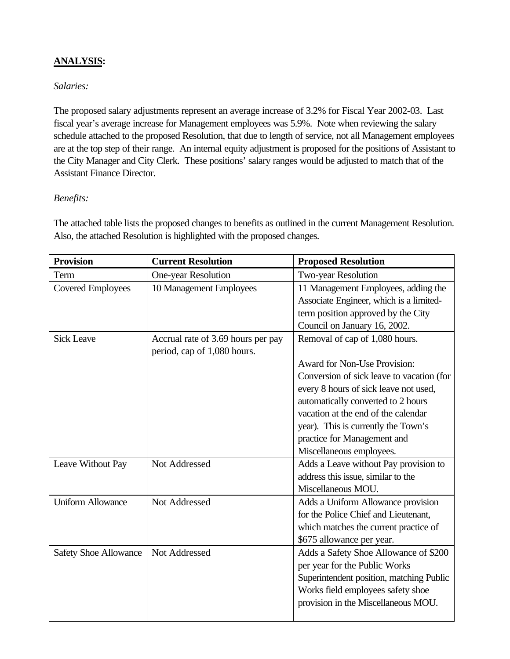# **ANALYSIS:**

## *Salaries:*

The proposed salary adjustments represent an average increase of 3.2% for Fiscal Year 2002-03. Last fiscal year's average increase for Management employees was 5.9%. Note when reviewing the salary schedule attached to the proposed Resolution, that due to length of service, not all Management employees are at the top step of their range. An internal equity adjustment is proposed for the positions of Assistant to the City Manager and City Clerk. These positions' salary ranges would be adjusted to match that of the Assistant Finance Director.

### *Benefits:*

The attached table lists the proposed changes to benefits as outlined in the current Management Resolution. Also, the attached Resolution is highlighted with the proposed changes.

| <b>Provision</b>             | <b>Current Resolution</b>          | <b>Proposed Resolution</b>                |  |
|------------------------------|------------------------------------|-------------------------------------------|--|
| Term                         | One-year Resolution                | <b>Two-year Resolution</b>                |  |
| <b>Covered Employees</b>     | 10 Management Employees            | 11 Management Employees, adding the       |  |
|                              |                                    | Associate Engineer, which is a limited-   |  |
|                              |                                    | term position approved by the City        |  |
|                              |                                    | Council on January 16, 2002.              |  |
| <b>Sick Leave</b>            | Accrual rate of 3.69 hours per pay | Removal of cap of 1,080 hours.            |  |
|                              | period, cap of 1,080 hours.        |                                           |  |
|                              |                                    | <b>Award for Non-Use Provision:</b>       |  |
|                              |                                    | Conversion of sick leave to vacation (for |  |
|                              |                                    | every 8 hours of sick leave not used,     |  |
|                              |                                    | automatically converted to 2 hours        |  |
|                              |                                    | vacation at the end of the calendar       |  |
|                              |                                    | year). This is currently the Town's       |  |
|                              |                                    | practice for Management and               |  |
|                              |                                    | Miscellaneous employees.                  |  |
| Leave Without Pay            | Not Addressed                      | Adds a Leave without Pay provision to     |  |
|                              |                                    | address this issue, similar to the        |  |
|                              |                                    | Miscellaneous MOU.                        |  |
| <b>Uniform Allowance</b>     | Not Addressed                      | Adds a Uniform Allowance provision        |  |
|                              |                                    | for the Police Chief and Lieutenant,      |  |
|                              |                                    | which matches the current practice of     |  |
|                              |                                    | \$675 allowance per year.                 |  |
| <b>Safety Shoe Allowance</b> | Not Addressed                      | Adds a Safety Shoe Allowance of \$200     |  |
|                              |                                    | per year for the Public Works             |  |
|                              |                                    | Superintendent position, matching Public  |  |
|                              |                                    | Works field employees safety shoe         |  |
|                              |                                    | provision in the Miscellaneous MOU.       |  |
|                              |                                    |                                           |  |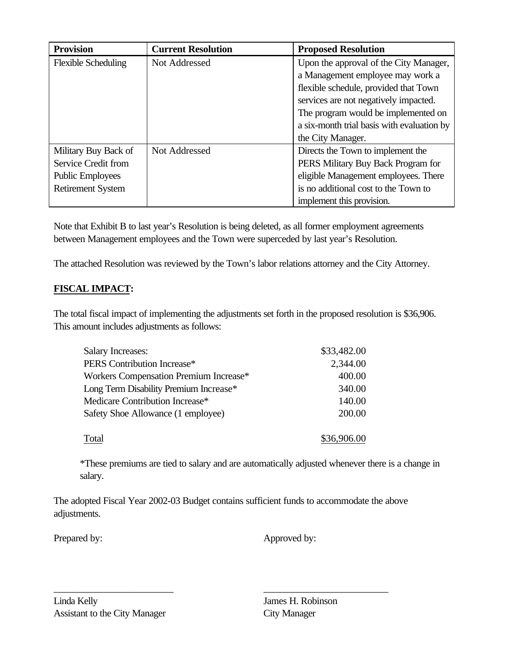| <b>Provision</b>           | <b>Current Resolution</b> | <b>Proposed Resolution</b>                 |
|----------------------------|---------------------------|--------------------------------------------|
| <b>Flexible Scheduling</b> | Not Addressed             | Upon the approval of the City Manager,     |
|                            |                           | a Management employee may work a           |
|                            |                           | flexible schedule, provided that Town      |
|                            |                           | services are not negatively impacted.      |
|                            |                           | The program would be implemented on        |
|                            |                           | a six-month trial basis with evaluation by |
|                            |                           | the City Manager.                          |
| Military Buy Back of       | Not Addressed             | Directs the Town to implement the          |
| Service Credit from        |                           | PERS Military Buy Back Program for         |
| <b>Public Employees</b>    |                           | eligible Management employees. There       |
| <b>Retirement System</b>   |                           | is no additional cost to the Town to       |
|                            |                           | implement this provision.                  |

Note that Exhibit B to last year's Resolution is being deleted, as all former employment agreements between Management employees and the Town were superceded by last year's Resolution.

The attached Resolution was reviewed by the Town's labor relations attorney and the City Attorney.

# **FISCAL IMPACT:**

The total fiscal impact of implementing the adjustments set forth in the proposed resolution is \$36,906. This amount includes adjustments as follows:

| <b>Salary Increases:</b>               | \$33,482.00 |  |
|----------------------------------------|-------------|--|
| PERS Contribution Increase*            | 2,344.00    |  |
| Workers Compensation Premium Increase* | 400.00      |  |
| Long Term Disability Premium Increase* | 340.00      |  |
| Medicare Contribution Increase*        | 140.00      |  |
| Safety Shoe Allowance (1 employee)     | 200.00      |  |
| Total                                  | \$36,906.00 |  |

\*These premiums are tied to salary and are automatically adjusted whenever there is a change in salary.

The adopted Fiscal Year 2002-03 Budget contains sufficient funds to accommodate the above adjustments.

\_\_\_\_\_\_\_\_\_\_\_\_\_\_\_\_\_\_\_\_\_\_\_\_ \_\_\_\_\_\_\_\_\_\_\_\_\_\_\_\_\_\_\_\_\_\_\_\_\_

Prepared by: Approved by: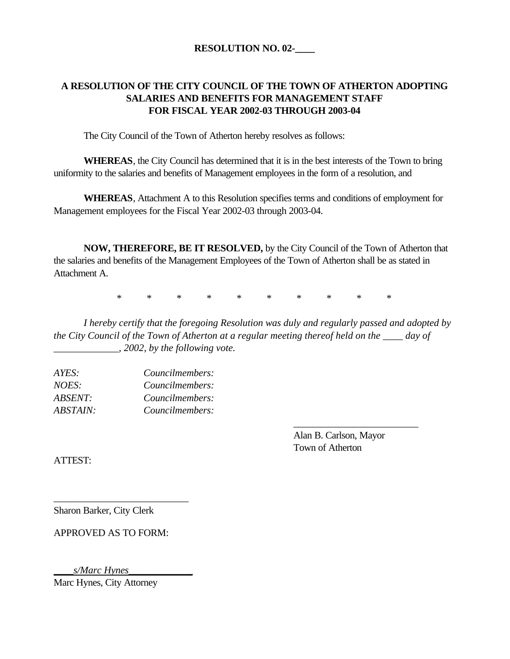# **A RESOLUTION OF THE CITY COUNCIL OF THE TOWN OF ATHERTON ADOPTING SALARIES AND BENEFITS FOR MANAGEMENT STAFF FOR FISCAL YEAR 2002-03 THROUGH 2003-04**

The City Council of the Town of Atherton hereby resolves as follows:

**WHEREAS**, the City Council has determined that it is in the best interests of the Town to bring uniformity to the salaries and benefits of Management employees in the form of a resolution, and

**WHEREAS**, Attachment A to this Resolution specifies terms and conditions of employment for Management employees for the Fiscal Year 2002-03 through 2003-04.

**NOW, THEREFORE, BE IT RESOLVED,** by the City Council of the Town of Atherton that the salaries and benefits of the Management Employees of the Town of Atherton shall be as stated in Attachment A.

\* \* \* \* \* \* \* \* \* \*

*I hereby certify that the foregoing Resolution was duly and regularly passed and adopted by the City Council of the Town of Atherton at a regular meeting thereof held on the \_\_\_\_ day of \_\_\_\_\_\_\_\_\_\_\_\_\_, 2002, by the following vote.*

| Councilmembers: |
|-----------------|
| Councilmembers: |
| Councilmembers: |
| Councilmembers: |
|                 |

Alan B. Carlson, Mayor Town of Atherton

*\_\_\_\_\_\_\_\_\_\_\_\_\_\_\_\_\_\_\_\_\_\_\_\_\_*

ATTEST:

Sharon Barker, City Clerk

APPROVED AS TO FORM:

\_\_\_\_\_\_\_\_\_\_\_\_\_\_\_\_\_\_\_\_\_\_\_\_\_\_\_

*\_\_\_\_s/Marc Hynes\_\_\_\_\_\_\_\_\_\_\_\_\_*

Marc Hynes, City Attorney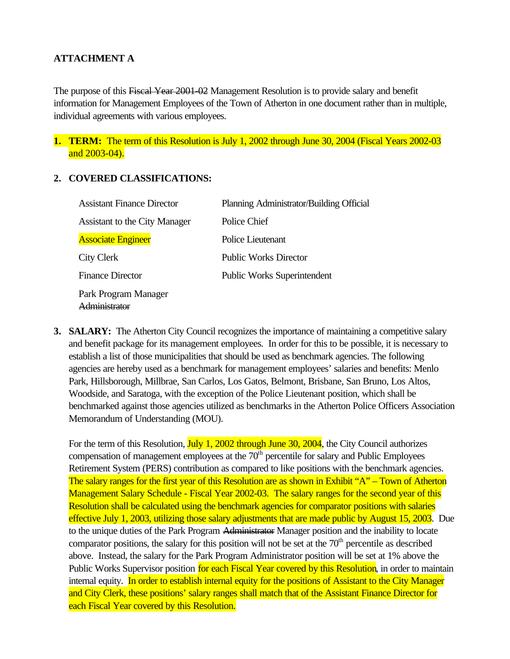## **ATTACHMENT A**

The purpose of this Fiscal Year 2001-02 Management Resolution is to provide salary and benefit information for Management Employees of the Town of Atherton in one document rather than in multiple, individual agreements with various employees.

**1. TERM:** The term of this Resolution is July 1, 2002 through June 30, 2004 (Fiscal Years 2002-03 and 2003-04).

#### **2. COVERED CLASSIFICATIONS:**

| <b>Assistant Finance Director</b>    | Planning Administrator/Building Official |
|--------------------------------------|------------------------------------------|
| Assistant to the City Manager        | Police Chief                             |
| <b>Associate Engineer</b>            | Police Lieutenant                        |
| City Clerk                           | <b>Public Works Director</b>             |
| <b>Finance Director</b>              | <b>Public Works Superintendent</b>       |
| Park Program Manager<br>dministrator |                                          |

**3. SALARY:** The Atherton City Council recognizes the importance of maintaining a competitive salary and benefit package for its management employees. In order for this to be possible, it is necessary to establish a list of those municipalities that should be used as benchmark agencies. The following agencies are hereby used as a benchmark for management employees' salaries and benefits: Menlo Park, Hillsborough, Millbrae, San Carlos, Los Gatos, Belmont, Brisbane, San Bruno, Los Altos, Woodside, and Saratoga, with the exception of the Police Lieutenant position, which shall be benchmarked against those agencies utilized as benchmarks in the Atherton Police Officers Association Memorandum of Understanding (MOU).

For the term of this Resolution, July 1, 2002 through June 30, 2004, the City Council authorizes compensation of management employees at the  $70<sup>th</sup>$  percentile for salary and Public Employees Retirement System (PERS) contribution as compared to like positions with the benchmark agencies. The salary ranges for the first year of this Resolution are as shown in Exhibit "A" – Town of Atherton Management Salary Schedule - Fiscal Year 2002-03. The salary ranges for the second year of this Resolution shall be calculated using the benchmark agencies for comparator positions with salaries effective July 1, 2003, utilizing those salary adjustments that are made public by August 15, 2003. Due to the unique duties of the Park Program Administrator Manager position and the inability to locate comparator positions, the salary for this position will not be set at the  $70<sup>th</sup>$  percentile as described above. Instead, the salary for the Park Program Administrator position will be set at 1% above the Public Works Supervisor position for each Fiscal Year covered by this Resolution, in order to maintain internal equity. In order to establish internal equity for the positions of Assistant to the City Manager and City Clerk, these positions' salary ranges shall match that of the Assistant Finance Director for each Fiscal Year covered by this Resolution.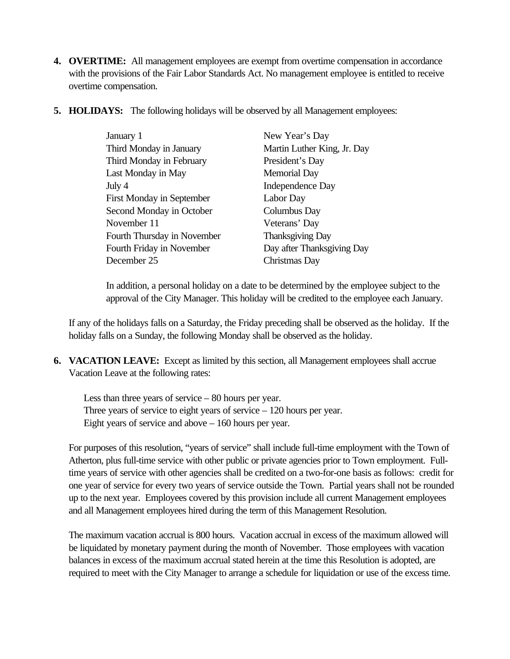- **4. OVERTIME:** All management employees are exempt from overtime compensation in accordance with the provisions of the Fair Labor Standards Act. No management employee is entitled to receive overtime compensation.
- **5. HOLIDAYS:** The following holidays will be observed by all Management employees:

| January 1                        | New Year's Day              |  |
|----------------------------------|-----------------------------|--|
| Third Monday in January          | Martin Luther King, Jr. Day |  |
| Third Monday in February         | President's Day             |  |
| Last Monday in May               | <b>Memorial Day</b>         |  |
| July 4                           | Independence Day            |  |
| <b>First Monday in September</b> | Labor Day                   |  |
| Second Monday in October         | Columbus Day                |  |
| November 11                      | Veterans' Day               |  |
| Fourth Thursday in November      | <b>Thanksgiving Day</b>     |  |
| Fourth Friday in November        | Day after Thanksgiving Day  |  |
| December 25                      | Christmas Day               |  |

In addition, a personal holiday on a date to be determined by the employee subject to the approval of the City Manager. This holiday will be credited to the employee each January.

If any of the holidays falls on a Saturday, the Friday preceding shall be observed as the holiday. If the holiday falls on a Sunday, the following Monday shall be observed as the holiday.

**6. VACATION LEAVE:** Except as limited by this section, all Management employees shall accrue Vacation Leave at the following rates:

Less than three years of service – 80 hours per year. Three years of service to eight years of service – 120 hours per year. Eight years of service and above – 160 hours per year.

For purposes of this resolution, "years of service" shall include full-time employment with the Town of Atherton, plus full-time service with other public or private agencies prior to Town employment. Fulltime years of service with other agencies shall be credited on a two-for-one basis as follows: credit for one year of service for every two years of service outside the Town. Partial years shall not be rounded up to the next year. Employees covered by this provision include all current Management employees and all Management employees hired during the term of this Management Resolution.

The maximum vacation accrual is 800 hours. Vacation accrual in excess of the maximum allowed will be liquidated by monetary payment during the month of November. Those employees with vacation balances in excess of the maximum accrual stated herein at the time this Resolution is adopted, are required to meet with the City Manager to arrange a schedule for liquidation or use of the excess time.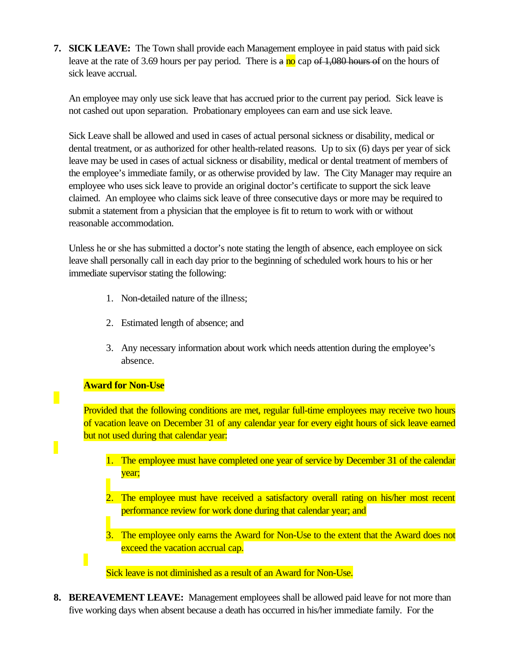**7. SICK LEAVE:** The Town shall provide each Management employee in paid status with paid sick leave at the rate of 3.69 hours per pay period. There is a no cap of 1,080 hours of on the hours of sick leave accrual.

An employee may only use sick leave that has accrued prior to the current pay period. Sick leave is not cashed out upon separation. Probationary employees can earn and use sick leave.

Sick Leave shall be allowed and used in cases of actual personal sickness or disability, medical or dental treatment, or as authorized for other health-related reasons. Up to six (6) days per year of sick leave may be used in cases of actual sickness or disability, medical or dental treatment of members of the employee's immediate family, or as otherwise provided by law. The City Manager may require an employee who uses sick leave to provide an original doctor's certificate to support the sick leave claimed. An employee who claims sick leave of three consecutive days or more may be required to submit a statement from a physician that the employee is fit to return to work with or without reasonable accommodation.

Unless he or she has submitted a doctor's note stating the length of absence, each employee on sick leave shall personally call in each day prior to the beginning of scheduled work hours to his or her immediate supervisor stating the following:

- 1. Non-detailed nature of the illness;
- 2. Estimated length of absence; and
- 3. Any necessary information about work which needs attention during the employee's absence.

#### **Award for Non-Use**

 $\overline{\phantom{a}}$ 

Provided that the following conditions are met, regular full-time employees may receive two hours of vacation leave on December 31 of any calendar year for every eight hours of sick leave earned but not used during that calendar year:

- 1. The employee must have completed one year of service by December 31 of the calendar year;
- 2. The employee must have received a satisfactory overall rating on his/her most recent performance review for work done during that calendar year; and
- 3. The employee only earns the Award for Non-Use to the extent that the Award does not exceed the vacation accrual cap.

Sick leave is not diminished as a result of an Award for Non-Use.

**8. BEREAVEMENT LEAVE:** Management employees shall be allowed paid leave for not more than five working days when absent because a death has occurred in his/her immediate family. For the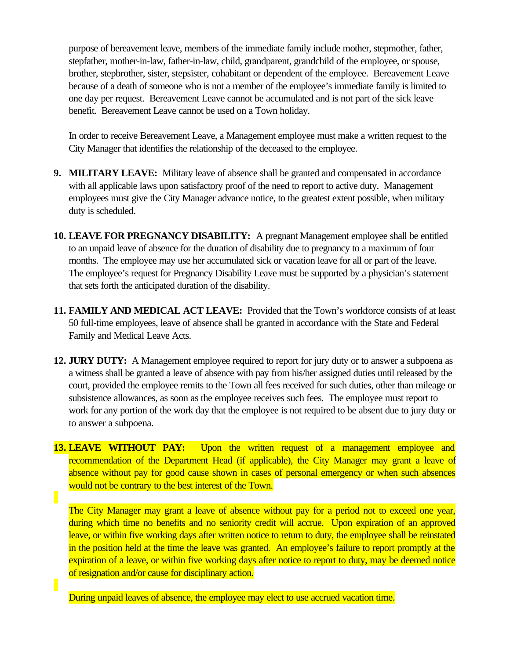purpose of bereavement leave, members of the immediate family include mother, stepmother, father, stepfather, mother-in-law, father-in-law, child, grandparent, grandchild of the employee, or spouse, brother, stepbrother, sister, stepsister, cohabitant or dependent of the employee. Bereavement Leave because of a death of someone who is not a member of the employee's immediate family is limited to one day per request. Bereavement Leave cannot be accumulated and is not part of the sick leave benefit. Bereavement Leave cannot be used on a Town holiday.

In order to receive Bereavement Leave, a Management employee must make a written request to the City Manager that identifies the relationship of the deceased to the employee.

- **9. MILITARY LEAVE:** Military leave of absence shall be granted and compensated in accordance with all applicable laws upon satisfactory proof of the need to report to active duty. Management employees must give the City Manager advance notice, to the greatest extent possible, when military duty is scheduled.
- **10. LEAVE FOR PREGNANCY DISABILITY:** A pregnant Management employee shall be entitled to an unpaid leave of absence for the duration of disability due to pregnancy to a maximum of four months. The employee may use her accumulated sick or vacation leave for all or part of the leave. The employee's request for Pregnancy Disability Leave must be supported by a physician's statement that sets forth the anticipated duration of the disability.
- **11. FAMILY AND MEDICAL ACT LEAVE:** Provided that the Town's workforce consists of at least 50 full-time employees, leave of absence shall be granted in accordance with the State and Federal Family and Medical Leave Acts.
- **12. JURY DUTY:** A Management employee required to report for jury duty or to answer a subpoena as a witness shall be granted a leave of absence with pay from his/her assigned duties until released by the court, provided the employee remits to the Town all fees received for such duties, other than mileage or subsistence allowances, as soon as the employee receives such fees. The employee must report to work for any portion of the work day that the employee is not required to be absent due to jury duty or to answer a subpoena.
- **13. LEAVE WITHOUT PAY:** Upon the written request of a management employee and recommendation of the Department Head (if applicable), the City Manager may grant a leave of absence without pay for good cause shown in cases of personal emergency or when such absences would not be contrary to the best interest of the Town.

The City Manager may grant a leave of absence without pay for a period not to exceed one year, during which time no benefits and no seniority credit will accrue. Upon expiration of an approved leave, or within five working days after written notice to return to duty, the employee shall be reinstated in the position held at the time the leave was granted. An employee's failure to report promptly at the expiration of a leave, or within five working days after notice to report to duty, may be deemed notice of resignation and/or cause for disciplinary action.

During unpaid leaves of absence, the employee may elect to use accrued vacation time.

П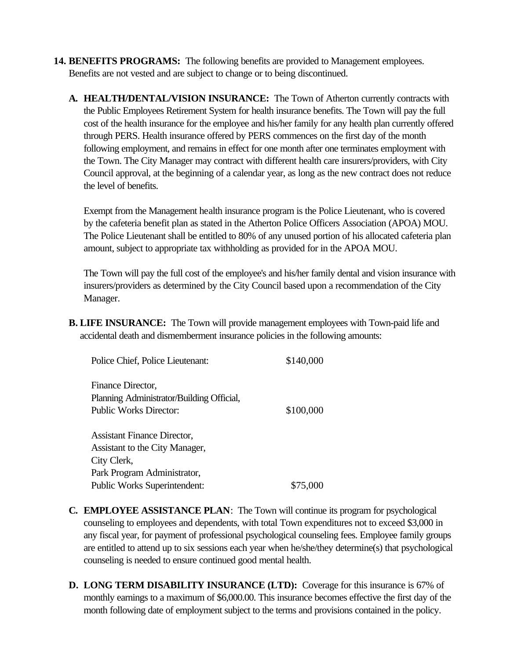- **14. BENEFITS PROGRAMS:** The following benefits are provided to Management employees. Benefits are not vested and are subject to change or to being discontinued.
	- **A. HEALTH/DENTAL/VISION INSURANCE:** The Town of Atherton currently contracts with the Public Employees Retirement System for health insurance benefits. The Town will pay the full cost of the health insurance for the employee and his/her family for any health plan currently offered through PERS. Health insurance offered by PERS commences on the first day of the month following employment, and remains in effect for one month after one terminates employment with the Town. The City Manager may contract with different health care insurers/providers, with City Council approval, at the beginning of a calendar year, as long as the new contract does not reduce the level of benefits.

Exempt from the Management health insurance program is the Police Lieutenant, who is covered by the cafeteria benefit plan as stated in the Atherton Police Officers Association (APOA) MOU. The Police Lieutenant shall be entitled to 80% of any unused portion of his allocated cafeteria plan amount, subject to appropriate tax withholding as provided for in the APOA MOU.

The Town will pay the full cost of the employee's and his/her family dental and vision insurance with insurers/providers as determined by the City Council based upon a recommendation of the City Manager.

**B. LIFE INSURANCE:** The Town will provide management employees with Town-paid life and accidental death and dismemberment insurance policies in the following amounts:

| Police Chief, Police Lieutenant:                                                                | \$140,000 |
|-------------------------------------------------------------------------------------------------|-----------|
| Finance Director,<br>Planning Administrator/Building Official,<br><b>Public Works Director:</b> | \$100,000 |
| <b>Assistant Finance Director,</b><br>Assistant to the City Manager,                            |           |
| City Clerk,                                                                                     |           |
| Park Program Administrator,                                                                     |           |
| <b>Public Works Superintendent:</b>                                                             | \$75,000  |

- **C. EMPLOYEE ASSISTANCE PLAN**: The Town will continue its program for psychological counseling to employees and dependents, with total Town expenditures not to exceed \$3,000 in any fiscal year, for payment of professional psychological counseling fees. Employee family groups are entitled to attend up to six sessions each year when he/she/they determine(s) that psychological counseling is needed to ensure continued good mental health.
- **D. LONG TERM DISABILITY INSURANCE (LTD):** Coverage for this insurance is 67% of monthly earnings to a maximum of \$6,000.00. This insurance becomes effective the first day of the month following date of employment subject to the terms and provisions contained in the policy.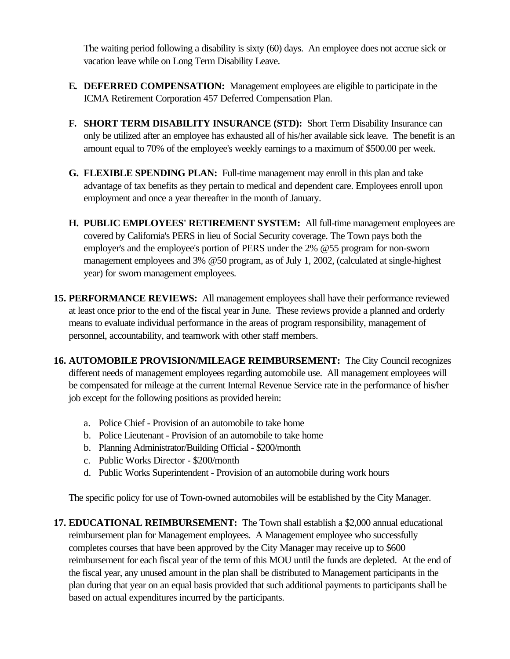The waiting period following a disability is sixty (60) days. An employee does not accrue sick or vacation leave while on Long Term Disability Leave.

- **E. DEFERRED COMPENSATION:** Management employees are eligible to participate in the ICMA Retirement Corporation 457 Deferred Compensation Plan.
- **F. SHORT TERM DISABILITY INSURANCE (STD):** Short Term Disability Insurance can only be utilized after an employee has exhausted all of his/her available sick leave. The benefit is an amount equal to 70% of the employee's weekly earnings to a maximum of \$500.00 per week.
- **G. FLEXIBLE SPENDING PLAN:** Full-time management may enroll in this plan and take advantage of tax benefits as they pertain to medical and dependent care. Employees enroll upon employment and once a year thereafter in the month of January.
- **H. PUBLIC EMPLOYEES' RETIREMENT SYSTEM:** All full-time management employees are covered by California's PERS in lieu of Social Security coverage. The Town pays both the employer's and the employee's portion of PERS under the 2% @55 program for non-sworn management employees and 3% @50 program, as of July 1, 2002, (calculated at single-highest year) for sworn management employees.
- **15. PERFORMANCE REVIEWS:** All management employees shall have their performance reviewed at least once prior to the end of the fiscal year in June. These reviews provide a planned and orderly means to evaluate individual performance in the areas of program responsibility, management of personnel, accountability, and teamwork with other staff members.
- **16. AUTOMOBILE PROVISION/MILEAGE REIMBURSEMENT:** The City Council recognizes different needs of management employees regarding automobile use. All management employees will be compensated for mileage at the current Internal Revenue Service rate in the performance of his/her job except for the following positions as provided herein:
	- a. Police Chief Provision of an automobile to take home
	- b. Police Lieutenant Provision of an automobile to take home
	- b. Planning Administrator/Building Official \$200/month
	- c. Public Works Director \$200/month
	- d. Public Works Superintendent Provision of an automobile during work hours

The specific policy for use of Town-owned automobiles will be established by the City Manager.

**17. EDUCATIONAL REIMBURSEMENT:** The Town shall establish a \$2,000 annual educational reimbursement plan for Management employees. A Management employee who successfully completes courses that have been approved by the City Manager may receive up to \$600 reimbursement for each fiscal year of the term of this MOU until the funds are depleted. At the end of the fiscal year, any unused amount in the plan shall be distributed to Management participants in the plan during that year on an equal basis provided that such additional payments to participants shall be based on actual expenditures incurred by the participants.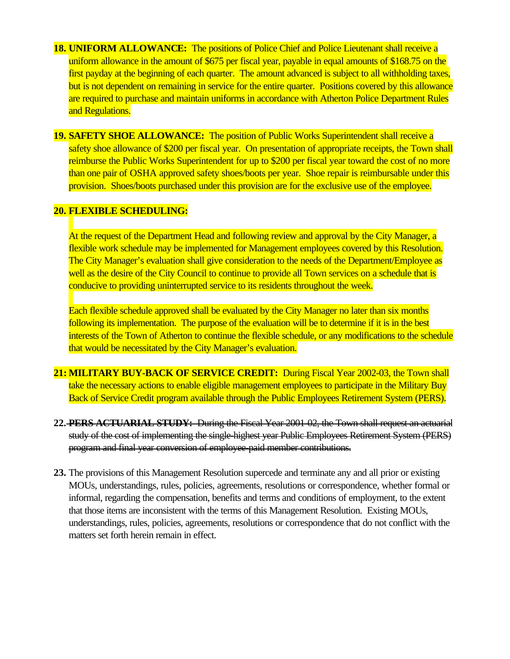- **18. UNIFORM ALLOWANCE:** The positions of Police Chief and Police Lieutenant shall receive a uniform allowance in the amount of \$675 per fiscal year, payable in equal amounts of \$168.75 on the first payday at the beginning of each quarter. The amount advanced is subject to all withholding taxes, but is not dependent on remaining in service for the entire quarter. Positions covered by this allowance are required to purchase and maintain uniforms in accordance with Atherton Police Department Rules and Regulations.
- **19. SAFETY SHOE ALLOWANCE:** The position of Public Works Superintendent shall receive a safety shoe allowance of \$200 per fiscal year. On presentation of appropriate receipts, the Town shall reimburse the Public Works Superintendent for up to \$200 per fiscal year toward the cost of no more than one pair of OSHA approved safety shoes/boots per year. Shoe repair is reimbursable under this provision. Shoes/boots purchased under this provision are for the exclusive use of the employee.

#### **20. FLEXIBLE SCHEDULING:**

At the request of the Department Head and following review and approval by the City Manager, a flexible work schedule may be implemented for Management employees covered by this Resolution. The City Manager's evaluation shall give consideration to the needs of the Department/Employee as well as the desire of the City Council to continue to provide all Town services on a schedule that is conducive to providing uninterrupted service to its residents throughout the week.

Each flexible schedule approved shall be evaluated by the City Manager no later than six months following its implementation. The purpose of the evaluation will be to determine if it is in the best interests of the Town of Atherton to continue the flexible schedule, or any modifications to the schedule that would be necessitated by the City Manager's evaluation.

- **21: MILITARY BUY-BACK OF SERVICE CREDIT:** During Fiscal Year 2002-03, the Town shall take the necessary actions to enable eligible management employees to participate in the Military Buy Back of Service Credit program available through the Public Employees Retirement System (PERS).
- **22. PERS ACTUARIAL STUDY:** During the Fiscal Year 2001-02, the Town shall request an actuarial study of the cost of implementing the single-highest year Public Employees Retirement System (PERS) program and final year conversion of employee-paid member contributions.
- **23.** The provisions of this Management Resolution supercede and terminate any and all prior or existing MOUs, understandings, rules, policies, agreements, resolutions or correspondence, whether formal or informal, regarding the compensation, benefits and terms and conditions of employment, to the extent that those items are inconsistent with the terms of this Management Resolution. Existing MOUs, understandings, rules, policies, agreements, resolutions or correspondence that do not conflict with the matters set forth herein remain in effect.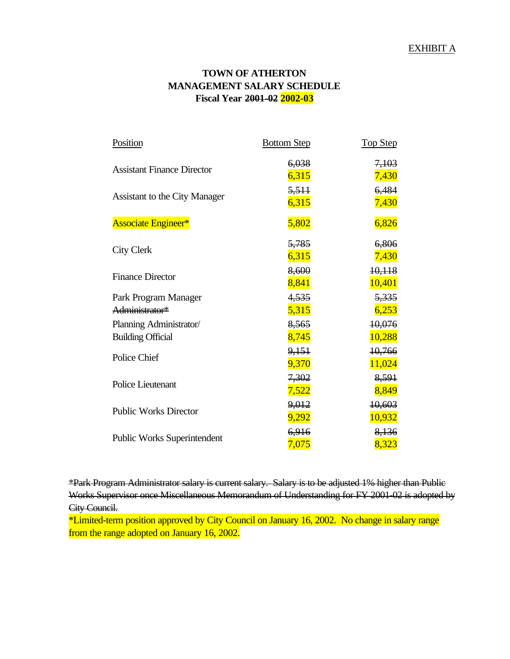#### **TOWN OF ATHERTON MANAGEMENT SALARY SCHEDULE Fiscal Year 2001-02 2002-03**

| Position                                            | <b>Bottom Step</b>    | <b>Top Step</b>  |
|-----------------------------------------------------|-----------------------|------------------|
| <b>Assistant Finance Director</b>                   | 6,038<br>6,315        | 7,103<br>7,430   |
| <b>Assistant to the City Manager</b>                | 5,511<br>6,315        | 6,484<br>7,430   |
| <b>Associate Engineer*</b>                          | 5,802                 | 6,826            |
| <b>City Clerk</b>                                   | 5,785<br>6,315        | 6,806<br>7,430   |
| <b>Finance Director</b>                             | 8,600<br>8,841        | 10,118<br>10,401 |
| Park Program Manager<br>Administrator*              | 4,535<br>5,315        | 5,335<br>6,253   |
| Planning Administrator/<br><b>Building Official</b> | 8,565<br>8,745        | 10,076<br>10,288 |
| Police Chief                                        | 9,151<br>9,370        | 10,766<br>11,024 |
| Police Lieutenant                                   | 7,302<br>7,522        | 8,591<br>8,849   |
| <b>Public Works Director</b>                        | 9,012<br><u>9,292</u> | 10,603<br>10,932 |
| <b>Public Works Superintendent</b>                  | 6,916<br>7,075        | 8,136<br>8,323   |

\*Park Program Administrator salary is current salary. Salary is to be adjusted 1% higher than Public Works Supervisor once Miscellaneous Memorandum of Understanding for FY 2001-02 is adopted by City Council.

\*Limited-term position approved by City Council on January 16, 2002. No change in salary range from the range adopted on January 16, 2002.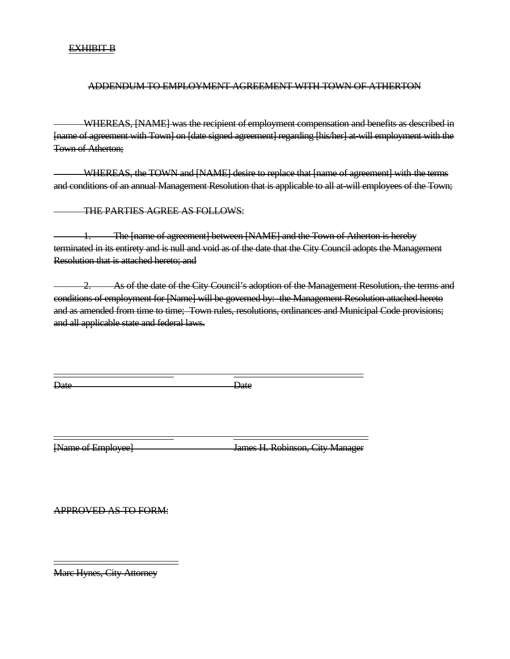#### EXHIBIT B

#### ADDENDUM TO EMPLOYMENT AGREEMENT WITH TOWN OF ATHERTON

 WHEREAS, [NAME] was the recipient of employment compensation and benefits as described in [name of agreement with Town] on [date signed agreement] regarding [his/her] at-will employment with the Town of Atherton;

 WHEREAS, the TOWN and [NAME] desire to replace that [name of agreement] with the terms and conditions of an annual Management Resolution that is applicable to all at-will employees of the Town;

THE PARTIES AGREE AS FOLLOWS:

The [name of agreement] between [NAME] and the Town of Atherton is hereby terminated in its entirety and is null and void as of the date that the City Council adopts the Management Resolution that is attached hereto; and

 2. As of the date of the City Council's adoption of the Management Resolution, the terms and conditions of employment for [Name] will be governed by: the Management Resolution attached hereto and as amended from time to time; Town rules, resolutions, ordinances and Municipal Code provisions; and all applicable state and federal laws.

Date Date Date

\_\_\_\_\_\_\_\_\_\_\_\_\_\_\_\_\_\_\_\_\_\_\_\_ \_\_\_\_\_\_\_\_\_\_\_\_\_\_\_\_\_\_\_\_\_\_\_\_\_\_

\_\_\_\_\_\_\_\_\_\_\_\_\_\_\_\_\_\_\_\_\_\_\_\_ \_\_\_\_\_\_\_\_\_\_\_\_\_\_\_\_\_\_\_\_\_\_\_\_\_\_\_

[Name of Employee] James H. Robinson, City Manager

APPROVED AS TO FORM:

Marc Hynes, City Attorney

\_\_\_\_\_\_\_\_\_\_\_\_\_\_\_\_\_\_\_\_\_\_\_\_\_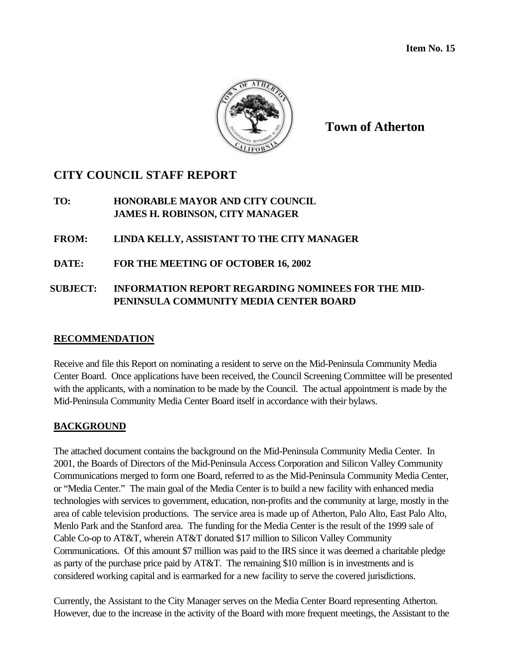

**Town of Atherton**

# **CITY COUNCIL STAFF REPORT**

**TO: HONORABLE MAYOR AND CITY COUNCIL JAMES H. ROBINSON, CITY MANAGER**

**FROM: LINDA KELLY, ASSISTANT TO THE CITY MANAGER**

**DATE: FOR THE MEETING OF OCTOBER 16, 2002**

## **SUBJECT: INFORMATION REPORT REGARDING NOMINEES FOR THE MID-PENINSULA COMMUNITY MEDIA CENTER BOARD**

#### **RECOMMENDATION**

Receive and file this Report on nominating a resident to serve on the Mid-Peninsula Community Media Center Board. Once applications have been received, the Council Screening Committee will be presented with the applicants, with a nomination to be made by the Council. The actual appointment is made by the Mid-Peninsula Community Media Center Board itself in accordance with their bylaws.

#### **BACKGROUND**

The attached document contains the background on the Mid-Peninsula Community Media Center. In 2001, the Boards of Directors of the Mid-Peninsula Access Corporation and Silicon Valley Community Communications merged to form one Board, referred to as the Mid-Peninsula Community Media Center, or "Media Center." The main goal of the Media Center is to build a new facility with enhanced media technologies with services to government, education, non-profits and the community at large, mostly in the area of cable television productions. The service area is made up of Atherton, Palo Alto, East Palo Alto, Menlo Park and the Stanford area. The funding for the Media Center is the result of the 1999 sale of Cable Co-op to AT&T, wherein AT&T donated \$17 million to Silicon Valley Community Communications. Of this amount \$7 million was paid to the IRS since it was deemed a charitable pledge as party of the purchase price paid by AT&T. The remaining \$10 million is in investments and is considered working capital and is earmarked for a new facility to serve the covered jurisdictions.

Currently, the Assistant to the City Manager serves on the Media Center Board representing Atherton. However, due to the increase in the activity of the Board with more frequent meetings, the Assistant to the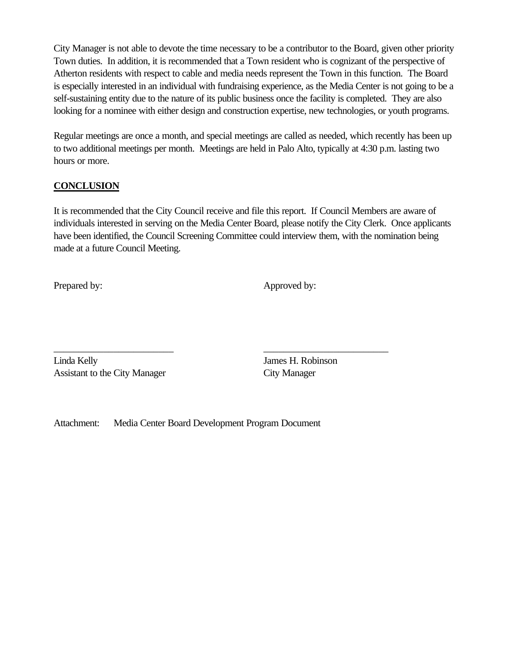City Manager is not able to devote the time necessary to be a contributor to the Board, given other priority Town duties. In addition, it is recommended that a Town resident who is cognizant of the perspective of Atherton residents with respect to cable and media needs represent the Town in this function. The Board is especially interested in an individual with fundraising experience, as the Media Center is not going to be a self-sustaining entity due to the nature of its public business once the facility is completed. They are also looking for a nominee with either design and construction expertise, new technologies, or youth programs.

Regular meetings are once a month, and special meetings are called as needed, which recently has been up to two additional meetings per month. Meetings are held in Palo Alto, typically at 4:30 p.m. lasting two hours or more.

### **CONCLUSION**

It is recommended that the City Council receive and file this report. If Council Members are aware of individuals interested in serving on the Media Center Board, please notify the City Clerk. Once applicants have been identified, the Council Screening Committee could interview them, with the nomination being made at a future Council Meeting.

Prepared by: Approved by: Approved by:

Linda Kelly James H. Robinson Assistant to the City Manager City Manager

Attachment: Media Center Board Development Program Document

\_\_\_\_\_\_\_\_\_\_\_\_\_\_\_\_\_\_\_\_\_\_\_\_ \_\_\_\_\_\_\_\_\_\_\_\_\_\_\_\_\_\_\_\_\_\_\_\_\_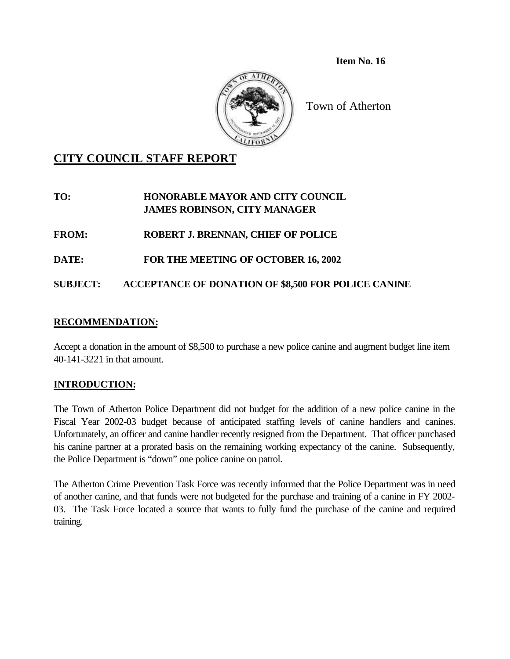**Item No. 16**



Town of Atherton

# **CITY COUNCIL STAFF REPORT**

### **TO: HONORABLE MAYOR AND CITY COUNCIL JAMES ROBINSON, CITY MANAGER**

**FROM: ROBERT J. BRENNAN, CHIEF OF POLICE**

**DATE: FOR THE MEETING OF OCTOBER 16, 2002**

**SUBJECT: ACCEPTANCE OF DONATION OF \$8,500 FOR POLICE CANINE**

#### **RECOMMENDATION:**

Accept a donation in the amount of \$8,500 to purchase a new police canine and augment budget line item 40-141-3221 in that amount.

# **INTRODUCTION:**

The Town of Atherton Police Department did not budget for the addition of a new police canine in the Fiscal Year 2002-03 budget because of anticipated staffing levels of canine handlers and canines. Unfortunately, an officer and canine handler recently resigned from the Department. That officer purchased his canine partner at a prorated basis on the remaining working expectancy of the canine. Subsequently, the Police Department is "down" one police canine on patrol.

The Atherton Crime Prevention Task Force was recently informed that the Police Department was in need of another canine, and that funds were not budgeted for the purchase and training of a canine in FY 2002- 03. The Task Force located a source that wants to fully fund the purchase of the canine and required training.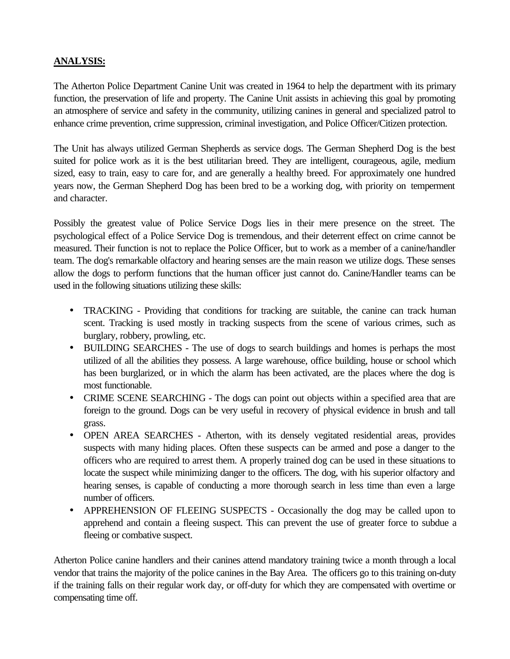### **ANALYSIS:**

The Atherton Police Department Canine Unit was created in 1964 to help the department with its primary function, the preservation of life and property. The Canine Unit assists in achieving this goal by promoting an atmosphere of service and safety in the community, utilizing canines in general and specialized patrol to enhance crime prevention, crime suppression, criminal investigation, and Police Officer/Citizen protection.

The Unit has always utilized German Shepherds as service dogs. The German Shepherd Dog is the best suited for police work as it is the best utilitarian breed. They are intelligent, courageous, agile, medium sized, easy to train, easy to care for, and are generally a healthy breed. For approximately one hundred years now, the German Shepherd Dog has been bred to be a working dog, with priority on temperment and character.

Possibly the greatest value of Police Service Dogs lies in their mere presence on the street. The psychological effect of a Police Service Dog is tremendous, and their deterrent effect on crime cannot be measured. Their function is not to replace the Police Officer, but to work as a member of a canine/handler team. The dog's remarkable olfactory and hearing senses are the main reason we utilize dogs. These senses allow the dogs to perform functions that the human officer just cannot do. Canine/Handler teams can be used in the following situations utilizing these skills:

- TRACKING Providing that conditions for tracking are suitable, the canine can track human scent. Tracking is used mostly in tracking suspects from the scene of various crimes, such as burglary, robbery, prowling, etc.
- BUILDING SEARCHES The use of dogs to search buildings and homes is perhaps the most utilized of all the abilities they possess. A large warehouse, office building, house or school which has been burglarized, or in which the alarm has been activated, are the places where the dog is most functionable.
- CRIME SCENE SEARCHING The dogs can point out objects within a specified area that are foreign to the ground. Dogs can be very useful in recovery of physical evidence in brush and tall grass.
- OPEN AREA SEARCHES Atherton, with its densely vegitated residential areas, provides suspects with many hiding places. Often these suspects can be armed and pose a danger to the officers who are required to arrest them. A properly trained dog can be used in these situations to locate the suspect while minimizing danger to the officers. The dog, with his superior olfactory and hearing senses, is capable of conducting a more thorough search in less time than even a large number of officers.
- APPREHENSION OF FLEEING SUSPECTS Occasionally the dog may be called upon to apprehend and contain a fleeing suspect. This can prevent the use of greater force to subdue a fleeing or combative suspect.

Atherton Police canine handlers and their canines attend mandatory training twice a month through a local vendor that trains the majority of the police canines in the Bay Area. The officers go to this training on-duty if the training falls on their regular work day, or off-duty for which they are compensated with overtime or compensating time off.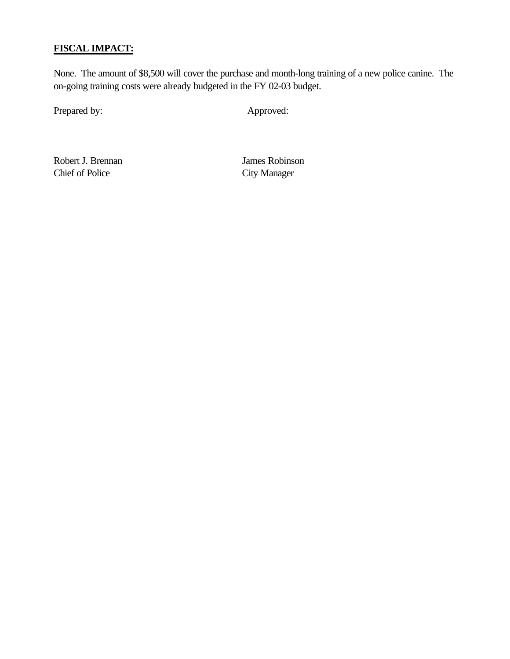# **FISCAL IMPACT:**

None. The amount of \$8,500 will cover the purchase and month-long training of a new police canine. The on-going training costs were already budgeted in the FY 02-03 budget.

Prepared by: Approved:

Robert J. Brennan James Robinson Chief of Police City Manager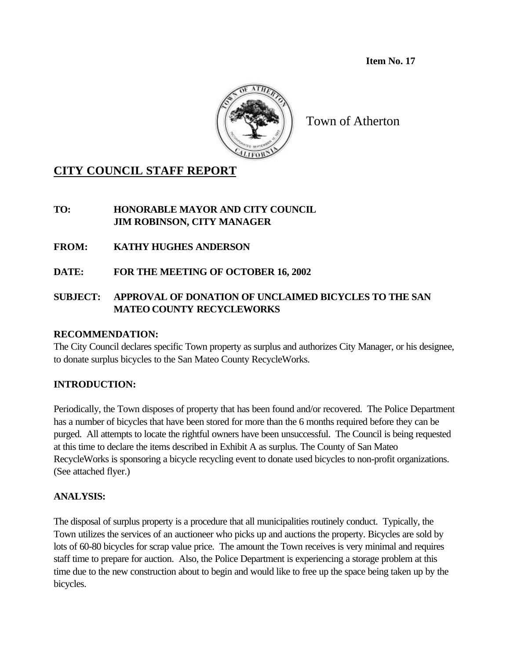**Item No. 17**



Town of Atherton

# **CITY COUNCIL STAFF REPORT**

**TO: HONORABLE MAYOR AND CITY COUNCIL JIM ROBINSON, CITY MANAGER**

- **FROM: KATHY HUGHES ANDERSON**
- **DATE: FOR THE MEETING OF OCTOBER 16, 2002**

# **SUBJECT: APPROVAL OF DONATION OF UNCLAIMED BICYCLES TO THE SAN MATEO COUNTY RECYCLEWORKS**

## **RECOMMENDATION:**

The City Council declares specific Town property as surplus and authorizes City Manager, or his designee, to donate surplus bicycles to the San Mateo County RecycleWorks.

# **INTRODUCTION:**

Periodically, the Town disposes of property that has been found and/or recovered. The Police Department has a number of bicycles that have been stored for more than the 6 months required before they can be purged. All attempts to locate the rightful owners have been unsuccessful. The Council is being requested at this time to declare the items described in Exhibit A as surplus. The County of San Mateo RecycleWorks is sponsoring a bicycle recycling event to donate used bicycles to non-profit organizations. (See attached flyer.)

# **ANALYSIS:**

The disposal of surplus property is a procedure that all municipalities routinely conduct. Typically, the Town utilizes the services of an auctioneer who picks up and auctions the property. Bicycles are sold by lots of 60-80 bicycles for scrap value price. The amount the Town receives is very minimal and requires staff time to prepare for auction. Also, the Police Department is experiencing a storage problem at this time due to the new construction about to begin and would like to free up the space being taken up by the bicycles.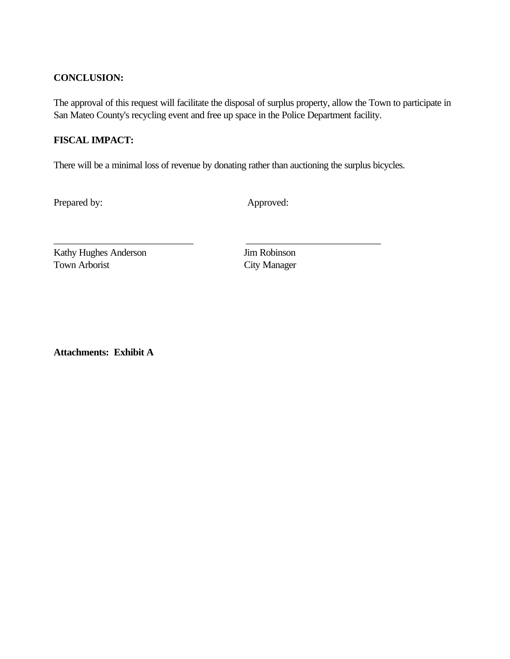#### **CONCLUSION:**

The approval of this request will facilitate the disposal of surplus property, allow the Town to participate in San Mateo County's recycling event and free up space in the Police Department facility.

### **FISCAL IMPACT:**

There will be a minimal loss of revenue by donating rather than auctioning the surplus bicycles.

\_\_\_\_\_\_\_\_\_\_\_\_\_\_\_\_\_\_\_\_\_\_\_\_\_\_\_\_ \_\_\_\_\_\_\_\_\_\_\_\_\_\_\_\_\_\_\_\_\_\_\_\_\_\_\_

Prepared by: Approved:

Kathy Hughes Anderson Jim Robinson Town Arborist City Manager

**Attachments: Exhibit A**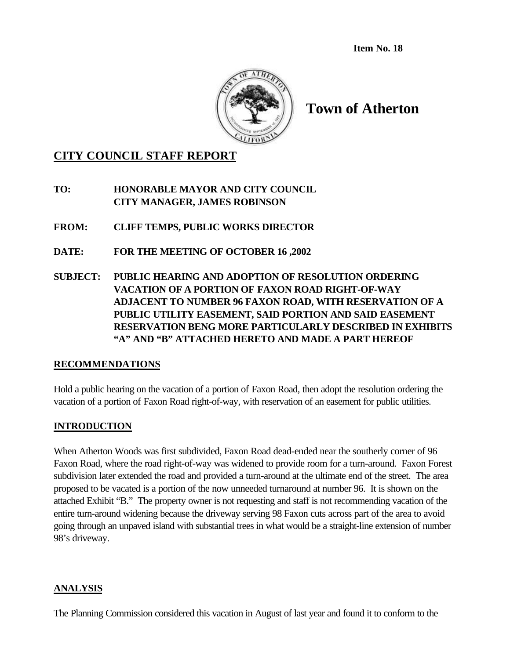**Item No. 18**



# **Town of Atherton**

# **CITY COUNCIL STAFF REPORT**

**TO: HONORABLE MAYOR AND CITY COUNCIL CITY MANAGER, JAMES ROBINSON**

**FROM: CLIFF TEMPS, PUBLIC WORKS DIRECTOR**

- **DATE: FOR THE MEETING OF OCTOBER 16 ,2002**
- **SUBJECT: PUBLIC HEARING AND ADOPTION OF RESOLUTION ORDERING VACATION OF A PORTION OF FAXON ROAD RIGHT-OF-WAY ADJACENT TO NUMBER 96 FAXON ROAD, WITH RESERVATION OF A PUBLIC UTILITY EASEMENT, SAID PORTION AND SAID EASEMENT RESERVATION BENG MORE PARTICULARLY DESCRIBED IN EXHIBITS "A" AND "B" ATTACHED HERETO AND MADE A PART HEREOF**

#### **RECOMMENDATIONS**

Hold a public hearing on the vacation of a portion of Faxon Road, then adopt the resolution ordering the vacation of a portion of Faxon Road right-of-way, with reservation of an easement for public utilities.

# **INTRODUCTION**

When Atherton Woods was first subdivided, Faxon Road dead-ended near the southerly corner of 96 Faxon Road, where the road right-of-way was widened to provide room for a turn-around. Faxon Forest subdivision later extended the road and provided a turn-around at the ultimate end of the street. The area proposed to be vacated is a portion of the now unneeded turnaround at number 96. It is shown on the attached Exhibit "B." The property owner is not requesting and staff is not recommending vacation of the entire turn-around widening because the driveway serving 98 Faxon cuts across part of the area to avoid going through an unpaved island with substantial trees in what would be a straight-line extension of number 98's driveway.

#### **ANALYSIS**

The Planning Commission considered this vacation in August of last year and found it to conform to the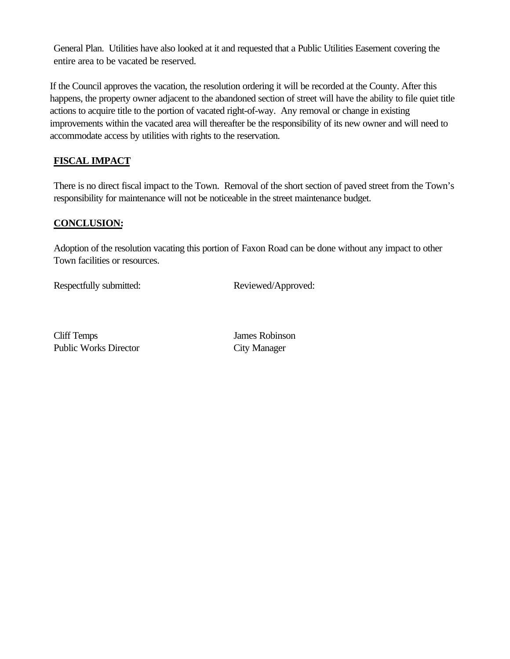General Plan. Utilities have also looked at it and requested that a Public Utilities Easement covering the entire area to be vacated be reserved.

If the Council approves the vacation, the resolution ordering it will be recorded at the County. After this happens, the property owner adjacent to the abandoned section of street will have the ability to file quiet title actions to acquire title to the portion of vacated right-of-way. Any removal or change in existing improvements within the vacated area will thereafter be the responsibility of its new owner and will need to accommodate access by utilities with rights to the reservation.

# **FISCAL IMPACT**

There is no direct fiscal impact to the Town. Removal of the short section of paved street from the Town's responsibility for maintenance will not be noticeable in the street maintenance budget.

### **CONCLUSION:**

Adoption of the resolution vacating this portion of Faxon Road can be done without any impact to other Town facilities or resources.

Respectfully submitted: Reviewed/Approved:

Cliff Temps James Robinson Public Works Director City Manager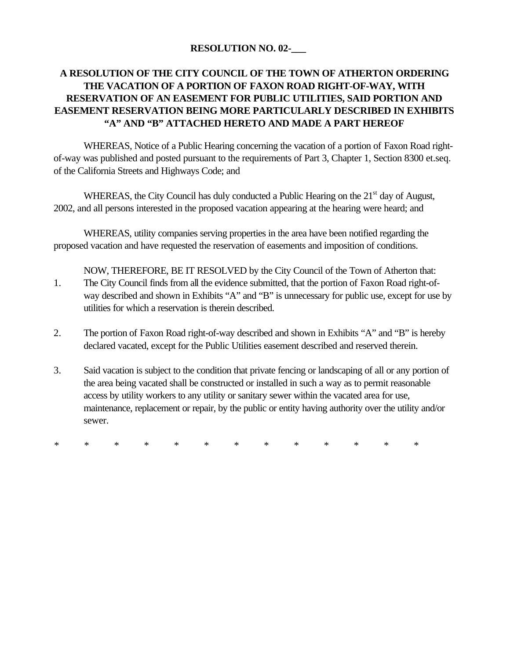### **RESOLUTION NO. 02-\_\_\_**

# **A RESOLUTION OF THE CITY COUNCIL OF THE TOWN OF ATHERTON ORDERING THE VACATION OF A PORTION OF FAXON ROAD RIGHT-OF-WAY, WITH RESERVATION OF AN EASEMENT FOR PUBLIC UTILITIES, SAID PORTION AND EASEMENT RESERVATION BEING MORE PARTICULARLY DESCRIBED IN EXHIBITS "A" AND "B" ATTACHED HERETO AND MADE A PART HEREOF**

WHEREAS, Notice of a Public Hearing concerning the vacation of a portion of Faxon Road rightof-way was published and posted pursuant to the requirements of Part 3, Chapter 1, Section 8300 et.seq. of the California Streets and Highways Code; and

WHEREAS, the City Council has duly conducted a Public Hearing on the 21<sup>st</sup> day of August, 2002, and all persons interested in the proposed vacation appearing at the hearing were heard; and

WHEREAS, utility companies serving properties in the area have been notified regarding the proposed vacation and have requested the reservation of easements and imposition of conditions.

NOW, THEREFORE, BE IT RESOLVED by the City Council of the Town of Atherton that: 1. The City Council finds from all the evidence submitted, that the portion of Faxon Road right-ofway described and shown in Exhibits "A" and "B" is unnecessary for public use, except for use by utilities for which a reservation is therein described.

- 2. The portion of Faxon Road right-of-way described and shown in Exhibits "A" and "B" is hereby declared vacated, except for the Public Utilities easement described and reserved therein.
- 3. Said vacation is subject to the condition that private fencing or landscaping of all or any portion of the area being vacated shall be constructed or installed in such a way as to permit reasonable access by utility workers to any utility or sanitary sewer within the vacated area for use, maintenance, replacement or repair, by the public or entity having authority over the utility and/or sewer.

*\* \* \* \* \* \* \* \* \* \* \* \* \**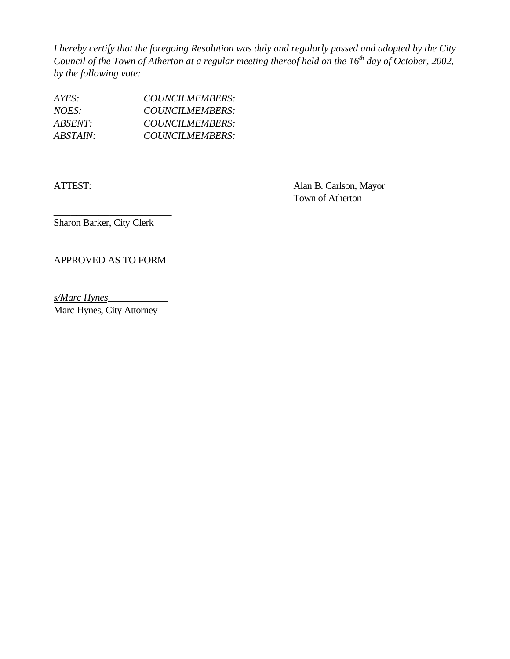*I hereby certify that the foregoing Resolution was duly and regularly passed and adopted by the City Council of the Town of Atherton at a regular meeting thereof held on the 16th day of October, 2002, by the following vote:*

| AYES:           | COUNCILMEMBERS: |
|-----------------|-----------------|
| NOES:           | COUNCILMEMBERS: |
| <i>ABSENT:</i>  | COUNCILMEMBERS: |
| <i>ABSTAIN:</i> | COUNCILMEMBERS: |

ATTEST: Alan B. Carlson, Mayor Town of Atherton

\_\_\_\_\_\_\_\_\_\_\_\_\_\_\_\_\_\_\_\_\_\_

Sharon Barker, City Clerk

\_\_\_\_\_\_\_\_\_\_\_\_\_\_\_\_\_\_\_\_\_

APPROVED AS TO FORM

*s/Marc Hynes*\_\_\_\_\_\_\_\_\_\_\_\_

Marc Hynes, City Attorney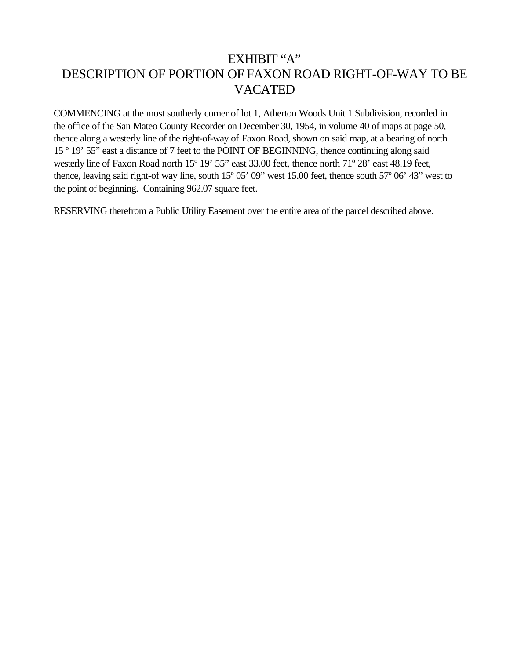# EXHIBIT "A" DESCRIPTION OF PORTION OF FAXON ROAD RIGHT-OF-WAY TO BE VACATED

COMMENCING at the most southerly corner of lot 1, Atherton Woods Unit 1 Subdivision, recorded in the office of the San Mateo County Recorder on December 30, 1954, in volume 40 of maps at page 50, thence along a westerly line of the right-of-way of Faxon Road, shown on said map, at a bearing of north 15 º 19' 55" east a distance of 7 feet to the POINT OF BEGINNING, thence continuing along said westerly line of Faxon Road north 15º 19' 55" east 33.00 feet, thence north 71º 28' east 48.19 feet, thence, leaving said right-of way line, south 15º 05' 09" west 15.00 feet, thence south 57º 06' 43" west to the point of beginning. Containing 962.07 square feet.

RESERVING therefrom a Public Utility Easement over the entire area of the parcel described above.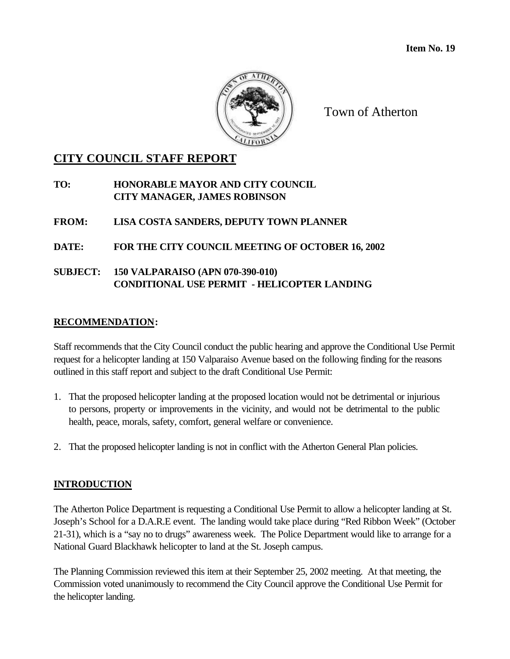

Town of Atherton

# **CITY COUNCIL STAFF REPORT**

**TO: HONORABLE MAYOR AND CITY COUNCIL CITY MANAGER, JAMES ROBINSON**

**FROM: LISA COSTA SANDERS, DEPUTY TOWN PLANNER**

**DATE: FOR THE CITY COUNCIL MEETING OF OCTOBER 16, 2002**

**SUBJECT: 150 VALPARAISO (APN 070-390-010) CONDITIONAL USE PERMIT - HELICOPTER LANDING**

#### **RECOMMENDATION:**

Staff recommends that the City Council conduct the public hearing and approve the Conditional Use Permit request for a helicopter landing at 150 Valparaiso Avenue based on the following finding for the reasons outlined in this staff report and subject to the draft Conditional Use Permit:

- 1. That the proposed helicopter landing at the proposed location would not be detrimental or injurious to persons, property or improvements in the vicinity, and would not be detrimental to the public health, peace, morals, safety, comfort, general welfare or convenience.
- 2. That the proposed helicopter landing is not in conflict with the Atherton General Plan policies.

# **INTRODUCTION**

The Atherton Police Department is requesting a Conditional Use Permit to allow a helicopter landing at St. Joseph's School for a D.A.R.E event. The landing would take place during "Red Ribbon Week" (October 21-31), which is a "say no to drugs" awareness week. The Police Department would like to arrange for a National Guard Blackhawk helicopter to land at the St. Joseph campus.

The Planning Commission reviewed this item at their September 25, 2002 meeting. At that meeting, the Commission voted unanimously to recommend the City Council approve the Conditional Use Permit for the helicopter landing.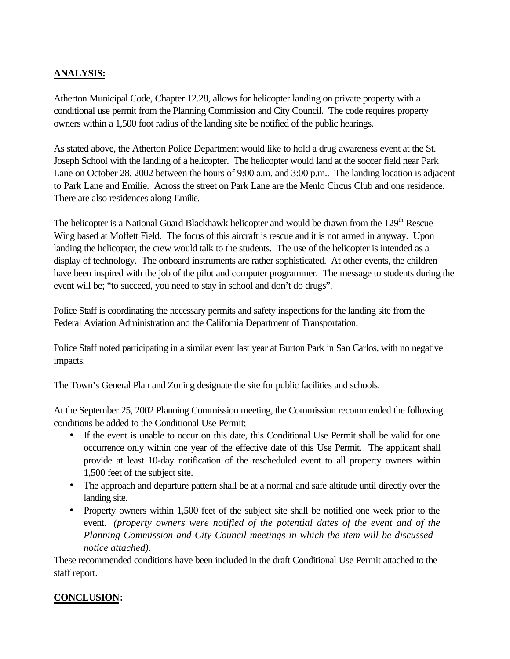# **ANALYSIS:**

Atherton Municipal Code, Chapter 12.28, allows for helicopter landing on private property with a conditional use permit from the Planning Commission and City Council. The code requires property owners within a 1,500 foot radius of the landing site be notified of the public hearings.

As stated above, the Atherton Police Department would like to hold a drug awareness event at the St. Joseph School with the landing of a helicopter. The helicopter would land at the soccer field near Park Lane on October 28, 2002 between the hours of 9:00 a.m. and 3:00 p.m.. The landing location is adjacent to Park Lane and Emilie. Across the street on Park Lane are the Menlo Circus Club and one residence. There are also residences along Emilie.

The helicopter is a National Guard Blackhawk helicopter and would be drawn from the 129<sup>th</sup> Rescue Wing based at Moffett Field. The focus of this aircraft is rescue and it is not armed in anyway. Upon landing the helicopter, the crew would talk to the students. The use of the helicopter is intended as a display of technology. The onboard instruments are rather sophisticated. At other events, the children have been inspired with the job of the pilot and computer programmer. The message to students during the event will be; "to succeed, you need to stay in school and don't do drugs".

Police Staff is coordinating the necessary permits and safety inspections for the landing site from the Federal Aviation Administration and the California Department of Transportation.

Police Staff noted participating in a similar event last year at Burton Park in San Carlos, with no negative impacts.

The Town's General Plan and Zoning designate the site for public facilities and schools.

At the September 25, 2002 Planning Commission meeting, the Commission recommended the following conditions be added to the Conditional Use Permit;

- If the event is unable to occur on this date, this Conditional Use Permit shall be valid for one occurrence only within one year of the effective date of this Use Permit. The applicant shall provide at least 10-day notification of the rescheduled event to all property owners within 1,500 feet of the subject site.
- The approach and departure pattern shall be at a normal and safe altitude until directly over the landing site.
- Property owners within 1,500 feet of the subject site shall be notified one week prior to the event. *(property owners were notified of the potential dates of the event and of the Planning Commission and City Council meetings in which the item will be discussed – notice attached).*

These recommended conditions have been included in the draft Conditional Use Permit attached to the staff report.

# **CONCLUSION:**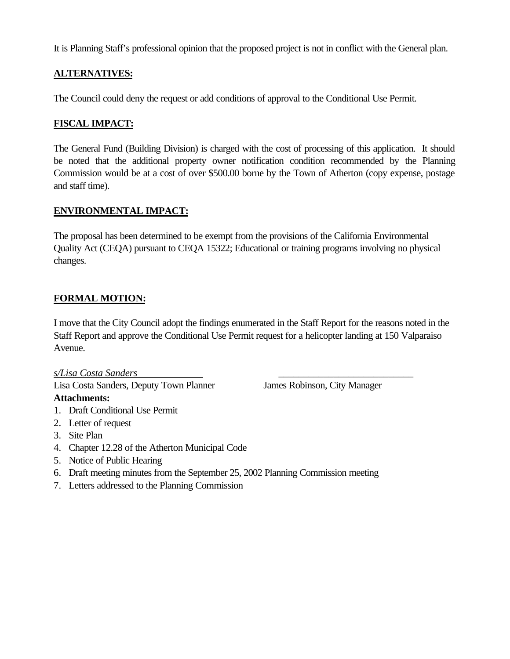It is Planning Staff's professional opinion that the proposed project is not in conflict with the General plan.

## **ALTERNATIVES:**

The Council could deny the request or add conditions of approval to the Conditional Use Permit.

## **FISCAL IMPACT:**

The General Fund (Building Division) is charged with the cost of processing of this application. It should be noted that the additional property owner notification condition recommended by the Planning Commission would be at a cost of over \$500.00 borne by the Town of Atherton (copy expense, postage and staff time).

#### **ENVIRONMENTAL IMPACT:**

The proposal has been determined to be exempt from the provisions of the California Environmental Quality Act (CEQA) pursuant to CEQA 15322; Educational or training programs involving no physical changes.

# **FORMAL MOTION:**

I move that the City Council adopt the findings enumerated in the Staff Report for the reasons noted in the Staff Report and approve the Conditional Use Permit request for a helicopter landing at 150 Valparaiso Avenue.

*s/Lisa Costa Sanders* \_\_\_\_\_\_\_\_\_\_\_\_\_\_\_\_\_\_\_\_\_\_\_\_\_\_\_

Lisa Costa Sanders, Deputy Town Planner James Robinson, City Manager

- **Attachments:** 1. Draft Conditional Use Permit
- 2. Letter of request
- 3. Site Plan
- 4. Chapter 12.28 of the Atherton Municipal Code
- 5. Notice of Public Hearing
- 6. Draft meeting minutes from the September 25, 2002 Planning Commission meeting
- 7. Letters addressed to the Planning Commission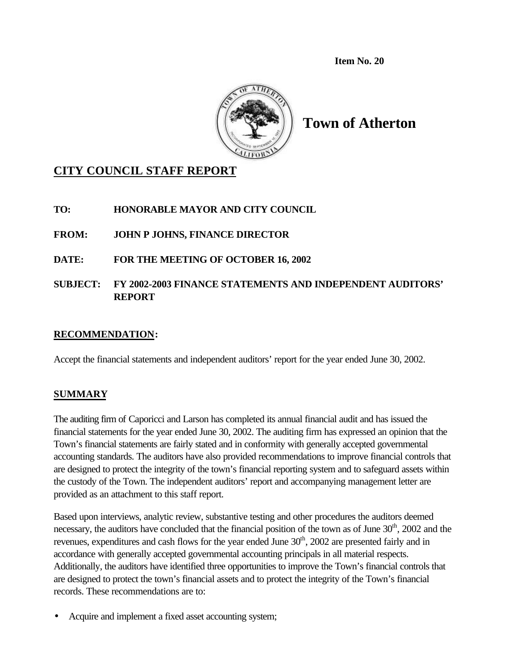**Item No. 20**



**Town of Atherton**

# **CITY COUNCIL STAFF REPORT**

**TO: HONORABLE MAYOR AND CITY COUNCIL**

**FROM: JOHN P JOHNS, FINANCE DIRECTOR**

**DATE: FOR THE MEETING OF OCTOBER 16, 2002**

# **SUBJECT: FY 2002-2003 FINANCE STATEMENTS AND INDEPENDENT AUDITORS' REPORT**

#### **RECOMMENDATION:**

Accept the financial statements and independent auditors' report for the year ended June 30, 2002.

# **SUMMARY**

The auditing firm of Caporicci and Larson has completed its annual financial audit and has issued the financial statements for the year ended June 30, 2002. The auditing firm has expressed an opinion that the Town's financial statements are fairly stated and in conformity with generally accepted governmental accounting standards. The auditors have also provided recommendations to improve financial controls that are designed to protect the integrity of the town's financial reporting system and to safeguard assets within the custody of the Town. The independent auditors' report and accompanying management letter are provided as an attachment to this staff report.

Based upon interviews, analytic review, substantive testing and other procedures the auditors deemed necessary, the auditors have concluded that the financial position of the town as of June 30<sup>th</sup>, 2002 and the revenues, expenditures and cash flows for the year ended June  $30<sup>th</sup>$ , 2002 are presented fairly and in accordance with generally accepted governmental accounting principals in all material respects. Additionally, the auditors have identified three opportunities to improve the Town's financial controls that are designed to protect the town's financial assets and to protect the integrity of the Town's financial records. These recommendations are to:

Acquire and implement a fixed asset accounting system;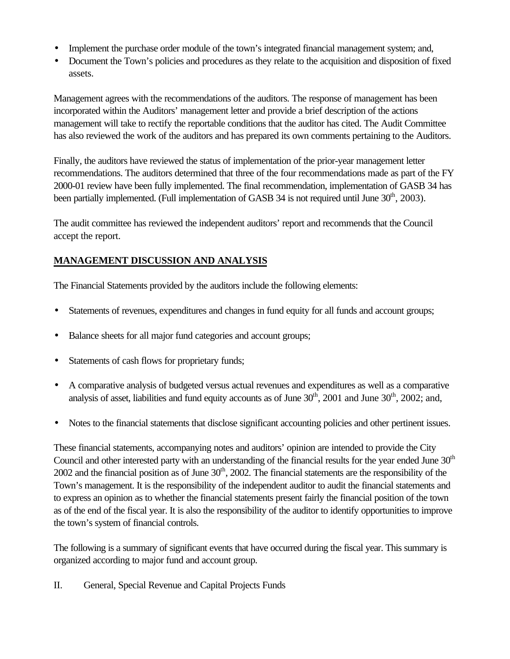- Implement the purchase order module of the town's integrated financial management system; and,
- Document the Town's policies and procedures as they relate to the acquisition and disposition of fixed assets.

Management agrees with the recommendations of the auditors. The response of management has been incorporated within the Auditors' management letter and provide a brief description of the actions management will take to rectify the reportable conditions that the auditor has cited. The Audit Committee has also reviewed the work of the auditors and has prepared its own comments pertaining to the Auditors.

Finally, the auditors have reviewed the status of implementation of the prior-year management letter recommendations. The auditors determined that three of the four recommendations made as part of the FY 2000-01 review have been fully implemented. The final recommendation, implementation of GASB 34 has been partially implemented. (Full implementation of GASB 34 is not required until June  $30<sup>th</sup>$ , 2003).

The audit committee has reviewed the independent auditors' report and recommends that the Council accept the report.

# **MANAGEMENT DISCUSSION AND ANALYSIS**

The Financial Statements provided by the auditors include the following elements:

- Statements of revenues, expenditures and changes in fund equity for all funds and account groups;
- Balance sheets for all major fund categories and account groups;
- Statements of cash flows for proprietary funds;
- A comparative analysis of budgeted versus actual revenues and expenditures as well as a comparative analysis of asset, liabilities and fund equity accounts as of June  $30<sup>th</sup>$ ,  $2001$  and June  $30<sup>th</sup>$ ,  $2002$ ; and,
- Notes to the financial statements that disclose significant accounting policies and other pertinent issues.

These financial statements, accompanying notes and auditors' opinion are intended to provide the City Council and other interested party with an understanding of the financial results for the year ended June 30<sup>th</sup> 2002 and the financial position as of June  $30<sup>th</sup>$ , 2002. The financial statements are the responsibility of the Town's management. It is the responsibility of the independent auditor to audit the financial statements and to express an opinion as to whether the financial statements present fairly the financial position of the town as of the end of the fiscal year. It is also the responsibility of the auditor to identify opportunities to improve the town's system of financial controls.

The following is a summary of significant events that have occurred during the fiscal year. This summary is organized according to major fund and account group.

II. General, Special Revenue and Capital Projects Funds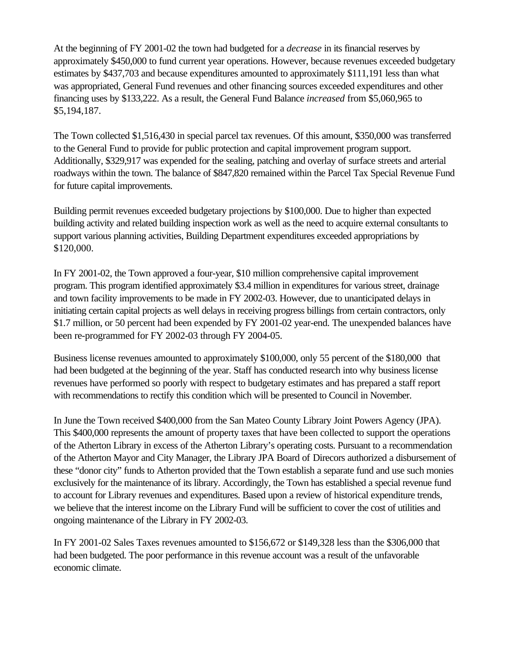At the beginning of FY 2001-02 the town had budgeted for a *decrease* in its financial reserves by approximately \$450,000 to fund current year operations. However, because revenues exceeded budgetary estimates by \$437,703 and because expenditures amounted to approximately \$111,191 less than what was appropriated, General Fund revenues and other financing sources exceeded expenditures and other financing uses by \$133,222. As a result, the General Fund Balance *increased* from \$5,060,965 to \$5,194,187.

The Town collected \$1,516,430 in special parcel tax revenues. Of this amount, \$350,000 was transferred to the General Fund to provide for public protection and capital improvement program support. Additionally, \$329,917 was expended for the sealing, patching and overlay of surface streets and arterial roadways within the town. The balance of \$847,820 remained within the Parcel Tax Special Revenue Fund for future capital improvements.

Building permit revenues exceeded budgetary projections by \$100,000. Due to higher than expected building activity and related building inspection work as well as the need to acquire external consultants to support various planning activities, Building Department expenditures exceeded appropriations by \$120,000.

In FY 2001-02, the Town approved a four-year, \$10 million comprehensive capital improvement program. This program identified approximately \$3.4 million in expenditures for various street, drainage and town facility improvements to be made in FY 2002-03. However, due to unanticipated delays in initiating certain capital projects as well delays in receiving progress billings from certain contractors, only \$1.7 million, or 50 percent had been expended by FY 2001-02 year-end. The unexpended balances have been re-programmed for FY 2002-03 through FY 2004-05.

Business license revenues amounted to approximately \$100,000, only 55 percent of the \$180,000 that had been budgeted at the beginning of the year. Staff has conducted research into why business license revenues have performed so poorly with respect to budgetary estimates and has prepared a staff report with recommendations to rectify this condition which will be presented to Council in November.

In June the Town received \$400,000 from the San Mateo County Library Joint Powers Agency (JPA). This \$400,000 represents the amount of property taxes that have been collected to support the operations of the Atherton Library in excess of the Atherton Library's operating costs. Pursuant to a recommendation of the Atherton Mayor and City Manager, the Library JPA Board of Direcors authorized a disbursement of these "donor city" funds to Atherton provided that the Town establish a separate fund and use such monies exclusively for the maintenance of its library. Accordingly, the Town has established a special revenue fund to account for Library revenues and expenditures. Based upon a review of historical expenditure trends, we believe that the interest income on the Library Fund will be sufficient to cover the cost of utilities and ongoing maintenance of the Library in FY 2002-03.

In FY 2001-02 Sales Taxes revenues amounted to \$156,672 or \$149,328 less than the \$306,000 that had been budgeted. The poor performance in this revenue account was a result of the unfavorable economic climate.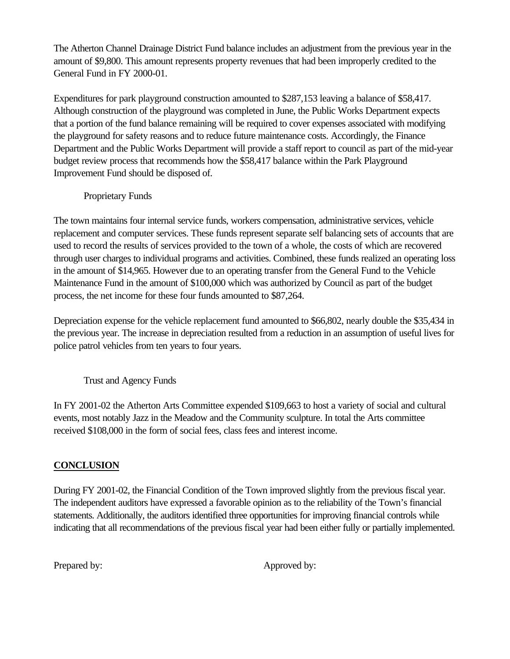The Atherton Channel Drainage District Fund balance includes an adjustment from the previous year in the amount of \$9,800. This amount represents property revenues that had been improperly credited to the General Fund in FY 2000-01.

Expenditures for park playground construction amounted to \$287,153 leaving a balance of \$58,417. Although construction of the playground was completed in June, the Public Works Department expects that a portion of the fund balance remaining will be required to cover expenses associated with modifying the playground for safety reasons and to reduce future maintenance costs. Accordingly, the Finance Department and the Public Works Department will provide a staff report to council as part of the mid-year budget review process that recommends how the \$58,417 balance within the Park Playground Improvement Fund should be disposed of.

### Proprietary Funds

The town maintains four internal service funds, workers compensation, administrative services, vehicle replacement and computer services. These funds represent separate self balancing sets of accounts that are used to record the results of services provided to the town of a whole, the costs of which are recovered through user charges to individual programs and activities. Combined, these funds realized an operating loss in the amount of \$14,965. However due to an operating transfer from the General Fund to the Vehicle Maintenance Fund in the amount of \$100,000 which was authorized by Council as part of the budget process, the net income for these four funds amounted to \$87,264.

Depreciation expense for the vehicle replacement fund amounted to \$66,802, nearly double the \$35,434 in the previous year. The increase in depreciation resulted from a reduction in an assumption of useful lives for police patrol vehicles from ten years to four years.

Trust and Agency Funds

In FY 2001-02 the Atherton Arts Committee expended \$109,663 to host a variety of social and cultural events, most notably Jazz in the Meadow and the Community sculpture. In total the Arts committee received \$108,000 in the form of social fees, class fees and interest income.

# **CONCLUSION**

During FY 2001-02, the Financial Condition of the Town improved slightly from the previous fiscal year. The independent auditors have expressed a favorable opinion as to the reliability of the Town's financial statements. Additionally, the auditors identified three opportunities for improving financial controls while indicating that all recommendations of the previous fiscal year had been either fully or partially implemented.

Prepared by: Approved by: Approved by: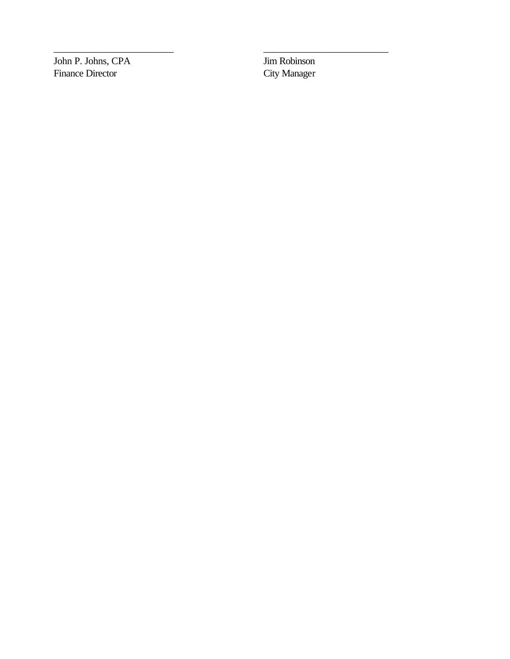John P. Johns, CPA Jim Robinson Finance Director

City Manager

\_\_\_\_\_\_\_\_\_\_\_\_\_\_\_\_\_\_\_\_\_\_\_\_ \_\_\_\_\_\_\_\_\_\_\_\_\_\_\_\_\_\_\_\_\_\_\_\_\_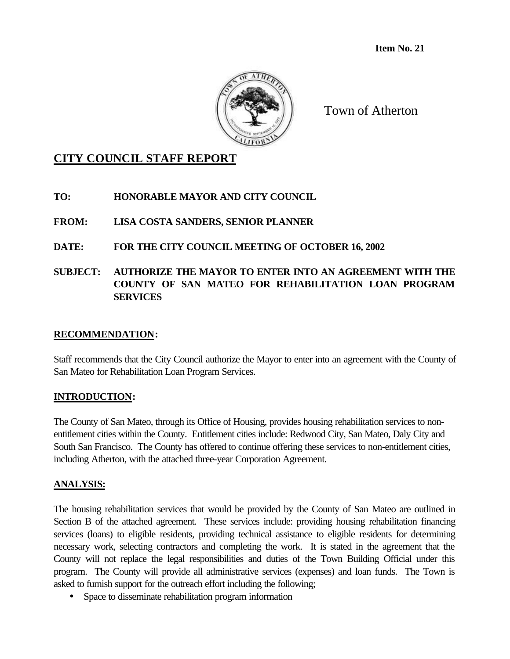**Item No. 21**



Town of Atherton

# **CITY COUNCIL STAFF REPORT**

**TO: HONORABLE MAYOR AND CITY COUNCIL**

**FROM: LISA COSTA SANDERS, SENIOR PLANNER**

**DATE: FOR THE CITY COUNCIL MEETING OF OCTOBER 16, 2002**

**SUBJECT: AUTHORIZE THE MAYOR TO ENTER INTO AN AGREEMENT WITH THE COUNTY OF SAN MATEO FOR REHABILITATION LOAN PROGRAM SERVICES**

#### **RECOMMENDATION:**

Staff recommends that the City Council authorize the Mayor to enter into an agreement with the County of San Mateo for Rehabilitation Loan Program Services.

#### **INTRODUCTION:**

The County of San Mateo, through its Office of Housing, provides housing rehabilitation services to nonentitlement cities within the County. Entitlement cities include: Redwood City, San Mateo, Daly City and South San Francisco. The County has offered to continue offering these services to non-entitlement cities, including Atherton, with the attached three-year Corporation Agreement.

# **ANALYSIS:**

The housing rehabilitation services that would be provided by the County of San Mateo are outlined in Section B of the attached agreement. These services include: providing housing rehabilitation financing services (loans) to eligible residents, providing technical assistance to eligible residents for determining necessary work, selecting contractors and completing the work. It is stated in the agreement that the County will not replace the legal responsibilities and duties of the Town Building Official under this program. The County will provide all administrative services (expenses) and loan funds. The Town is asked to furnish support for the outreach effort including the following;

• Space to disseminate rehabilitation program information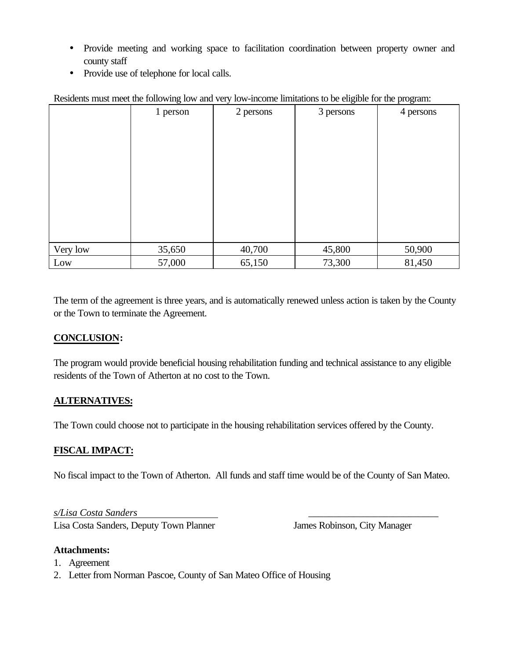- Provide meeting and working space to facilitation coordination between property owner and county staff
- Provide use of telephone for local calls.

| residence more than following fow and very fow income immunous to be engineeron are program. |          |           |           |           |
|----------------------------------------------------------------------------------------------|----------|-----------|-----------|-----------|
|                                                                                              | 1 person | 2 persons | 3 persons | 4 persons |
|                                                                                              |          |           |           |           |
|                                                                                              |          |           |           |           |
|                                                                                              |          |           |           |           |
|                                                                                              |          |           |           |           |
|                                                                                              |          |           |           |           |
|                                                                                              |          |           |           |           |
|                                                                                              |          |           |           |           |
|                                                                                              |          |           |           |           |
|                                                                                              |          |           |           |           |
|                                                                                              |          |           |           |           |
|                                                                                              |          |           |           |           |
|                                                                                              |          |           |           |           |
|                                                                                              |          |           |           |           |
|                                                                                              |          |           |           |           |
|                                                                                              |          |           |           |           |
| Very low                                                                                     | 35,650   | 40,700    | 45,800    | 50,900    |
| Low                                                                                          | 57,000   | 65,150    | 73,300    | 81,450    |

Residents must meet the following low and very low-income limitations to be eligible for the program:

The term of the agreement is three years, and is automatically renewed unless action is taken by the County or the Town to terminate the Agreement.

#### **CONCLUSION:**

The program would provide beneficial housing rehabilitation funding and technical assistance to any eligible residents of the Town of Atherton at no cost to the Town.

# **ALTERNATIVES:**

The Town could choose not to participate in the housing rehabilitation services offered by the County.

# **FISCAL IMPACT:**

No fiscal impact to the Town of Atherton. All funds and staff time would be of the County of San Mateo.

*s/Lisa Costa Sanders* \_\_\_\_\_\_\_\_\_\_\_\_\_\_\_\_\_\_\_\_\_\_\_\_\_\_

Lisa Costa Sanders, Deputy Town Planner James Robinson, City Manager

#### **Attachments:**

- 1. Agreement
- 2. Letter from Norman Pascoe, County of San Mateo Office of Housing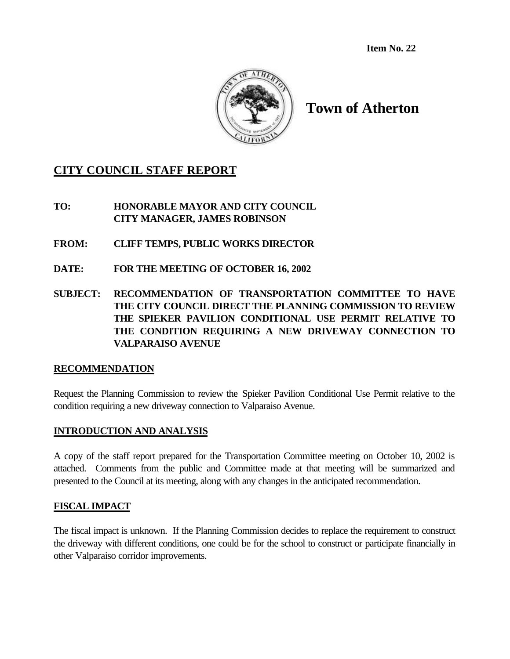**Item No. 22**



# **Town of Atherton**

# **CITY COUNCIL STAFF REPORT**

**TO: HONORABLE MAYOR AND CITY COUNCIL CITY MANAGER, JAMES ROBINSON**

- **FROM: CLIFF TEMPS, PUBLIC WORKS DIRECTOR**
- **DATE: FOR THE MEETING OF OCTOBER 16, 2002**
- **SUBJECT: RECOMMENDATION OF TRANSPORTATION COMMITTEE TO HAVE THE CITY COUNCIL DIRECT THE PLANNING COMMISSION TO REVIEW THE SPIEKER PAVILION CONDITIONAL USE PERMIT RELATIVE TO THE CONDITION REQUIRING A NEW DRIVEWAY CONNECTION TO VALPARAISO AVENUE**

#### **RECOMMENDATION**

Request the Planning Commission to review the Spieker Pavilion Conditional Use Permit relative to the condition requiring a new driveway connection to Valparaiso Avenue.

#### **INTRODUCTION AND ANALYSIS**

A copy of the staff report prepared for the Transportation Committee meeting on October 10, 2002 is attached. Comments from the public and Committee made at that meeting will be summarized and presented to the Council at its meeting, along with any changes in the anticipated recommendation.

#### **FISCAL IMPACT**

The fiscal impact is unknown. If the Planning Commission decides to replace the requirement to construct the driveway with different conditions, one could be for the school to construct or participate financially in other Valparaiso corridor improvements.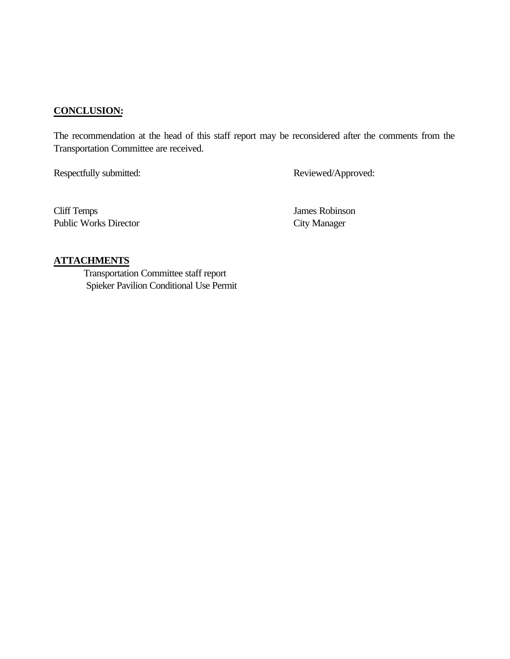### **CONCLUSION:**

The recommendation at the head of this staff report may be reconsidered after the comments from the Transportation Committee are received.

Respectfully submitted: Reviewed/Approved:

Cliff Temps James Robinson Public Works Director City Manager

#### **ATTACHMENTS**

 Transportation Committee staff report Spieker Pavilion Conditional Use Permit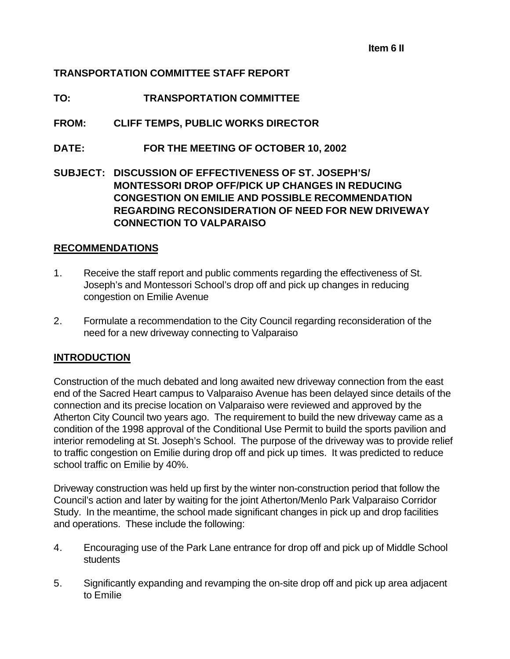### **TRANSPORTATION COMMITTEE STAFF REPORT**

### **TO: TRANSPORTATION COMMITTEE**

### **FROM: CLIFF TEMPS, PUBLIC WORKS DIRECTOR**

**DATE: FOR THE MEETING OF OCTOBER 10, 2002**

**SUBJECT: DISCUSSION OF EFFECTIVENESS OF ST. JOSEPH'S/ MONTESSORI DROP OFF/PICK UP CHANGES IN REDUCING CONGESTION ON EMILIE AND POSSIBLE RECOMMENDATION REGARDING RECONSIDERATION OF NEED FOR NEW DRIVEWAY CONNECTION TO VALPARAISO**

#### **RECOMMENDATIONS**

- 1. Receive the staff report and public comments regarding the effectiveness of St. Joseph's and Montessori School's drop off and pick up changes in reducing congestion on Emilie Avenue
- 2. Formulate a recommendation to the City Council regarding reconsideration of the need for a new driveway connecting to Valparaiso

#### **INTRODUCTION**

Construction of the much debated and long awaited new driveway connection from the east end of the Sacred Heart campus to Valparaiso Avenue has been delayed since details of the connection and its precise location on Valparaiso were reviewed and approved by the Atherton City Council two years ago. The requirement to build the new driveway came as a condition of the 1998 approval of the Conditional Use Permit to build the sports pavilion and interior remodeling at St. Joseph's School. The purpose of the driveway was to provide relief to traffic congestion on Emilie during drop off and pick up times. It was predicted to reduce school traffic on Emilie by 40%.

Driveway construction was held up first by the winter non-construction period that follow the Council's action and later by waiting for the joint Atherton/Menlo Park Valparaiso Corridor Study. In the meantime, the school made significant changes in pick up and drop facilities and operations. These include the following:

- 4. Encouraging use of the Park Lane entrance for drop off and pick up of Middle School **students**
- 5. Significantly expanding and revamping the on-site drop off and pick up area adjacent to Emilie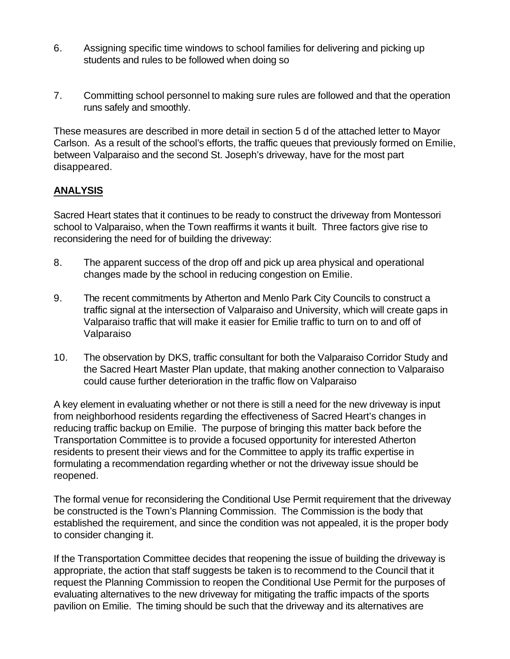- 6. Assigning specific time windows to school families for delivering and picking up students and rules to be followed when doing so
- 7. Committing school personnel to making sure rules are followed and that the operation runs safely and smoothly.

These measures are described in more detail in section 5 d of the attached letter to Mayor Carlson. As a result of the school's efforts, the traffic queues that previously formed on Emilie, between Valparaiso and the second St. Joseph's driveway, have for the most part disappeared.

### **ANALYSIS**

Sacred Heart states that it continues to be ready to construct the driveway from Montessori school to Valparaiso, when the Town reaffirms it wants it built. Three factors give rise to reconsidering the need for of building the driveway:

- 8. The apparent success of the drop off and pick up area physical and operational changes made by the school in reducing congestion on Emilie.
- 9. The recent commitments by Atherton and Menlo Park City Councils to construct a traffic signal at the intersection of Valparaiso and University, which will create gaps in Valparaiso traffic that will make it easier for Emilie traffic to turn on to and off of Valparaiso
- 10. The observation by DKS, traffic consultant for both the Valparaiso Corridor Study and the Sacred Heart Master Plan update, that making another connection to Valparaiso could cause further deterioration in the traffic flow on Valparaiso

A key element in evaluating whether or not there is still a need for the new driveway is input from neighborhood residents regarding the effectiveness of Sacred Heart's changes in reducing traffic backup on Emilie. The purpose of bringing this matter back before the Transportation Committee is to provide a focused opportunity for interested Atherton residents to present their views and for the Committee to apply its traffic expertise in formulating a recommendation regarding whether or not the driveway issue should be reopened.

The formal venue for reconsidering the Conditional Use Permit requirement that the driveway be constructed is the Town's Planning Commission. The Commission is the body that established the requirement, and since the condition was not appealed, it is the proper body to consider changing it.

If the Transportation Committee decides that reopening the issue of building the driveway is appropriate, the action that staff suggests be taken is to recommend to the Council that it request the Planning Commission to reopen the Conditional Use Permit for the purposes of evaluating alternatives to the new driveway for mitigating the traffic impacts of the sports pavilion on Emilie. The timing should be such that the driveway and its alternatives are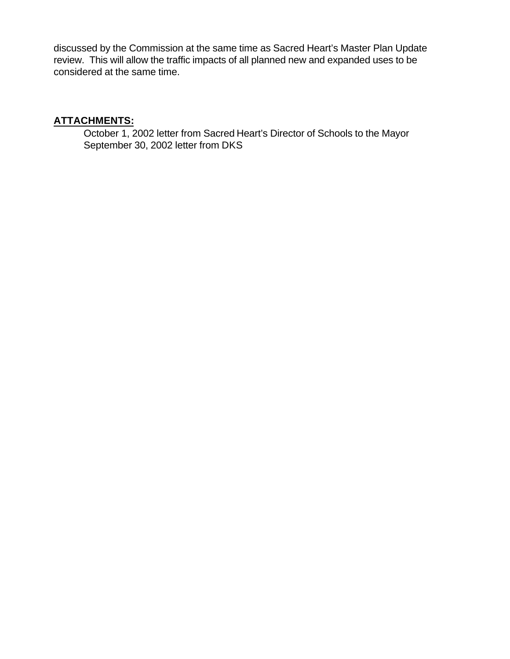discussed by the Commission at the same time as Sacred Heart's Master Plan Update review. This will allow the traffic impacts of all planned new and expanded uses to be considered at the same time.

# **ATTACHMENTS:**

October 1, 2002 letter from Sacred Heart's Director of Schools to the Mayor September 30, 2002 letter from DKS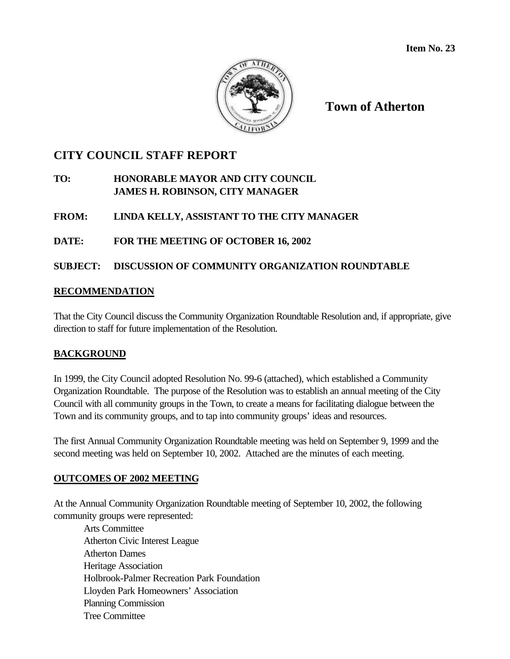

**Town of Atherton**

## **CITY COUNCIL STAFF REPORT**

### **TO: HONORABLE MAYOR AND CITY COUNCIL JAMES H. ROBINSON, CITY MANAGER**

### **FROM: LINDA KELLY, ASSISTANT TO THE CITY MANAGER**

#### **DATE: FOR THE MEETING OF OCTOBER 16, 2002**

### **SUBJECT: DISCUSSION OF COMMUNITY ORGANIZATION ROUNDTABLE**

#### **RECOMMENDATION**

That the City Council discuss the Community Organization Roundtable Resolution and, if appropriate, give direction to staff for future implementation of the Resolution.

#### **BACKGROUND**

In 1999, the City Council adopted Resolution No. 99-6 (attached), which established a Community Organization Roundtable. The purpose of the Resolution was to establish an annual meeting of the City Council with all community groups in the Town, to create a means for facilitating dialogue between the Town and its community groups, and to tap into community groups' ideas and resources.

The first Annual Community Organization Roundtable meeting was held on September 9, 1999 and the second meeting was held on September 10, 2002. Attached are the minutes of each meeting.

#### **OUTCOMES OF 2002 MEETING**

At the Annual Community Organization Roundtable meeting of September 10, 2002, the following community groups were represented:

Arts Committee Atherton Civic Interest League Atherton Dames Heritage Association Holbrook-Palmer Recreation Park Foundation Lloyden Park Homeowners' Association Planning Commission Tree Committee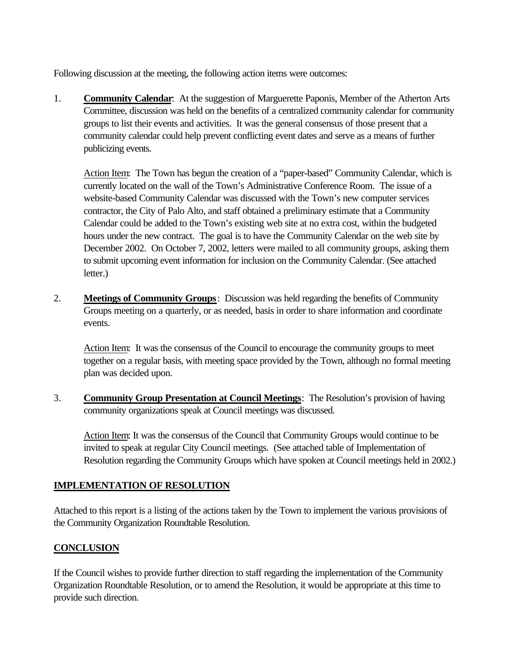Following discussion at the meeting, the following action items were outcomes:

1. **Community Calendar**: At the suggestion of Marguerette Paponis, Member of the Atherton Arts Committee, discussion was held on the benefits of a centralized community calendar for community groups to list their events and activities. It was the general consensus of those present that a community calendar could help prevent conflicting event dates and serve as a means of further publicizing events.

Action Item: The Town has begun the creation of a "paper-based" Community Calendar, which is currently located on the wall of the Town's Administrative Conference Room. The issue of a website-based Community Calendar was discussed with the Town's new computer services contractor, the City of Palo Alto, and staff obtained a preliminary estimate that a Community Calendar could be added to the Town's existing web site at no extra cost, within the budgeted hours under the new contract. The goal is to have the Community Calendar on the web site by December 2002. On October 7, 2002, letters were mailed to all community groups, asking them to submit upcoming event information for inclusion on the Community Calendar. (See attached letter.)

2. **Meetings of Community Groups**: Discussion was held regarding the benefits of Community Groups meeting on a quarterly, or as needed, basis in order to share information and coordinate events.

Action Item: It was the consensus of the Council to encourage the community groups to meet together on a regular basis, with meeting space provided by the Town, although no formal meeting plan was decided upon.

3. **Community Group Presentation at Council Meetings**: The Resolution's provision of having community organizations speak at Council meetings was discussed.

Action Item: It was the consensus of the Council that Community Groups would continue to be invited to speak at regular City Council meetings. (See attached table of Implementation of Resolution regarding the Community Groups which have spoken at Council meetings held in 2002.)

## **IMPLEMENTATION OF RESOLUTION**

Attached to this report is a listing of the actions taken by the Town to implement the various provisions of the Community Organization Roundtable Resolution.

## **CONCLUSION**

If the Council wishes to provide further direction to staff regarding the implementation of the Community Organization Roundtable Resolution, or to amend the Resolution, it would be appropriate at this time to provide such direction.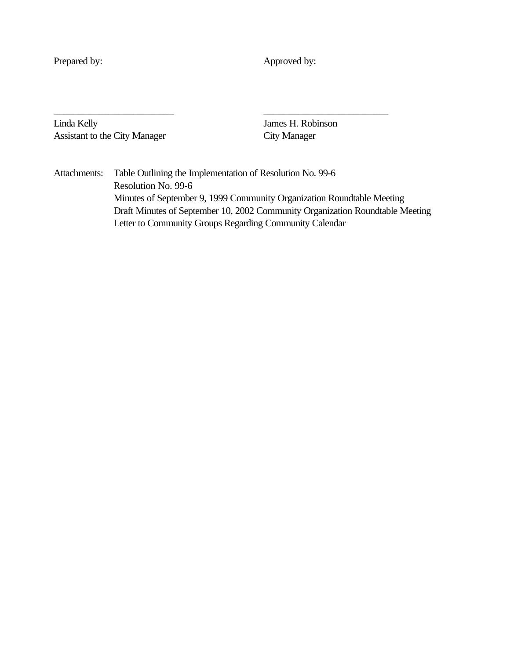Prepared by: Approved by:

Linda Kelly James H. Robinson Assistant to the City Manager City Manager

Attachments: Table Outlining the Implementation of Resolution No. 99-6 Resolution No. 99-6 Minutes of September 9, 1999 Community Organization Roundtable Meeting Draft Minutes of September 10, 2002 Community Organization Roundtable Meeting Letter to Community Groups Regarding Community Calendar

\_\_\_\_\_\_\_\_\_\_\_\_\_\_\_\_\_\_\_\_\_\_\_\_ \_\_\_\_\_\_\_\_\_\_\_\_\_\_\_\_\_\_\_\_\_\_\_\_\_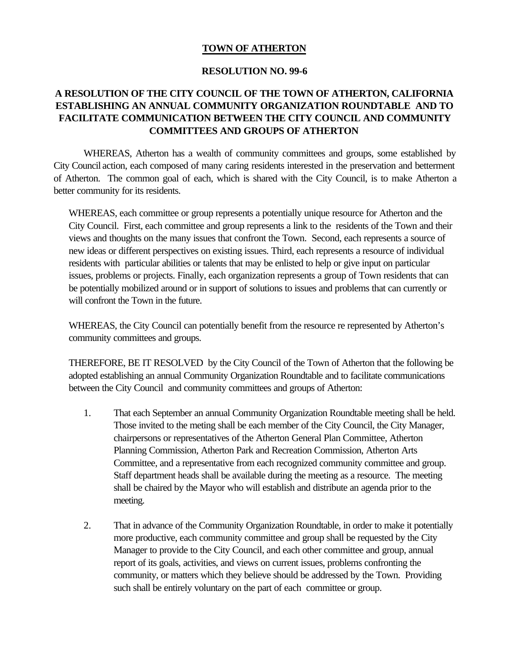#### **TOWN OF ATHERTON**

#### **RESOLUTION NO. 99-6**

### **A RESOLUTION OF THE CITY COUNCIL OF THE TOWN OF ATHERTON, CALIFORNIA ESTABLISHING AN ANNUAL COMMUNITY ORGANIZATION ROUNDTABLE AND TO FACILITATE COMMUNICATION BETWEEN THE CITY COUNCIL AND COMMUNITY COMMITTEES AND GROUPS OF ATHERTON**

WHEREAS, Atherton has a wealth of community committees and groups, some established by City Council action, each composed of many caring residents interested in the preservation and betterment of Atherton. The common goal of each, which is shared with the City Council, is to make Atherton a better community for its residents.

WHEREAS, each committee or group represents a potentially unique resource for Atherton and the City Council. First, each committee and group represents a link to the residents of the Town and their views and thoughts on the many issues that confront the Town. Second, each represents a source of new ideas or different perspectives on existing issues. Third, each represents a resource of individual residents with particular abilities or talents that may be enlisted to help or give input on particular issues, problems or projects. Finally, each organization represents a group of Town residents that can be potentially mobilized around or in support of solutions to issues and problems that can currently or will confront the Town in the future.

WHEREAS, the City Council can potentially benefit from the resource re represented by Atherton's community committees and groups.

THEREFORE, BE IT RESOLVED by the City Council of the Town of Atherton that the following be adopted establishing an annual Community Organization Roundtable and to facilitate communications between the City Council and community committees and groups of Atherton:

- 1. That each September an annual Community Organization Roundtable meeting shall be held. Those invited to the meting shall be each member of the City Council, the City Manager, chairpersons or representatives of the Atherton General Plan Committee, Atherton Planning Commission, Atherton Park and Recreation Commission, Atherton Arts Committee, and a representative from each recognized community committee and group. Staff department heads shall be available during the meeting as a resource. The meeting shall be chaired by the Mayor who will establish and distribute an agenda prior to the meeting.
- 2. That in advance of the Community Organization Roundtable, in order to make it potentially more productive, each community committee and group shall be requested by the City Manager to provide to the City Council, and each other committee and group, annual report of its goals, activities, and views on current issues, problems confronting the community, or matters which they believe should be addressed by the Town. Providing such shall be entirely voluntary on the part of each committee or group.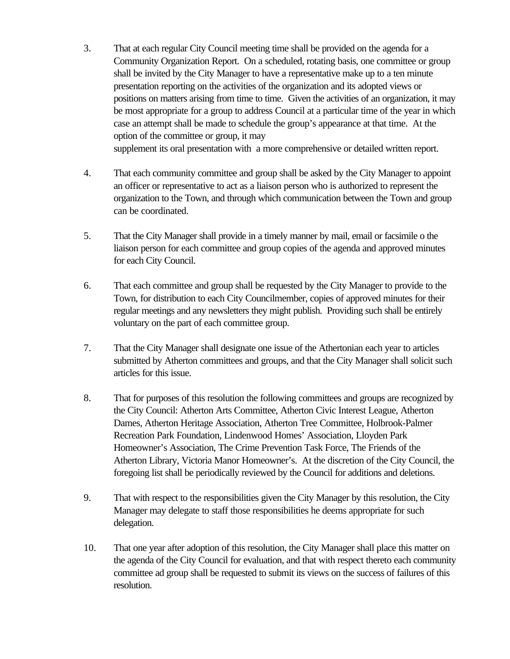- 3. That at each regular City Council meeting time shall be provided on the agenda for a Community Organization Report. On a scheduled, rotating basis, one committee or group shall be invited by the City Manager to have a representative make up to a ten minute presentation reporting on the activities of the organization and its adopted views or positions on matters arising from time to time. Given the activities of an organization, it may be most appropriate for a group to address Council at a particular time of the year in which case an attempt shall be made to schedule the group's appearance at that time. At the option of the committee or group, it may supplement its oral presentation with a more comprehensive or detailed written report.
- 4. That each community committee and group shall be asked by the City Manager to appoint an officer or representative to act as a liaison person who is authorized to represent the organization to the Town, and through which communication between the Town and group can be coordinated.
- 5. That the City Manager shall provide in a timely manner by mail, email or facsimile o the liaison person for each committee and group copies of the agenda and approved minutes for each City Council.
- 6. That each committee and group shall be requested by the City Manager to provide to the Town, for distribution to each City Councilmember, copies of approved minutes for their regular meetings and any newsletters they might publish. Providing such shall be entirely voluntary on the part of each committee group.
- 7. That the City Manager shall designate one issue of the Athertonian each year to articles submitted by Atherton committees and groups, and that the City Manager shall solicit such articles for this issue.
- 8. That for purposes of this resolution the following committees and groups are recognized by the City Council: Atherton Arts Committee, Atherton Civic Interest League, Atherton Dames, Atherton Heritage Association, Atherton Tree Committee, Holbrook-Palmer Recreation Park Foundation, Lindenwood Homes' Association, Lloyden Park Homeowner's Association, The Crime Prevention Task Force, The Friends of the Atherton Library, Victoria Manor Homeowner's. At the discretion of the City Council, the foregoing list shall be periodically reviewed by the Council for additions and deletions.
- 9. That with respect to the responsibilities given the City Manager by this resolution, the City Manager may delegate to staff those responsibilities he deems appropriate for such delegation.
- 10. That one year after adoption of this resolution, the City Manager shall place this matter on the agenda of the City Council for evaluation, and that with respect thereto each community committee ad group shall be requested to submit its views on the success of failures of this resolution.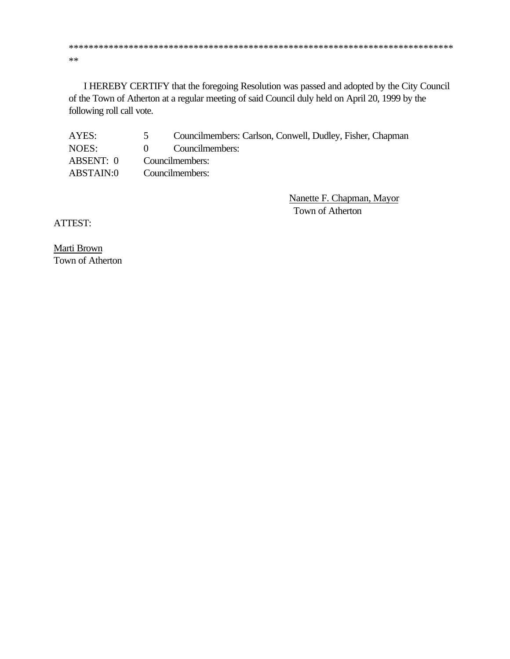\*\*\*\*\*\*\*\*\*\*\*\*\*\*\*\*\*\*\*\*\*\*\*\*\*\*\*\*\*\*\*\*\*\*\*\*\*\*\*\*\*\*\*\*\*\*\*\*\*\*\*\*\*\*\*\*\*\*\*\*\*\*\*\*\*\*\*\*\*\*\*\*\*\*\*\*\* \*\*

I HEREBY CERTIFY that the foregoing Resolution was passed and adopted by the City Council of the Town of Atherton at a regular meeting of said Council duly held on April 20, 1999 by the following roll call vote.

| AYES:     | $\sim$          | Councilmembers: Carlson, Conwell, Dudley, Fisher, Chapman |
|-----------|-----------------|-----------------------------------------------------------|
| NOES:     | $\mathbf{0}$    | Councilmembers:                                           |
| ABSENT: 0 | Councilmembers: |                                                           |
| ABSTAIN:0 |                 | Councilmembers:                                           |

Nanette F. Chapman, Mayor Town of Atherton

ATTEST:

Marti Brown Town of Atherton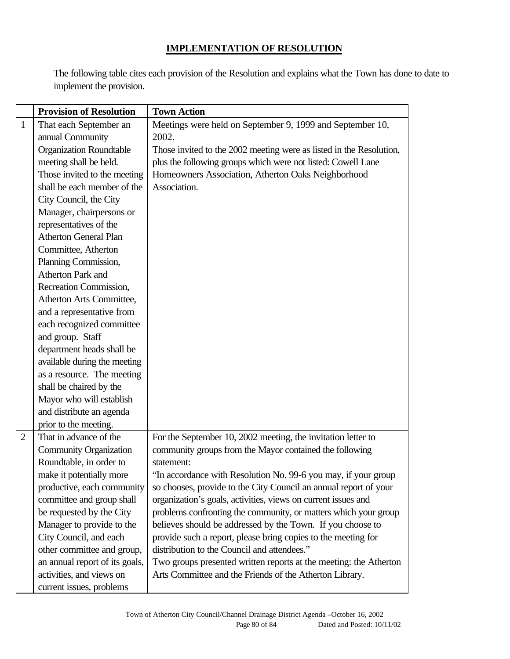## **IMPLEMENTATION OF RESOLUTION**

The following table cites each provision of the Resolution and explains what the Town has done to date to implement the provision.

|                | <b>Provision of Resolution</b> | <b>Town Action</b>                                                  |
|----------------|--------------------------------|---------------------------------------------------------------------|
| $\mathbf{1}$   | That each September an         | Meetings were held on September 9, 1999 and September 10,           |
|                | annual Community               | 2002.                                                               |
|                | <b>Organization Roundtable</b> | Those invited to the 2002 meeting were as listed in the Resolution, |
|                | meeting shall be held.         | plus the following groups which were not listed: Cowell Lane        |
|                | Those invited to the meeting   | Homeowners Association, Atherton Oaks Neighborhood                  |
|                | shall be each member of the    | Association.                                                        |
|                | City Council, the City         |                                                                     |
|                | Manager, chairpersons or       |                                                                     |
|                | representatives of the         |                                                                     |
|                | <b>Atherton General Plan</b>   |                                                                     |
|                | Committee, Atherton            |                                                                     |
|                | Planning Commission,           |                                                                     |
|                | Atherton Park and              |                                                                     |
|                | Recreation Commission,         |                                                                     |
|                | Atherton Arts Committee,       |                                                                     |
|                | and a representative from      |                                                                     |
|                | each recognized committee      |                                                                     |
|                | and group. Staff               |                                                                     |
|                | department heads shall be      |                                                                     |
|                | available during the meeting   |                                                                     |
|                | as a resource. The meeting     |                                                                     |
|                | shall be chaired by the        |                                                                     |
|                | Mayor who will establish       |                                                                     |
|                | and distribute an agenda       |                                                                     |
|                | prior to the meeting.          |                                                                     |
| $\overline{2}$ | That in advance of the         | For the September 10, 2002 meeting, the invitation letter to        |
|                | <b>Community Organization</b>  | community groups from the Mayor contained the following             |
|                | Roundtable, in order to        | statement:                                                          |
|                | make it potentially more       | "In accordance with Resolution No. 99-6 you may, if your group      |
|                | productive, each community     | so chooses, provide to the City Council an annual report of your    |
|                | committee and group shall      | organization's goals, activities, views on current issues and       |
|                | be requested by the City       | problems confronting the community, or matters which your group     |
|                | Manager to provide to the      | believes should be addressed by the Town. If you choose to          |
|                | City Council, and each         | provide such a report, please bring copies to the meeting for       |
|                | other committee and group,     | distribution to the Council and attendees."                         |
|                | an annual report of its goals, | Two groups presented written reports at the meeting: the Atherton   |
|                | activities, and views on       | Arts Committee and the Friends of the Atherton Library.             |
|                | current issues, problems       |                                                                     |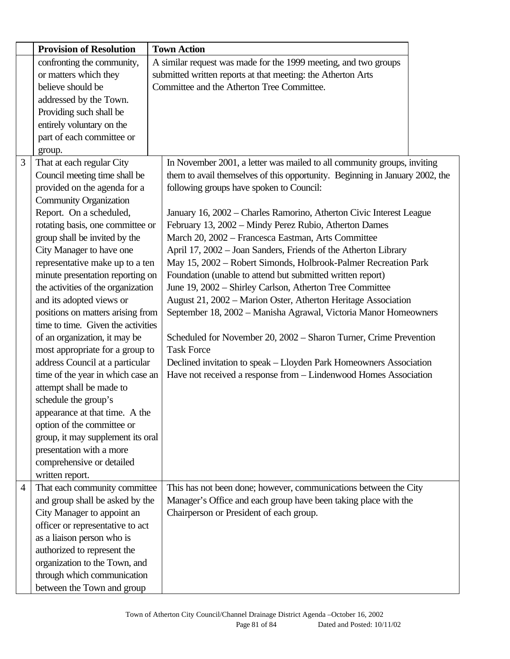|                | <b>Provision of Resolution</b>     | <b>Town Action</b>                                                           |
|----------------|------------------------------------|------------------------------------------------------------------------------|
|                | confronting the community,         | A similar request was made for the 1999 meeting, and two groups              |
|                | or matters which they              | submitted written reports at that meeting: the Atherton Arts                 |
|                | believe should be                  | Committee and the Atherton Tree Committee.                                   |
|                | addressed by the Town.             |                                                                              |
|                | Providing such shall be            |                                                                              |
|                | entirely voluntary on the          |                                                                              |
|                | part of each committee or          |                                                                              |
|                | group.                             |                                                                              |
| 3              | That at each regular City          | In November 2001, a letter was mailed to all community groups, inviting      |
|                | Council meeting time shall be      | them to avail themselves of this opportunity. Beginning in January 2002, the |
|                | provided on the agenda for a       | following groups have spoken to Council:                                     |
|                | <b>Community Organization</b>      |                                                                              |
|                | Report. On a scheduled,            | January 16, 2002 – Charles Ramorino, Atherton Civic Interest League          |
|                | rotating basis, one committee or   | February 13, 2002 - Mindy Perez Rubio, Atherton Dames                        |
|                | group shall be invited by the      | March 20, 2002 - Francesca Eastman, Arts Committee                           |
|                | City Manager to have one           | April 17, 2002 - Joan Sanders, Friends of the Atherton Library               |
|                | representative make up to a ten    | May 15, 2002 - Robert Simonds, Holbrook-Palmer Recreation Park               |
|                | minute presentation reporting on   | Foundation (unable to attend but submitted written report)                   |
|                | the activities of the organization | June 19, 2002 - Shirley Carlson, Atherton Tree Committee                     |
|                | and its adopted views or           | August 21, 2002 - Marion Oster, Atherton Heritage Association                |
|                | positions on matters arising from  | September 18, 2002 - Manisha Agrawal, Victoria Manor Homeowners              |
|                | time to time. Given the activities |                                                                              |
|                | of an organization, it may be      | Scheduled for November 20, 2002 – Sharon Turner, Crime Prevention            |
|                | most appropriate for a group to    | <b>Task Force</b>                                                            |
|                | address Council at a particular    | Declined invitation to speak - Lloyden Park Homeowners Association           |
|                | time of the year in which case an  | Have not received a response from - Lindenwood Homes Association             |
|                | attempt shall be made to           |                                                                              |
|                | schedule the group's               |                                                                              |
|                | appearance at that time. A the     |                                                                              |
|                | option of the committee or         |                                                                              |
|                | group, it may supplement its oral  |                                                                              |
|                | presentation with a more           |                                                                              |
|                | comprehensive or detailed          |                                                                              |
|                | written report.                    |                                                                              |
| $\overline{4}$ | That each community committee      | This has not been done; however, communications between the City             |
|                | and group shall be asked by the    | Manager's Office and each group have been taking place with the              |
|                | City Manager to appoint an         | Chairperson or President of each group.                                      |
|                | officer or representative to act   |                                                                              |
|                | as a liaison person who is         |                                                                              |
|                | authorized to represent the        |                                                                              |
|                | organization to the Town, and      |                                                                              |
|                | through which communication        |                                                                              |
|                | between the Town and group         |                                                                              |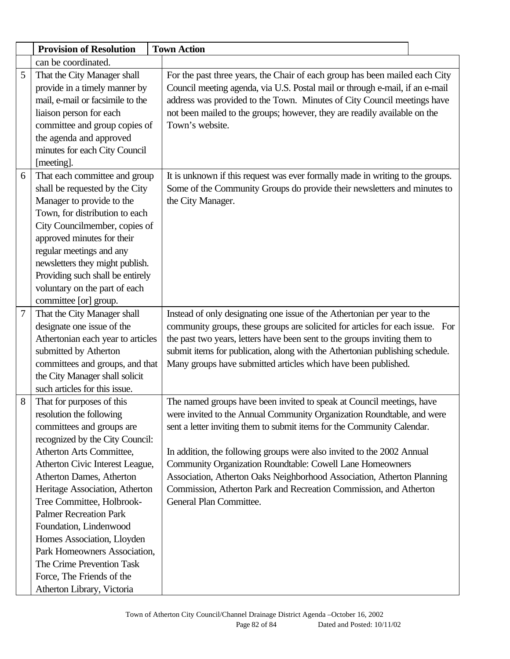|                | <b>Provision of Resolution</b>    | <b>Town Action</b>                                                             |
|----------------|-----------------------------------|--------------------------------------------------------------------------------|
|                | can be coordinated.               |                                                                                |
| 5              | That the City Manager shall       | For the past three years, the Chair of each group has been mailed each City    |
|                | provide in a timely manner by     | Council meeting agenda, via U.S. Postal mail or through e-mail, if an e-mail   |
|                | mail, e-mail or facsimile to the  | address was provided to the Town. Minutes of City Council meetings have        |
|                | liaison person for each           | not been mailed to the groups; however, they are readily available on the      |
|                | committee and group copies of     | Town's website.                                                                |
|                | the agenda and approved           |                                                                                |
|                | minutes for each City Council     |                                                                                |
|                | [meeting].                        |                                                                                |
| 6              | That each committee and group     | It is unknown if this request was ever formally made in writing to the groups. |
|                | shall be requested by the City    | Some of the Community Groups do provide their newsletters and minutes to       |
|                | Manager to provide to the         | the City Manager.                                                              |
|                | Town, for distribution to each    |                                                                                |
|                | City Councilmember, copies of     |                                                                                |
|                | approved minutes for their        |                                                                                |
|                | regular meetings and any          |                                                                                |
|                | newsletters they might publish.   |                                                                                |
|                | Providing such shall be entirely  |                                                                                |
|                | voluntary on the part of each     |                                                                                |
|                | committee [or] group.             |                                                                                |
| $\overline{7}$ | That the City Manager shall       | Instead of only designating one issue of the Athertonian per year to the       |
|                | designate one issue of the        | community groups, these groups are solicited for articles for each issue. For  |
|                | Athertonian each year to articles | the past two years, letters have been sent to the groups inviting them to      |
|                | submitted by Atherton             | submit items for publication, along with the Athertonian publishing schedule.  |
|                | committees and groups, and that   | Many groups have submitted articles which have been published.                 |
|                | the City Manager shall solicit    |                                                                                |
|                | such articles for this issue.     |                                                                                |
| 8              | That for purposes of this         | The named groups have been invited to speak at Council meetings, have          |
|                | resolution the following          | were invited to the Annual Community Organization Roundtable, and were         |
|                | committees and groups are         | sent a letter inviting them to submit items for the Community Calendar.        |
|                | recognized by the City Council:   |                                                                                |
|                | Atherton Arts Committee,          | In addition, the following groups were also invited to the 2002 Annual         |
|                | Atherton Civic Interest League,   | Community Organization Roundtable: Cowell Lane Homeowners                      |
|                | Atherton Dames, Atherton          | Association, Atherton Oaks Neighborhood Association, Atherton Planning         |
|                | Heritage Association, Atherton    | Commission, Atherton Park and Recreation Commission, and Atherton              |
|                | Tree Committee, Holbrook-         | General Plan Committee.                                                        |
|                | <b>Palmer Recreation Park</b>     |                                                                                |
|                | Foundation, Lindenwood            |                                                                                |
|                | Homes Association, Lloyden        |                                                                                |
|                | Park Homeowners Association,      |                                                                                |
|                | The Crime Prevention Task         |                                                                                |
|                | Force, The Friends of the         |                                                                                |
|                | Atherton Library, Victoria        |                                                                                |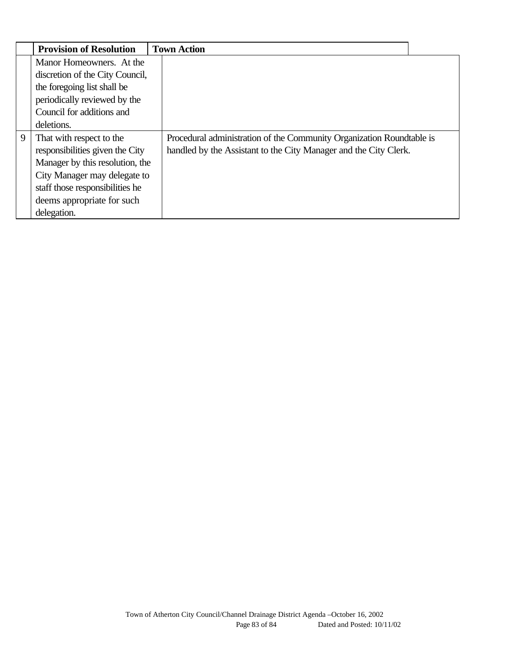|   | <b>Provision of Resolution</b>  | <b>Town Action</b>                                                    |
|---|---------------------------------|-----------------------------------------------------------------------|
|   | Manor Homeowners. At the        |                                                                       |
|   | discretion of the City Council, |                                                                       |
|   | the foregoing list shall be     |                                                                       |
|   | periodically reviewed by the    |                                                                       |
|   | Council for additions and       |                                                                       |
|   | deletions.                      |                                                                       |
| 9 | That with respect to the        | Procedural administration of the Community Organization Roundtable is |
|   | responsibilities given the City | handled by the Assistant to the City Manager and the City Clerk.      |
|   | Manager by this resolution, the |                                                                       |
|   | City Manager may delegate to    |                                                                       |
|   | staff those responsibilities he |                                                                       |
|   | deems appropriate for such      |                                                                       |
|   | delegation.                     |                                                                       |